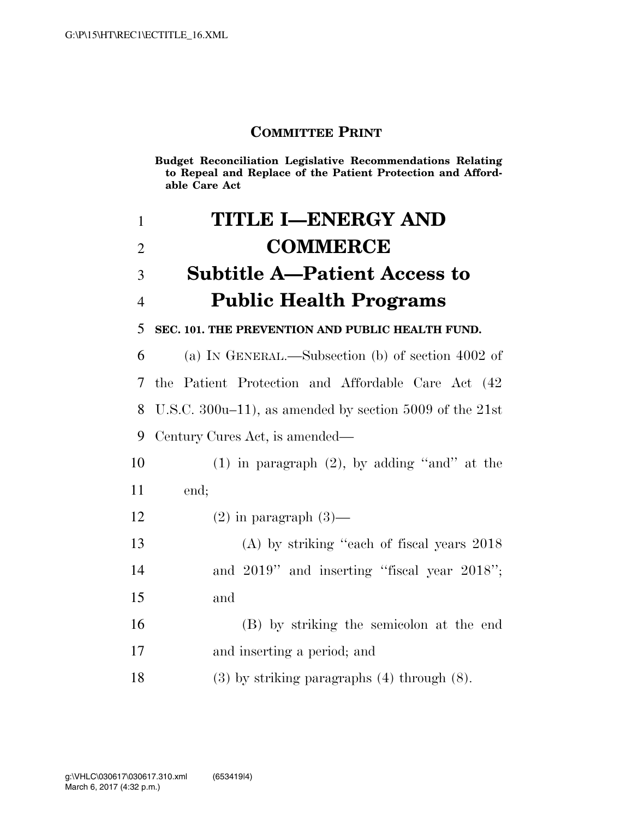### **COMMITTEE PRINT**

**Budget Reconciliation Legislative Recommendations Relating to Repeal and Replace of the Patient Protection and Affordable Care Act**

| $\mathbf{1}$   | TITLE I-ENERGY AND                                        |
|----------------|-----------------------------------------------------------|
| $\overline{2}$ | <b>COMMERCE</b>                                           |
| 3              | <b>Subtitle A-Patient Access to</b>                       |
| $\overline{4}$ | <b>Public Health Programs</b>                             |
| 5              | SEC. 101. THE PREVENTION AND PUBLIC HEALTH FUND.          |
| 6              | (a) IN GENERAL.—Subsection (b) of section 4002 of         |
| 7              | the Patient Protection and Affordable Care Act (42)       |
| 8              | U.S.C. 300u–11), as amended by section 5009 of the $21st$ |
| 9              | Century Cures Act, is amended—                            |
| 10             | $(1)$ in paragraph $(2)$ , by adding "and" at the         |
| 11             | end;                                                      |
| 12             | $(2)$ in paragraph $(3)$ —                                |
| 13             | $(A)$ by striking "each of fiscal years $2018$            |
| 14             | and $2019$ " and inserting "fiscal year $2018$ ";         |
| 15             | and                                                       |
| 16             | (B) by striking the semicolon at the end                  |
| 17             | and inserting a period; and                               |
| 18             | $(3)$ by striking paragraphs $(4)$ through $(8)$ .        |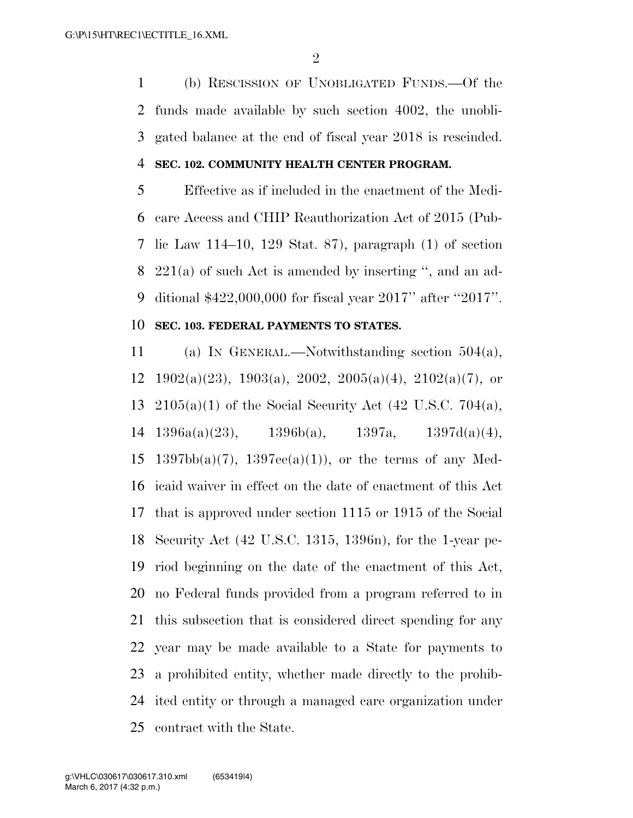(b) RESCISSION OF UNOBLIGATED FUNDS.—Of the funds made available by such section 4002, the unobli-gated balance at the end of fiscal year 2018 is rescinded.

#### **SEC. 102. COMMUNITY HEALTH CENTER PROGRAM.**

 Effective as if included in the enactment of the Medi- care Access and CHIP Reauthorization Act of 2015 (Pub- lic Law 114–10, 129 Stat. 87), paragraph (1) of section 221(a) of such Act is amended by inserting '', and an ad-ditional \$422,000,000 for fiscal year 2017'' after ''2017''.

#### **SEC. 103. FEDERAL PAYMENTS TO STATES.**

 (a) IN GENERAL.—Notwithstanding section 504(a), 12 1902(a)(23), 1903(a), 2002, 2005(a)(4), 2102(a)(7), or 2105(a)(1) of the Social Security Act (42 U.S.C. 704(a), 14 1396a(a)(23), 1396b(a), 1397a, 1397d(a)(4), 15 1397bb(a)(7), 1397ee(a)(1)), or the terms of any Med- icaid waiver in effect on the date of enactment of this Act that is approved under section 1115 or 1915 of the Social Security Act (42 U.S.C. 1315, 1396n), for the 1-year pe- riod beginning on the date of the enactment of this Act, no Federal funds provided from a program referred to in this subsection that is considered direct spending for any year may be made available to a State for payments to a prohibited entity, whether made directly to the prohib- ited entity or through a managed care organization under contract with the State.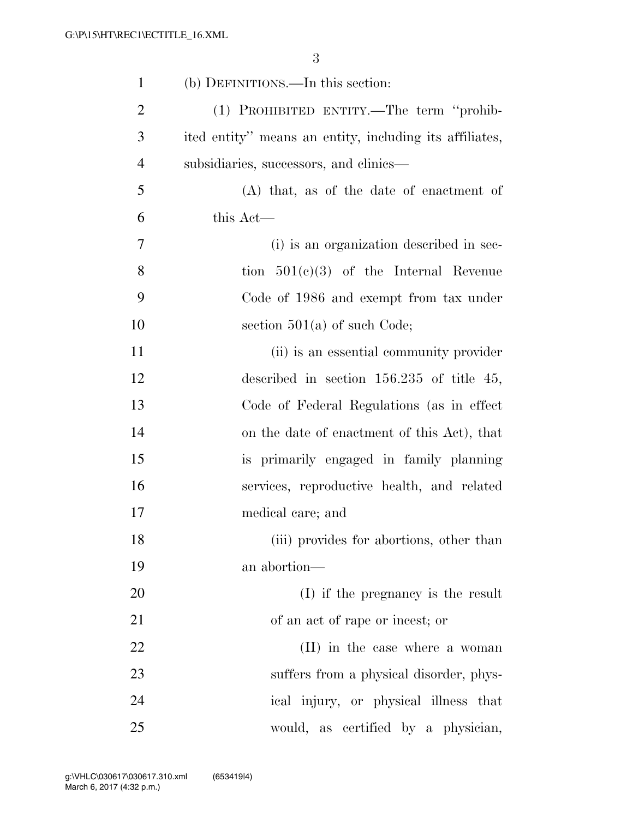| $\mathbf{1}$   | (b) DEFINITIONS.—In this section:                       |
|----------------|---------------------------------------------------------|
| $\overline{2}$ | (1) PROHIBITED ENTITY.—The term "prohib-                |
| 3              | ited entity" means an entity, including its affiliates, |
| $\overline{4}$ | subsidiaries, successors, and clinics—                  |
| 5              | $(A)$ that, as of the date of enactment of              |
| 6              | this Act—                                               |
| $\overline{7}$ | (i) is an organization described in sec-                |
| 8              | tion $501(c)(3)$ of the Internal Revenue                |
| 9              | Code of 1986 and exempt from tax under                  |
| 10             | section $501(a)$ of such Code;                          |
| 11             | (ii) is an essential community provider                 |
| 12             | described in section $156.235$ of title 45,             |
| 13             | Code of Federal Regulations (as in effect               |
| 14             | on the date of enactment of this Act), that             |
| 15             | is primarily engaged in family planning                 |
| 16             | services, reproductive health, and related              |
| 17             | medical care; and                                       |
| 18             | (iii) provides for abortions, other than                |
| 19             | an abortion-                                            |
| 20             | (I) if the pregnancy is the result                      |
| 21             | of an act of rape or incest; or                         |
| 22             | (II) in the case where a woman                          |
| 23             | suffers from a physical disorder, phys-                 |
| 24             | ical injury, or physical illness that                   |
| 25             | would, as certified by a physician,                     |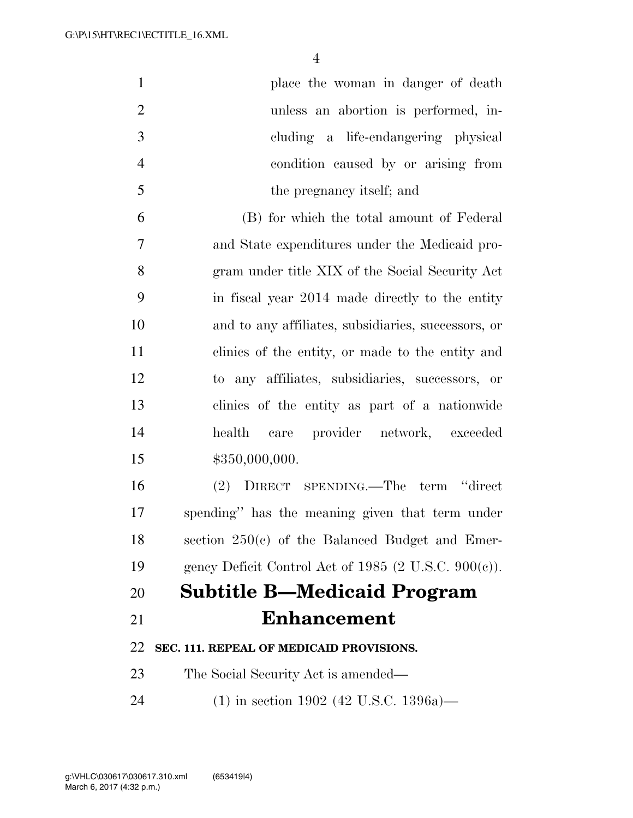| $\mathbf{1}$   | place the woman in danger of death                      |
|----------------|---------------------------------------------------------|
| $\overline{2}$ | unless an abortion is performed, in-                    |
| 3              | cluding a life-endangering physical                     |
| $\overline{4}$ | condition caused by or arising from                     |
| 5              | the pregnancy itself; and                               |
| 6              | (B) for which the total amount of Federal               |
| 7              | and State expenditures under the Medicaid pro-          |
| 8              | gram under title XIX of the Social Security Act         |
| 9              | in fiscal year 2014 made directly to the entity         |
| 10             | and to any affiliates, subsidiaries, successors, or     |
| 11             | clinics of the entity, or made to the entity and        |
| 12             | to any affiliates, subsidiaries, successors, or         |
| 13             | clinics of the entity as part of a nationwide           |
| 14             | health care provider network, exceeded                  |
| 15             | \$350,000,000.                                          |
| 16             | (2) DIRECT SPENDING.—The term "direct                   |
| 17             | spending" has the meaning given that term under         |
| 18             | section $250(c)$ of the Balanced Budget and Emer-       |
| 19             | gency Deficit Control Act of 1985 (2 U.S.C. $900(e)$ ). |
| 20             | <b>Subtitle B—Medicaid Program</b>                      |
| 21             | <b>Enhancement</b>                                      |
| 22             | SEC. 111. REPEAL OF MEDICAID PROVISIONS.                |
| 23             | The Social Security Act is amended—                     |
| 24             | $(1)$ in section 1902 (42 U.S.C. 1396a)—                |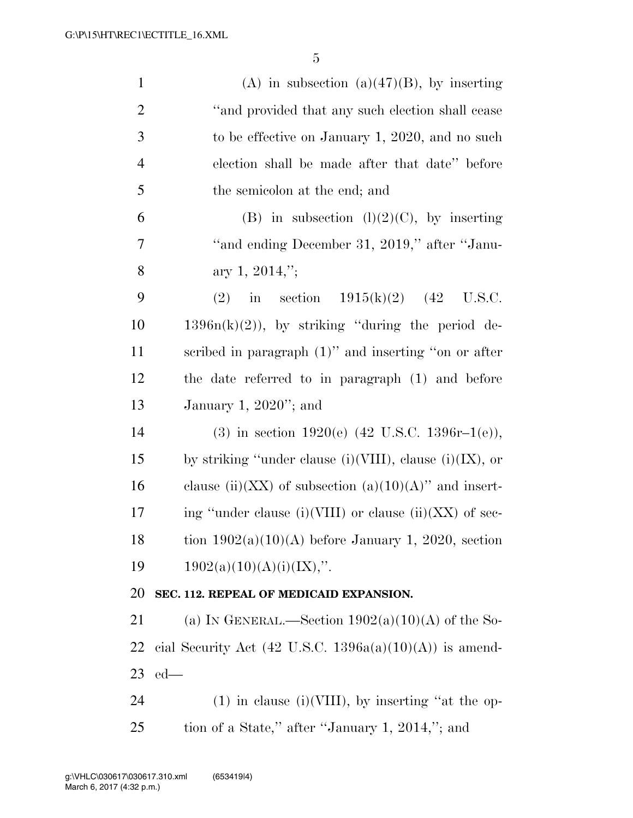| $\mathbf{1}$   | (A) in subsection (a) $(47)(B)$ , by inserting            |
|----------------|-----------------------------------------------------------|
| $\overline{2}$ | "and provided that any such election shall cease          |
| 3              | to be effective on January 1, 2020, and no such           |
| $\overline{4}$ | election shall be made after that date" before            |
| 5              | the semicolon at the end; and                             |
| 6              | (B) in subsection $(l)(2)(C)$ , by inserting              |
| 7              | "and ending December 31, 2019," after "Janu-              |
| 8              | ary 1, 2014,";                                            |
| 9              | in section $1915(k)(2)$ (42 U.S.C.<br>(2)                 |
| 10             | $1396n(k)(2)$ , by striking "during the period de-        |
| 11             | scribed in paragraph $(1)$ " and inserting "on or after   |
| 12             | the date referred to in paragraph (1) and before          |
| 13             | January 1, $2020$ "; and                                  |
| 14             | (3) in section 1920(e) $(42 \text{ U.S.C. } 1396r-1(e)),$ |
| 15             | by striking "under clause (i)(VIII), clause (i)(IX), or   |
| 16             | clause (ii)(XX) of subsection (a)(10)(A)" and insert-     |
| 17             | ing "under clause (i)(VIII) or clause (ii)(XX) of sec-    |
| 18             | tion $1902(a)(10)(A)$ before January 1, 2020, section     |
| 19             | $1902(a)(10)(A)(i)(IX)$ ,".                               |
| 20             | SEC. 112. REPEAL OF MEDICAID EXPANSION.                   |
| 21             | (a) IN GENERAL.—Section $1902(a)(10)(A)$ of the So-       |
| 22             | cial Security Act (42 U.S.C. 1396a(a)(10)(A)) is amend-   |
| 23             | $ed$ —                                                    |
| 24             | $(1)$ in clause $(i)(VIII)$ , by inserting "at the op-    |
| 25             | tion of a State," after "January 1, 2014,"; and           |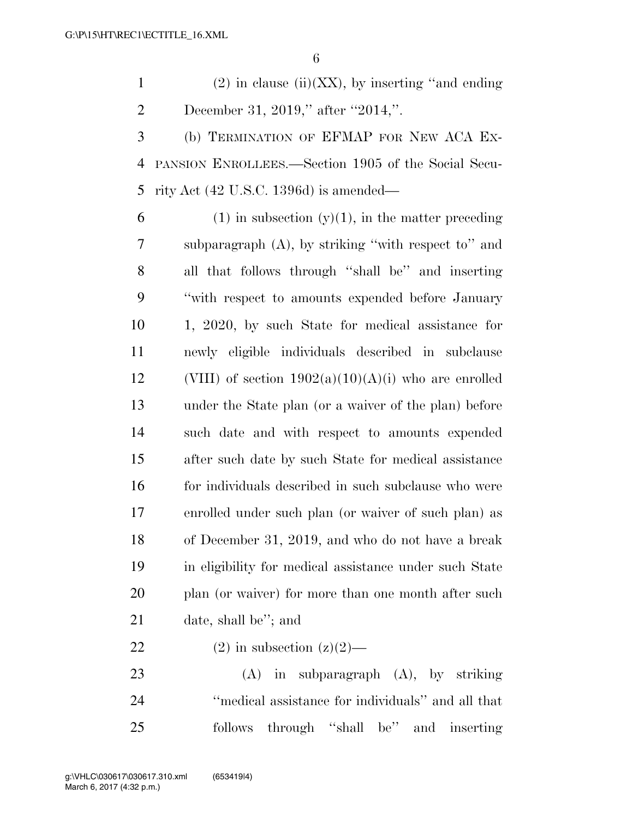1 (2) in clause (ii)(XX), by inserting "and ending" 2 December 31, 2019," after "2014,".

 (b) TERMINATION OF EFMAP FOR NEW ACA EX- PANSION ENROLLEES.—Section 1905 of the Social Secu-rity Act (42 U.S.C. 1396d) is amended—

6 (1) in subsection  $(y)(1)$ , in the matter preceding subparagraph (A), by striking ''with respect to'' and all that follows through ''shall be'' and inserting ''with respect to amounts expended before January 1, 2020, by such State for medical assistance for newly eligible individuals described in subclause 12 (VIII) of section  $1902(a)(10)(A)(i)$  who are enrolled under the State plan (or a waiver of the plan) before such date and with respect to amounts expended after such date by such State for medical assistance 16 for individuals described in such subclause who were enrolled under such plan (or waiver of such plan) as of December 31, 2019, and who do not have a break in eligibility for medical assistance under such State 20 plan (or waiver) for more than one month after such date, shall be''; and

22 (2) in subsection  $(z)(2)$ —

 (A) in subparagraph (A), by striking ''medical assistance for individuals'' and all that follows through ''shall be'' and inserting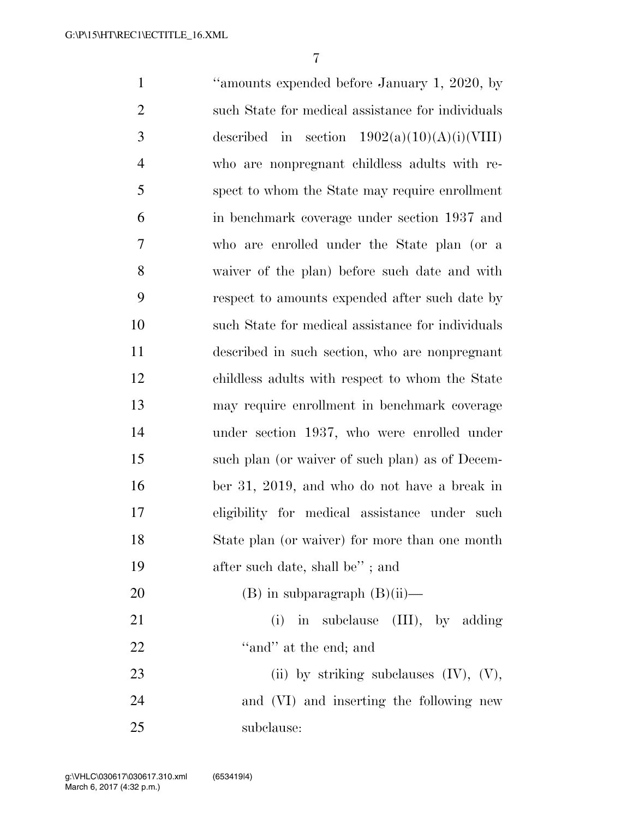''amounts expended before January 1, 2020, by such State for medical assistance for individuals 3 described in section  $1902(a)(10)(A)(i)(VIII)$  who are nonpregnant childless adults with re- spect to whom the State may require enrollment in benchmark coverage under section 1937 and who are enrolled under the State plan (or a waiver of the plan) before such date and with respect to amounts expended after such date by such State for medical assistance for individuals described in such section, who are nonpregnant childless adults with respect to whom the State may require enrollment in benchmark coverage under section 1937, who were enrolled under such plan (or waiver of such plan) as of Decem- ber 31, 2019, and who do not have a break in eligibility for medical assistance under such State plan (or waiver) for more than one month 19 after such date, shall be"; and 20 (B) in subparagraph  $(B)(ii)$ — 21 (i) in subclause (III), by adding 22 "and" at the end; and 23 (ii) by striking subclauses (IV), (V), and (VI) and inserting the following new subclause: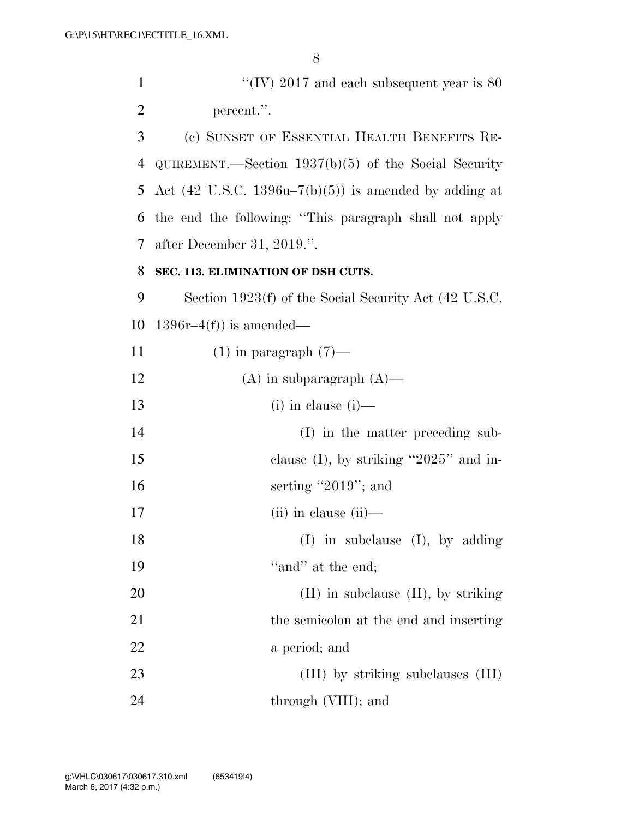1 ''(IV) 2017 and each subsequent year is 80 2 percent.''. 3 (c) SUNSET OF ESSENTIAL HEALTH BENEFITS RE-4 QUIREMENT.—Section 1937(b)(5) of the Social Security 5 Act (42 U.S.C. 1396u–7(b)(5)) is amended by adding at 6 the end the following: ''This paragraph shall not apply 7 after December 31, 2019.''. 8 **SEC. 113. ELIMINATION OF DSH CUTS.**  9 Section 1923(f) of the Social Security Act (42 U.S.C. 10 1396 $r-4(f)$  is amended— 11  $(1)$  in paragraph  $(7)$ — 12 (A) in subparagraph (A)— 13 (i) in clause (i)— 14 (I) in the matter preceding sub-15 clause (I), by striking "2025" and in-16 serting "2019"; and 17 (ii) in clause (ii)— 18 (I) in subclause (I), by adding 19 ''and'' at the end: 20 (II) in subclause (II), by striking 21 the semicolon at the end and inserting 22 a period; and 23 (III) by striking subclauses (III) 24 through (VIII); and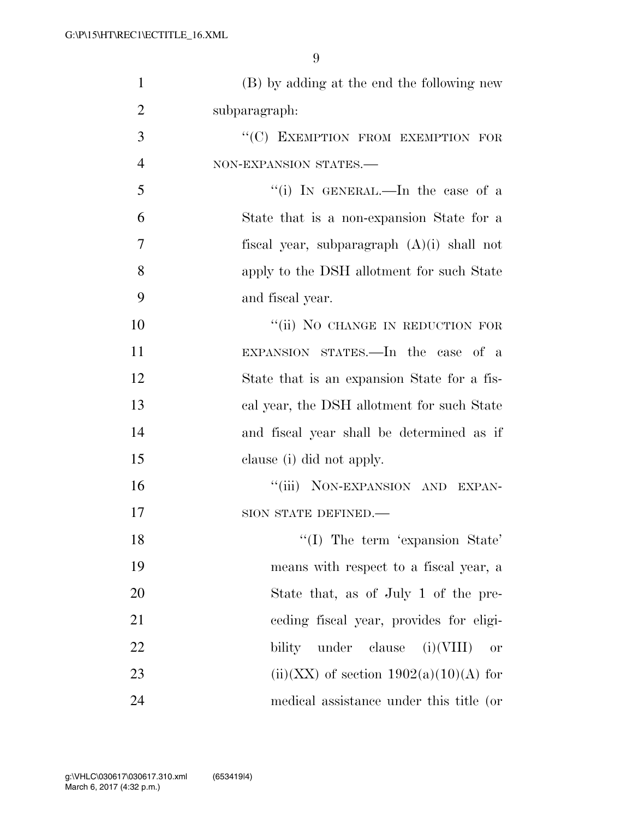| $\mathbf{1}$   | (B) by adding at the end the following new      |
|----------------|-------------------------------------------------|
| $\overline{2}$ | subparagraph:                                   |
| 3              | "(C) EXEMPTION FROM EXEMPTION FOR               |
| $\overline{4}$ | NON-EXPANSION STATES.                           |
| 5              | "(i) IN GENERAL.—In the case of a               |
| 6              | State that is a non-expansion State for a       |
| 7              | fiscal year, subparagraph $(A)(i)$ shall not    |
| 8              | apply to the DSH allotment for such State       |
| 9              | and fiscal year.                                |
| 10             | "(ii) NO CHANGE IN REDUCTION FOR                |
| 11             | EXPANSION STATES.—In the case of a              |
| 12             | State that is an expansion State for a fis-     |
| 13             | cal year, the DSH allotment for such State      |
| 14             | and fiscal year shall be determined as if       |
| 15             | clause (i) did not apply.                       |
| 16             | "(iii) NON-EXPANSION AND EXPAN-                 |
| 17             | SION STATE DEFINED.-                            |
| 18             | $\lq\lq$ (I) The term 'expansion State'         |
| 19             | means with respect to a fiscal year, a          |
| 20             | State that, as of July 1 of the pre-            |
| 21             | eeding fiscal year, provides for eligi-         |
| <u>22</u>      | under clause $(i)(VIII)$<br>bility<br><b>or</b> |
| 23             | $(ii)(XX)$ of section $1902(a)(10)(A)$ for      |
| 24             | medical assistance under this title (or         |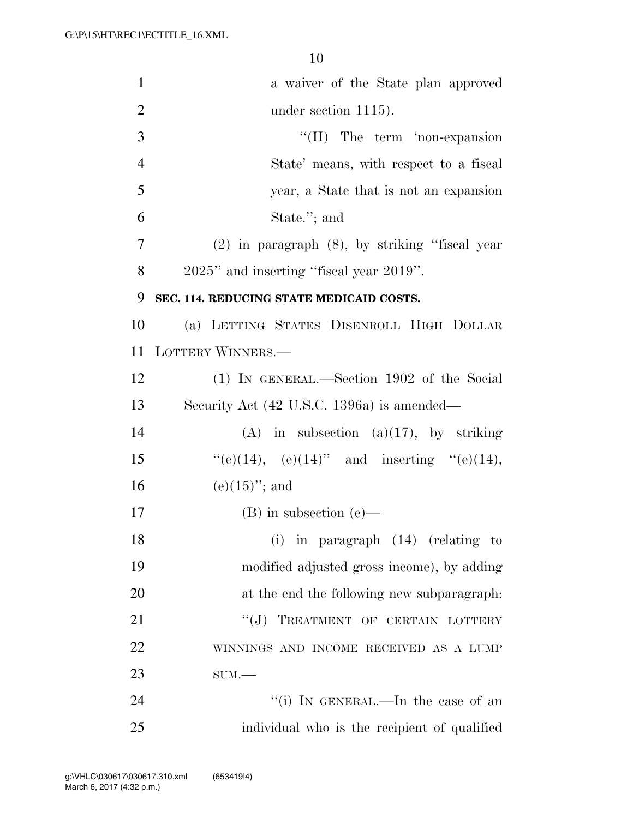| $\mathbf{1}$   | a waiver of the State plan approved                 |
|----------------|-----------------------------------------------------|
| $\overline{2}$ | under section $1115$ ).                             |
| 3              | $\lq\lq$ (II) The term 'non-expansion               |
| $\overline{4}$ | State' means, with respect to a fiscal              |
| 5              | year, a State that is not an expansion              |
| 6              | State."; and                                        |
| 7              | $(2)$ in paragraph $(8)$ , by striking "fiscal year |
| 8              | 2025" and inserting "fiscal year 2019".             |
| 9              | SEC. 114. REDUCING STATE MEDICAID COSTS.            |
| 10             | (a) LETTING STATES DISENROLL HIGH DOLLAR            |
| 11             | <b>LOTTERY WINNERS.—</b>                            |
| 12             | (1) IN GENERAL.—Section 1902 of the Social          |
| 13             | Security Act (42 U.S.C. 1396a) is amended—          |
| 14             | $(A)$ in subsection $(a)(17)$ , by striking         |
| 15             | "(e)(14), (e)(14)" and inserting "(e)(14),          |
| 16             | $(e)(15)$ "; and                                    |
| 17             | $(B)$ in subsection $(e)$ —                         |
| 18             | $(i)$ in paragraph $(14)$ (relating to              |
| 19             | modified adjusted gross income), by adding          |
| 20             | at the end the following new subparagraph.          |
| 21             | "(J) TREATMENT OF CERTAIN LOTTERY                   |
| 22             | WINNINGS AND INCOME RECEIVED AS A LUMP              |
| 23             | $SUM$ .                                             |
| 24             | "(i) IN GENERAL.—In the case of an                  |
| 25             | individual who is the recipient of qualified        |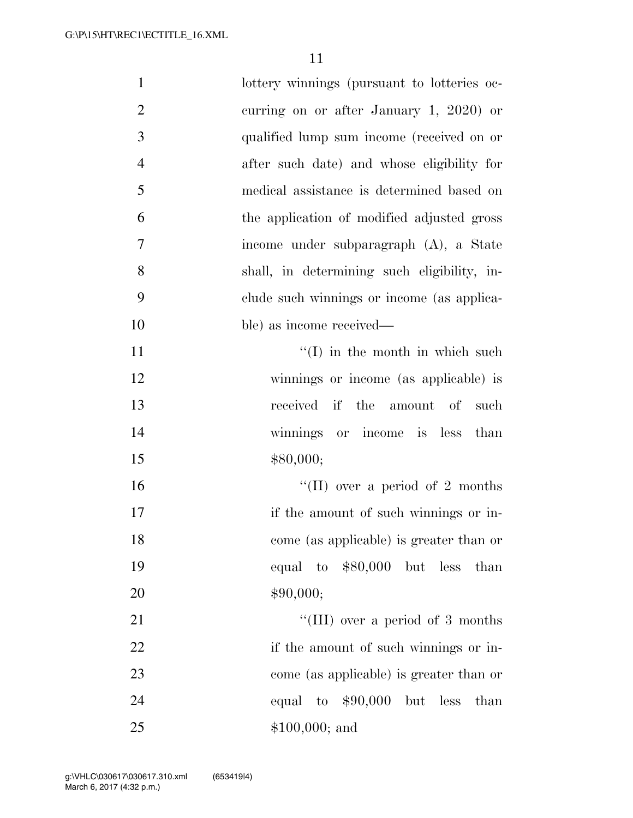| $\mathbf{1}$   | lottery winnings (pursuant to lotteries oc- |
|----------------|---------------------------------------------|
| $\overline{2}$ | curring on or after January 1, 2020) or     |
| 3              | qualified lump sum income (received on or   |
| $\overline{4}$ | after such date) and whose eligibility for  |
| 5              | medical assistance is determined based on   |
| 6              | the application of modified adjusted gross  |
| $\overline{7}$ | income under subparagraph (A), a State      |
| 8              | shall, in determining such eligibility, in- |
| 9              | clude such winnings or income (as applica-  |
| 10             | ble) as income received—                    |
| 11             | $\lq\lq$ (I) in the month in which such     |
| 12             | winnings or income (as applicable) is       |
| 13             | received if the amount of such              |
| 14             | winnings or income is less than             |
| 15             | \$80,000;                                   |
| 16             | "(II) over a period of 2 months             |
| 17             | if the amount of such winnings or in-       |
| 18             | come (as applicable) is greater than or     |
| 19             | equal to $$80,000$ but less than            |
| 20             | \$90,000;                                   |
| 21             | "(III) over a period of 3 months            |
| 22             | if the amount of such winnings or in-       |
| 23             | come (as applicable) is greater than or     |
| 24             | equal to $$90,000$<br>but less<br>than      |
| 25             | $$100,000;$ and                             |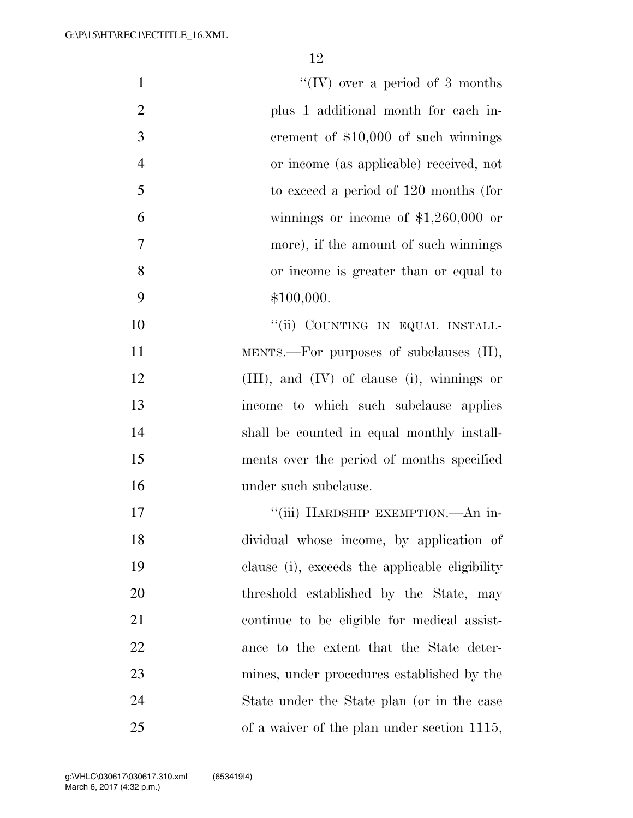| $\mathbf{1}$   | "(IV) over a period of 3 months                 |
|----------------|-------------------------------------------------|
| $\overline{2}$ | plus 1 additional month for each in-            |
| 3              | crement of $$10,000$ of such winnings           |
| $\overline{4}$ | or income (as applicable) received, not         |
| 5              | to exceed a period of 120 months (for           |
| 6              | winnings or income of $$1,260,000$ or           |
| 7              | more), if the amount of such winnings           |
| 8              | or income is greater than or equal to           |
| 9              | \$100,000.                                      |
| 10             | "(ii) COUNTING IN EQUAL INSTALL-                |
| 11             | MENTS.—For purposes of subclauses (II),         |
| 12             | $(III)$ , and $(IV)$ of clause (i), winnings or |
| 13             | income to which such subclause applies          |
| 14             | shall be counted in equal monthly install-      |
| 15             | ments over the period of months specified       |
| 16             | under such subclause.                           |
| 17             | "(iii) HARDSHIP EXEMPTION.—An in-               |
| 18             | dividual whose income, by application of        |
| 19             | clause (i), exceeds the applicable eligibility  |
| 20             | threshold established by the State, may         |
| 21             | continue to be eligible for medical assist-     |
| 22             | ance to the extent that the State deter-        |
| 23             | mines, under procedures established by the      |
| 24             | State under the State plan (or in the case      |
| 25             | of a waiver of the plan under section 1115,     |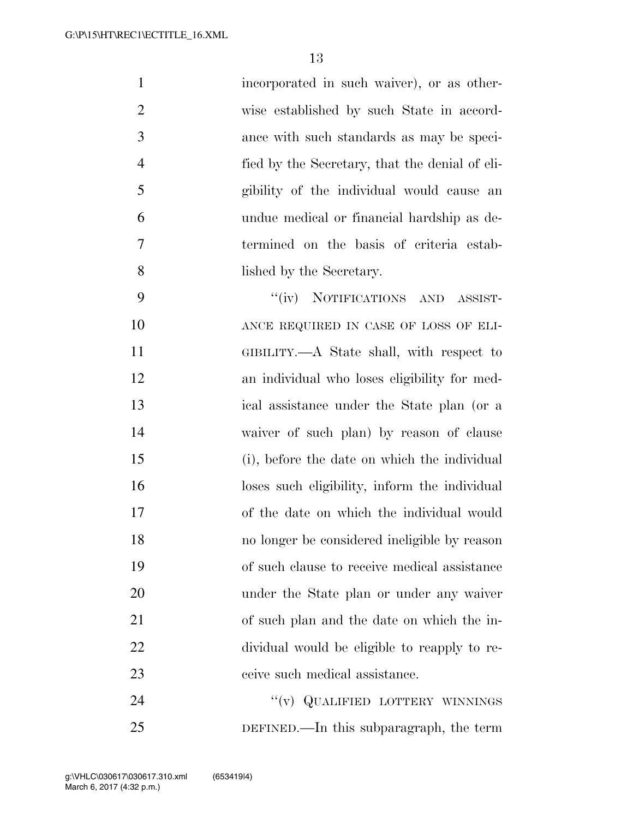| $\mathbf{1}$   | incorporated in such waiver), or as other-     |
|----------------|------------------------------------------------|
| $\overline{2}$ | wise established by such State in accord-      |
| 3              | ance with such standards as may be speci-      |
| $\overline{4}$ | fied by the Secretary, that the denial of eli- |
| 5              | gibility of the individual would cause an      |
| 6              | undue medical or financial hardship as de-     |
| 7              | termined on the basis of criteria estab-       |
| 8              | lished by the Secretary.                       |
|                |                                                |

9 "(iv) NOTIFICATIONS AND ASSIST- ANCE REQUIRED IN CASE OF LOSS OF ELI- GIBILITY.—A State shall, with respect to an individual who loses eligibility for med- ical assistance under the State plan (or a waiver of such plan) by reason of clause (i), before the date on which the individual loses such eligibility, inform the individual of the date on which the individual would no longer be considered ineligible by reason of such clause to receive medical assistance under the State plan or under any waiver of such plan and the date on which the in- dividual would be eligible to reapply to re-ceive such medical assistance.

24 "(v) QUALIFIED LOTTERY WINNINGS DEFINED.—In this subparagraph, the term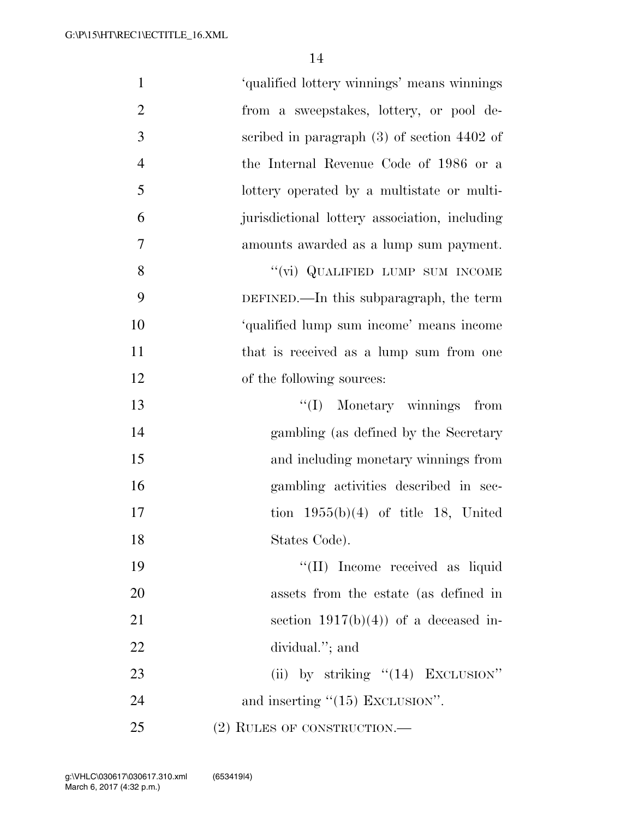| $\mathbf{1}$   | 'qualified lottery winnings' means winnings   |
|----------------|-----------------------------------------------|
| $\overline{2}$ | from a sweepstakes, lottery, or pool de-      |
| 3              | scribed in paragraph $(3)$ of section 4402 of |
| $\overline{4}$ | the Internal Revenue Code of 1986 or a        |
| 5              | lottery operated by a multistate or multi-    |
| 6              | jurisdictional lottery association, including |
| 7              | amounts awarded as a lump sum payment.        |
| 8              | "(vi) QUALIFIED LUMP SUM INCOME               |
| 9              | DEFINED.—In this subparagraph, the term       |
| 10             | 'qualified lump sum income' means income      |
| 11             | that is received as a lump sum from one       |
| 12             | of the following sources:                     |
| 13             | "(I) Monetary winnings from                   |
| 14             | gambling (as defined by the Secretary         |
| 15             | and including monetary winnings from          |
| 16             | gambling activities described in sec-         |
| 17             | tion $1955(b)(4)$ of title 18, United         |
| 18             | States Code).                                 |
| 19             | "(II) Income received as liquid               |
| 20             | assets from the estate (as defined in         |
| 21             | section $1917(b)(4)$ of a deceased in-        |
| 22             | dividual."; and                               |
| 23             | (ii) by striking "(14) EXCLUSION"             |
| 24             | and inserting $"(15)$ EXCLUSION".             |
| 25             | $(2)$ RULES OF CONSTRUCTION.—                 |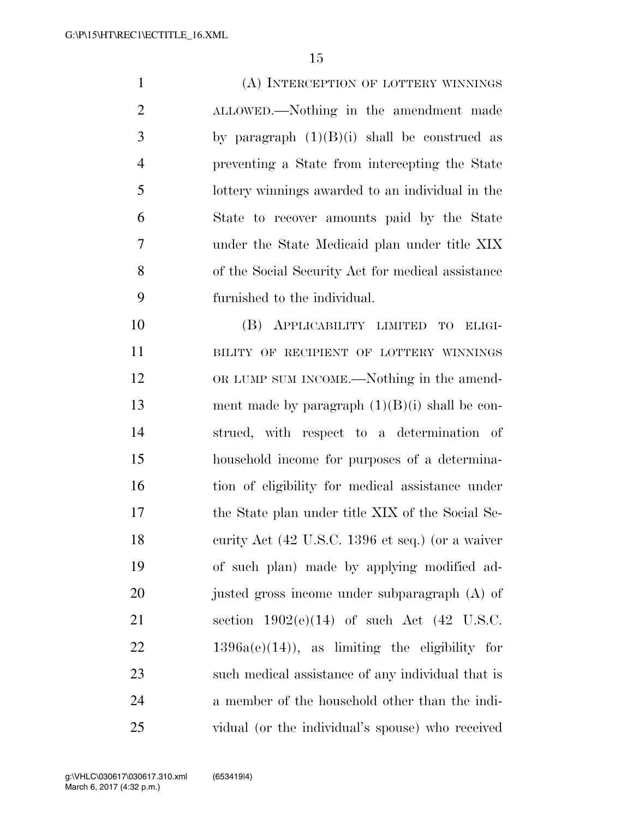(A) INTERCEPTION OF LOTTERY WINNINGS ALLOWED.—Nothing in the amendment made 3 by paragraph  $(1)(B)(i)$  shall be construed as preventing a State from intercepting the State lottery winnings awarded to an individual in the State to recover amounts paid by the State under the State Medicaid plan under title XIX of the Social Security Act for medical assistance furnished to the individual.

 (B) APPLICABILITY LIMITED TO ELIGI-11 BILITY OF RECIPIENT OF LOTTERY WINNINGS OR LUMP SUM INCOME.—Nothing in the amend-13 ment made by paragraph  $(1)(B)(i)$  shall be con- strued, with respect to a determination of household income for purposes of a determina- tion of eligibility for medical assistance under the State plan under title XIX of the Social Se-18 curity Act (42 U.S.C. 1396 et seq.) (or a waiver of such plan) made by applying modified ad-20 justed gross income under subparagraph (A) of section 1902(e)(14) of such Act (42 U.S.C. 1396a(e)(14)), as limiting the eligibility for such medical assistance of any individual that is a member of the household other than the indi-vidual (or the individual's spouse) who received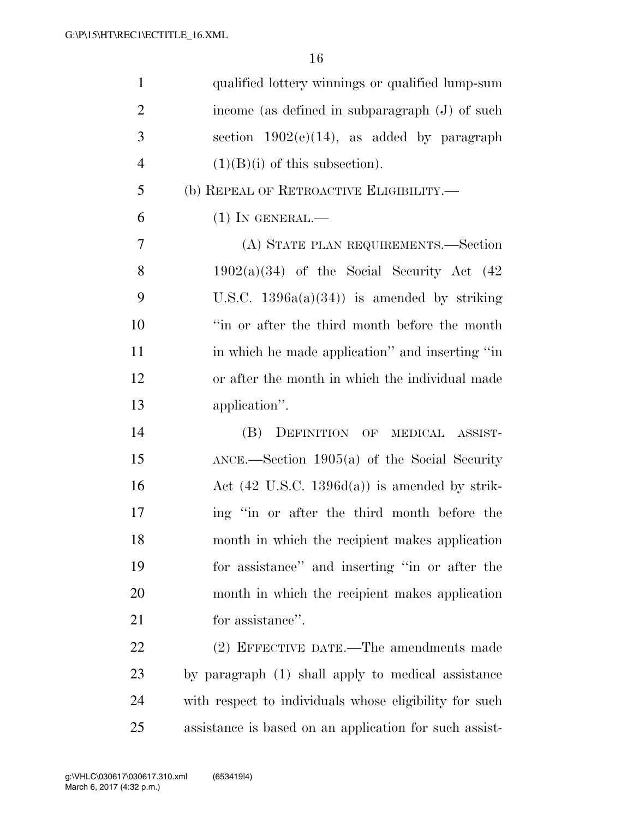| $\mathbf{1}$   | qualified lottery winnings or qualified lump-sum         |
|----------------|----------------------------------------------------------|
| $\overline{2}$ | income (as defined in subparagraph (J) of such           |
| 3              | section $1902(e)(14)$ , as added by paragraph            |
| $\overline{4}$ | $(1)(B)(i)$ of this subsection).                         |
| 5              | (b) REPEAL OF RETROACTIVE ELIGIBILITY.—                  |
| 6              | $(1)$ In GENERAL.—                                       |
| 7              | (A) STATE PLAN REQUIREMENTS.—Section                     |
| 8              | $1902(a)(34)$ of the Social Security Act $(42)$          |
| 9              | U.S.C. $1396a(a)(34)$ is amended by striking             |
| 10             | "in or after the third month before the month            |
| 11             | in which he made application" and inserting "in          |
| 12             | or after the month in which the individual made          |
| 13             | application".                                            |
| 14             | (B) DEFINITION OF MEDICAL ASSIST-                        |
| 15             | $\Delta NCE$ . Section 1905(a) of the Social Security    |
| 16             | Act $(42 \text{ U.S.C. } 1396d(a))$ is amended by strik- |
| 17             | ing "in or after the third month before the              |
| 18             | month in which the recipient makes application           |
| 19             | for assistance" and inserting "in or after the           |
| 20             | month in which the recipient makes application           |
| 21             | for assistance".                                         |
| 22             | (2) EFFECTIVE DATE.—The amendments made                  |
| 23             | by paragraph (1) shall apply to medical assistance       |
| 24             | with respect to individuals whose eligibility for such   |
| 25             | assistance is based on an application for such assist-   |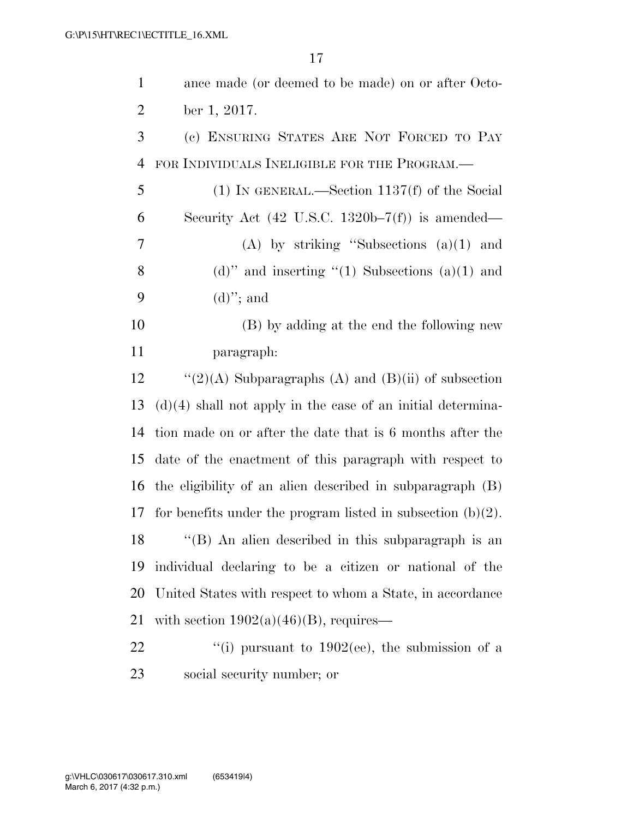| $\mathbf{1}$   | ance made (or deemed to be made) on or after Octo-             |
|----------------|----------------------------------------------------------------|
| $\overline{2}$ | ber 1, 2017.                                                   |
| 3              | (c) ENSURING STATES ARE NOT FORCED TO PAY                      |
| $\overline{4}$ | FOR INDIVIDUALS INELIGIBLE FOR THE PROGRAM.—                   |
| 5              | $(1)$ IN GENERAL.—Section 1137(f) of the Social                |
| 6              | Security Act $(42 \text{ U.S.C. } 1320b-7(f))$ is amended—     |
| 7              | $(A)$ by striking "Subsections $(a)(1)$ and                    |
| 8              | (d)" and inserting $(1)$ Subsections (a)(1) and                |
| 9              | $(d)$ "; and                                                   |
| 10             | (B) by adding at the end the following new                     |
| 11             | paragraph:                                                     |
| 12             | "(2)(A) Subparagraphs (A) and (B)(ii) of subsection            |
| 13             | $(d)(4)$ shall not apply in the case of an initial determina-  |
| 14             | tion made on or after the date that is 6 months after the      |
| 15             | date of the enactment of this paragraph with respect to        |
| 16             | the eligibility of an alien described in subparagraph (B)      |
| 17             | for benefits under the program listed in subsection $(b)(2)$ . |
| 18             | $\lq(6)$ An alien described in this subparagraph is an         |
| 19             | individual declaring to be a citizen or national of the        |
| 20             | United States with respect to whom a State, in accordance      |
| 21             | with section $1902(a)(46)(B)$ , requires—                      |
| 22             | "(i) pursuant to $1902$ (ee), the submission of a              |
| 23             | social security number; or                                     |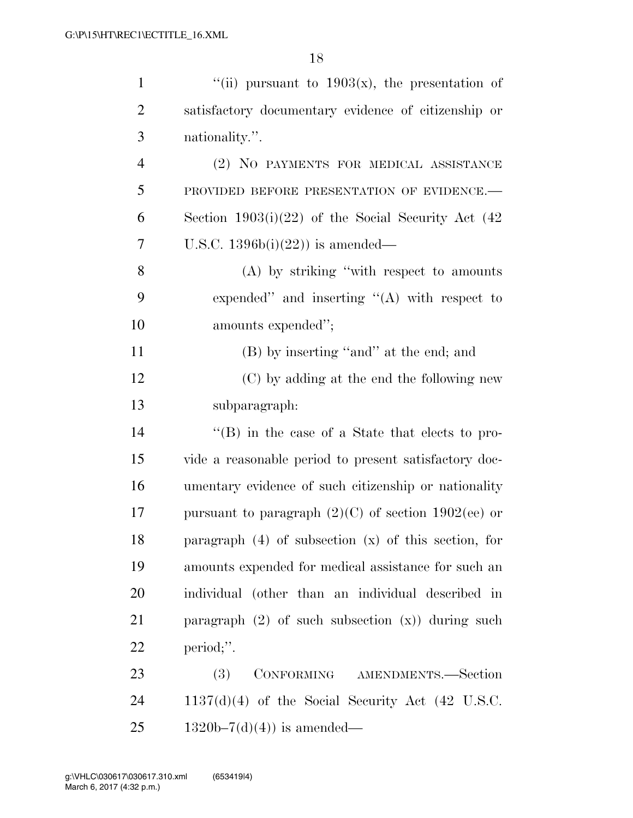| $\mathbf{1}$   | "(ii) pursuant to $1903(x)$ , the presentation of        |
|----------------|----------------------------------------------------------|
| $\overline{2}$ | satisfactory documentary evidence of citizenship or      |
| 3              | nationality.".                                           |
| $\overline{4}$ | (2) NO PAYMENTS FOR MEDICAL ASSISTANCE                   |
| 5              | PROVIDED BEFORE PRESENTATION OF EVIDENCE.-               |
| 6              | Section $1903(i)(22)$ of the Social Security Act (42)    |
| 7              | U.S.C. $1396b(i)(22)$ is amended—                        |
| 8              | $(A)$ by striking "with respect to amounts"              |
| 9              | expended" and inserting " $(A)$ with respect to          |
| 10             | amounts expended";                                       |
| 11             | (B) by inserting "and" at the end; and                   |
| 12             | (C) by adding at the end the following new               |
| 13             | subparagraph:                                            |
| 14             | $\lq\lq (B)$ in the case of a State that elects to pro-  |
| 15             | vide a reasonable period to present satisfactory doc-    |
| 16             | umentary evidence of such citizenship or nationality     |
| 17             | pursuant to paragraph $(2)(C)$ of section 1902(ee) or    |
| 18             | paragraph $(4)$ of subsection $(x)$ of this section, for |
| 19             | amounts expended for medical assistance for such an      |
| 20             | individual (other than an individual described in        |
| 21             | paragraph $(2)$ of such subsection $(x)$ during such     |
| 22             | period;".                                                |
| 23             | CONFORMING AMENDMENTS.-Section<br>(3)                    |
| 24             | $1137(d)(4)$ of the Social Security Act (42 U.S.C.       |
| 25             | $1320b-7(d)(4)$ is amended—                              |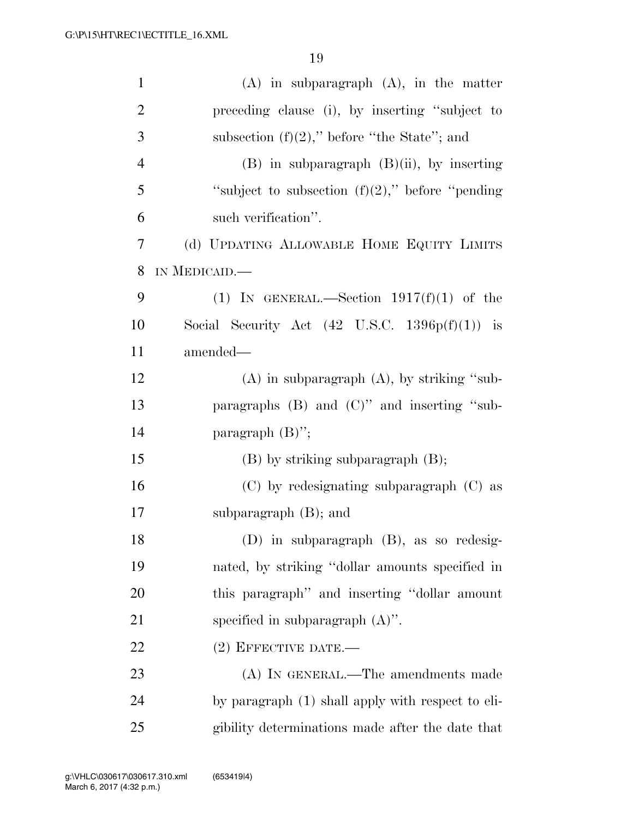| $\mathbf{1}$   | $(A)$ in subparagraph $(A)$ , in the matter               |
|----------------|-----------------------------------------------------------|
| $\overline{2}$ | preceding clause (i), by inserting "subject to            |
| 3              | subsection $(f)(2)$ ," before "the State"; and            |
| $\overline{4}$ | $(B)$ in subparagraph $(B)(ii)$ , by inserting            |
| 5              | "subject to subsection $(f)(2)$ ," before "pending"       |
| 6              | such verification".                                       |
| 7              | (d) UPDATING ALLOWABLE HOME EQUITY LIMITS                 |
| 8              | IN MEDICAID.                                              |
| 9              | (1) IN GENERAL.—Section $1917(f)(1)$ of the               |
| 10             | Social Security Act $(42 \text{ U.S.C. } 1396p(f)(1))$ is |
| 11             | amended—                                                  |
| 12             | $(A)$ in subparagraph $(A)$ , by striking "sub-           |
| 13             | paragraphs $(B)$ and $(C)$ " and inserting "sub-          |
| 14             | paragraph $(B)$ ";                                        |
| 15             | $(B)$ by striking subparagraph $(B)$ ;                    |
| 16             | $(C)$ by redesignating subparagraph $(C)$ as              |
| 17             | subparagraph $(B)$ ; and                                  |
| 18             | (D) in subparagraph (B), as so redesig-                   |
| 19             | nated, by striking "dollar amounts specified in           |
| 20             | this paragraph" and inserting "dollar amount              |
| 21             | specified in subparagraph $(A)$ ".                        |
| 22             | $(2)$ EFFECTIVE DATE.—                                    |
| 23             | (A) IN GENERAL.—The amendments made                       |
| 24             | by paragraph (1) shall apply with respect to eli-         |
| 25             | gibility determinations made after the date that          |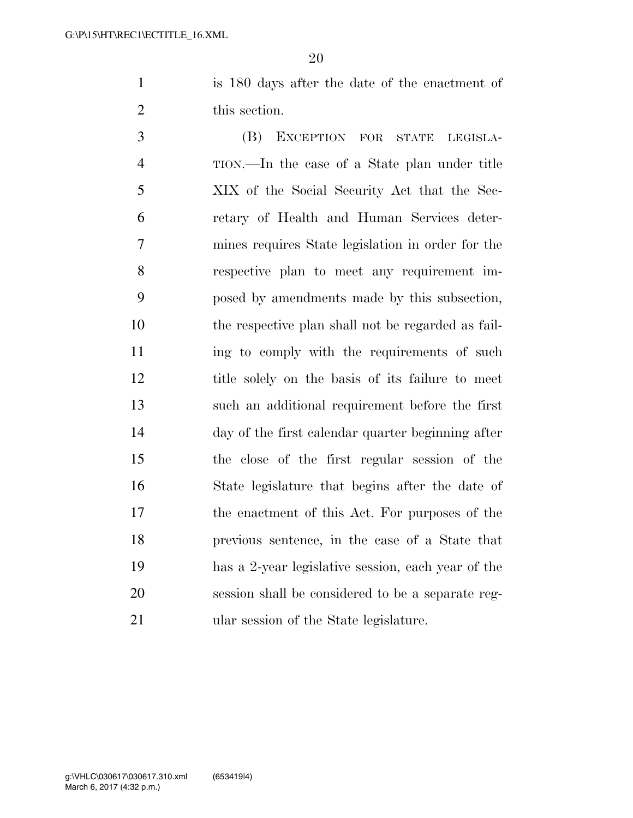is 180 days after the date of the enactment of this section.

 (B) EXCEPTION FOR STATE LEGISLA- TION.—In the case of a State plan under title XIX of the Social Security Act that the Sec- retary of Health and Human Services deter- mines requires State legislation in order for the respective plan to meet any requirement im- posed by amendments made by this subsection, the respective plan shall not be regarded as fail-11 ing to comply with the requirements of such title solely on the basis of its failure to meet such an additional requirement before the first day of the first calendar quarter beginning after the close of the first regular session of the State legislature that begins after the date of the enactment of this Act. For purposes of the previous sentence, in the case of a State that has a 2-year legislative session, each year of the session shall be considered to be a separate reg-ular session of the State legislature.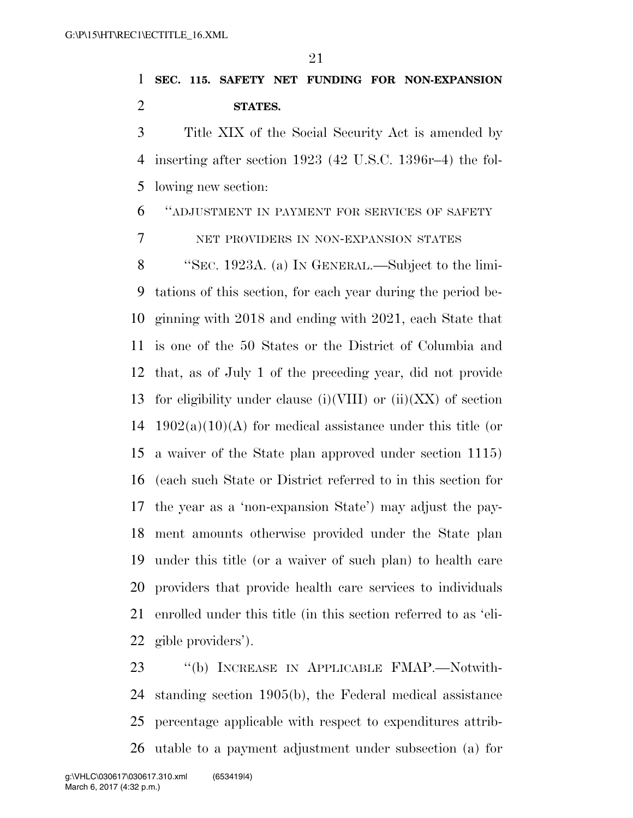**SEC. 115. SAFETY NET FUNDING FOR NON-EXPANSION STATES.** 

 Title XIX of the Social Security Act is amended by inserting after section 1923 (42 U.S.C. 1396r–4) the fol-lowing new section:

''ADJUSTMENT IN PAYMENT FOR SERVICES OF SAFETY

NET PROVIDERS IN NON-EXPANSION STATES

 ''SEC. 1923A. (a) IN GENERAL.—Subject to the limi- tations of this section, for each year during the period be- ginning with 2018 and ending with 2021, each State that is one of the 50 States or the District of Columbia and that, as of July 1 of the preceding year, did not provide 13 for eligibility under clause (i)(VIII) or (ii)(XX) of section 14 1902(a)(10)(A) for medical assistance under this title (or a waiver of the State plan approved under section 1115) (each such State or District referred to in this section for the year as a 'non-expansion State') may adjust the pay- ment amounts otherwise provided under the State plan under this title (or a waiver of such plan) to health care providers that provide health care services to individuals enrolled under this title (in this section referred to as 'eli-gible providers').

 ''(b) INCREASE IN APPLICABLE FMAP.—Notwith- standing section 1905(b), the Federal medical assistance percentage applicable with respect to expenditures attrib-utable to a payment adjustment under subsection (a) for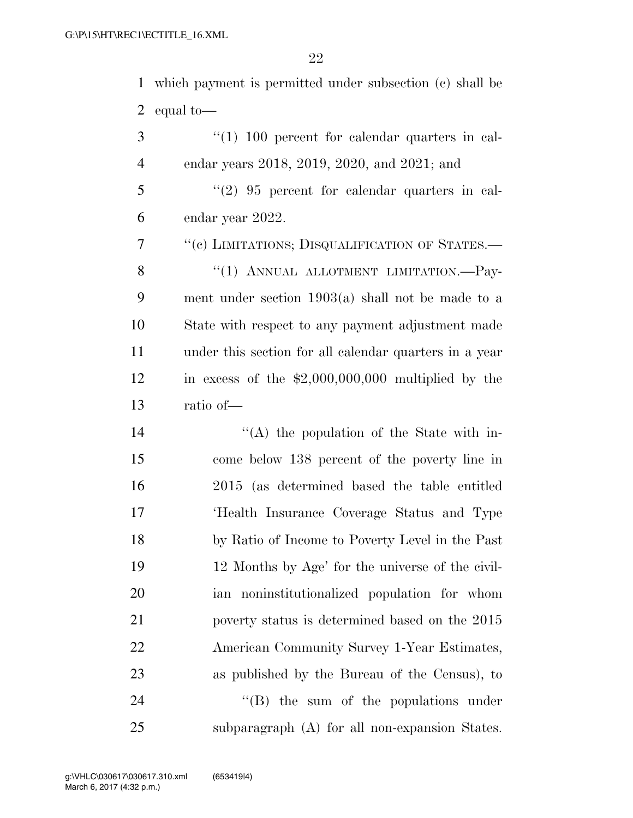which payment is permitted under subsection (c) shall be equal to—

3 (1) 100 percent for calendar quarters in cal-endar years 2018, 2019, 2020, and 2021; and

 ''(2) 95 percent for calendar quarters in cal-endar year 2022.

 ''(c) LIMITATIONS; DISQUALIFICATION OF STATES.— 8 "(1) ANNUAL ALLOTMENT LIMITATION.—Pay- ment under section 1903(a) shall not be made to a State with respect to any payment adjustment made under this section for all calendar quarters in a year in excess of the \$2,000,000,000 multiplied by the ratio of—

14 ''(A) the population of the State with in- come below 138 percent of the poverty line in 2015 (as determined based the table entitled 'Health Insurance Coverage Status and Type by Ratio of Income to Poverty Level in the Past 12 Months by Age' for the universe of the civil- ian noninstitutionalized population for whom poverty status is determined based on the 2015 American Community Survey 1-Year Estimates, as published by the Bureau of the Census), to  $\text{``(B)}$  the sum of the populations under subparagraph (A) for all non-expansion States.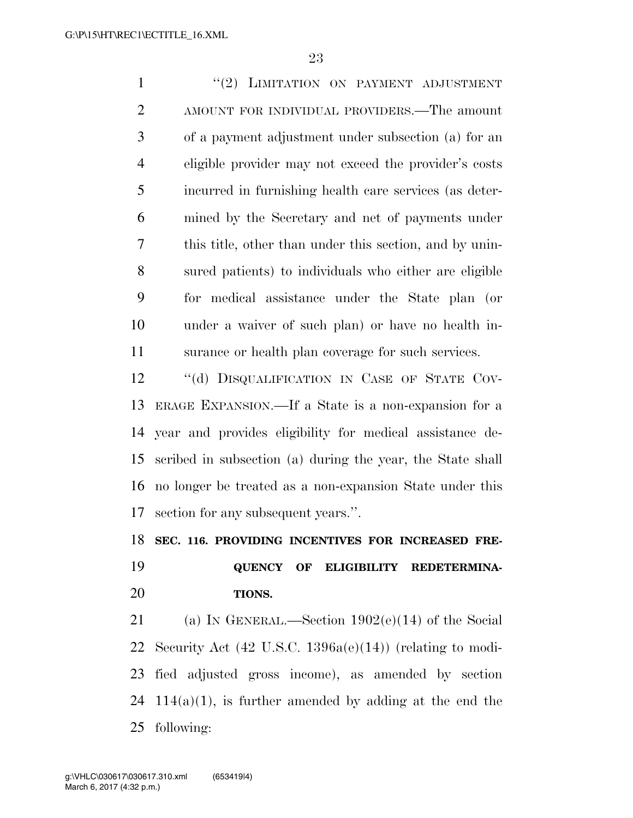1 ''(2) LIMITATION ON PAYMENT ADJUSTMENT AMOUNT FOR INDIVIDUAL PROVIDERS.—The amount of a payment adjustment under subsection (a) for an eligible provider may not exceed the provider's costs incurred in furnishing health care services (as deter- mined by the Secretary and net of payments under this title, other than under this section, and by unin- sured patients) to individuals who either are eligible for medical assistance under the State plan (or under a waiver of such plan) or have no health in- surance or health plan coverage for such services. 12 "(d) DISQUALIFICATION IN CASE OF STATE COV- ERAGE EXPANSION.—If a State is a non-expansion for a year and provides eligibility for medical assistance de- scribed in subsection (a) during the year, the State shall no longer be treated as a non-expansion State under this section for any subsequent years.''.

**SEC. 116. PROVIDING INCENTIVES FOR INCREASED FRE-**

## **QUENCY OF ELIGIBILITY REDETERMINA-TIONS.**

 (a) IN GENERAL.—Section 1902(e)(14) of the Social Security Act (42 U.S.C. 1396a(e)(14)) (relating to modi- fied adjusted gross income), as amended by section 24 114(a)(1), is further amended by adding at the end the following: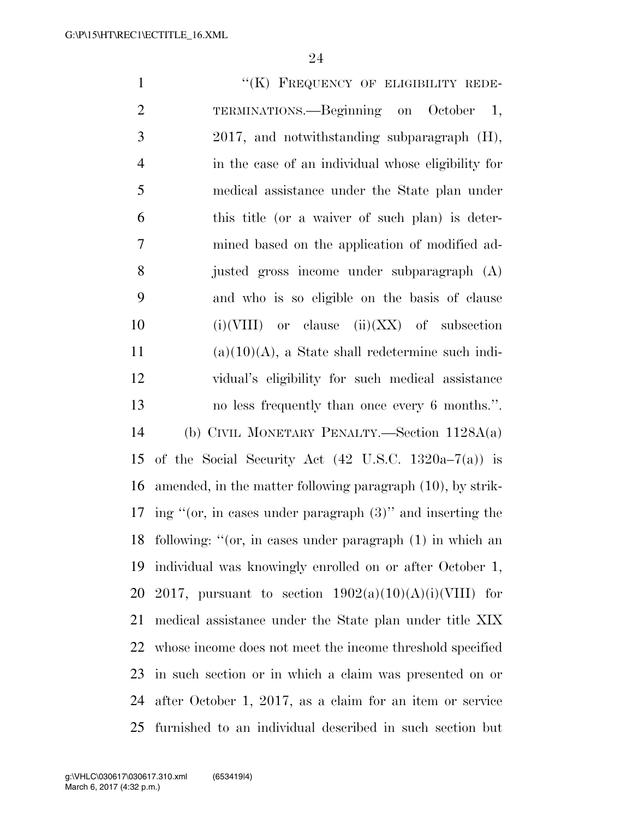1 "(K) FREQUENCY OF ELIGIBILITY REDE- TERMINATIONS.—Beginning on October 1, 2017, and notwithstanding subparagraph (H), in the case of an individual whose eligibility for medical assistance under the State plan under this title (or a waiver of such plan) is deter- mined based on the application of modified ad- justed gross income under subparagraph (A) and who is so eligible on the basis of clause  $(i)(VIII)$  or clause  $(ii)(XX)$  of subsection (a)(10)(A), a State shall redetermine such indi- vidual's eligibility for such medical assistance no less frequently than once every 6 months.''. (b) CIVIL MONETARY PENALTY.—Section 1128A(a) 15 of the Social Security Act  $(42 \text{ U.S.C. } 1320a-7(a))$  is amended, in the matter following paragraph (10), by strik- ing ''(or, in cases under paragraph (3)'' and inserting the following: ''(or, in cases under paragraph (1) in which an individual was knowingly enrolled on or after October 1, 20 2017, pursuant to section  $1902(a)(10)(A)(i)(VIII)$  for medical assistance under the State plan under title XIX whose income does not meet the income threshold specified in such section or in which a claim was presented on or after October 1, 2017, as a claim for an item or service furnished to an individual described in such section but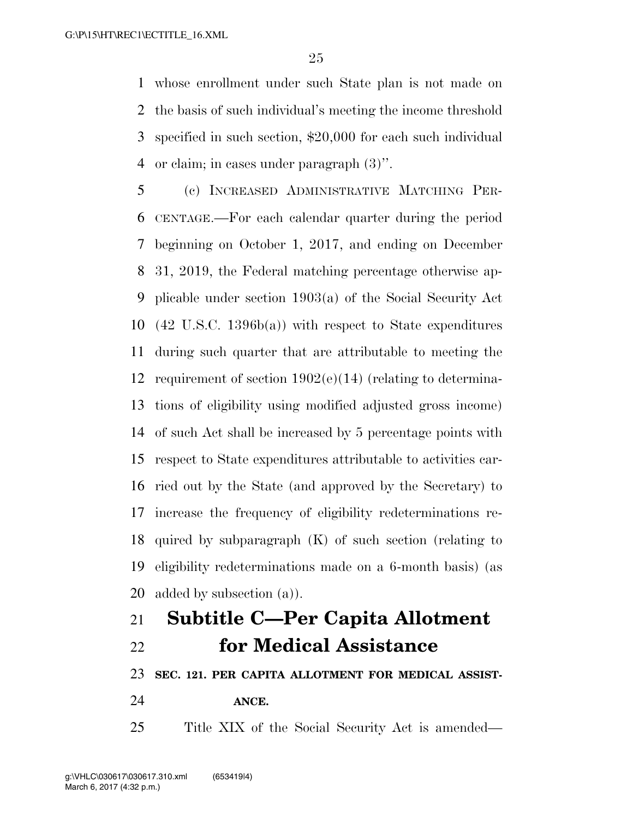whose enrollment under such State plan is not made on the basis of such individual's meeting the income threshold specified in such section, \$20,000 for each such individual or claim; in cases under paragraph (3)''.

 (c) INCREASED ADMINISTRATIVE MATCHING PER- CENTAGE.—For each calendar quarter during the period beginning on October 1, 2017, and ending on December 31, 2019, the Federal matching percentage otherwise ap- plicable under section 1903(a) of the Social Security Act (42 U.S.C. 1396b(a)) with respect to State expenditures during such quarter that are attributable to meeting the requirement of section 1902(e)(14) (relating to determina- tions of eligibility using modified adjusted gross income) of such Act shall be increased by 5 percentage points with respect to State expenditures attributable to activities car- ried out by the State (and approved by the Secretary) to increase the frequency of eligibility redeterminations re- quired by subparagraph (K) of such section (relating to eligibility redeterminations made on a 6-month basis) (as added by subsection (a)).

# **Subtitle C—Per Capita Allotment for Medical Assistance**

**SEC. 121. PER CAPITA ALLOTMENT FOR MEDICAL ASSIST-**

**ANCE.** 

Title XIX of the Social Security Act is amended—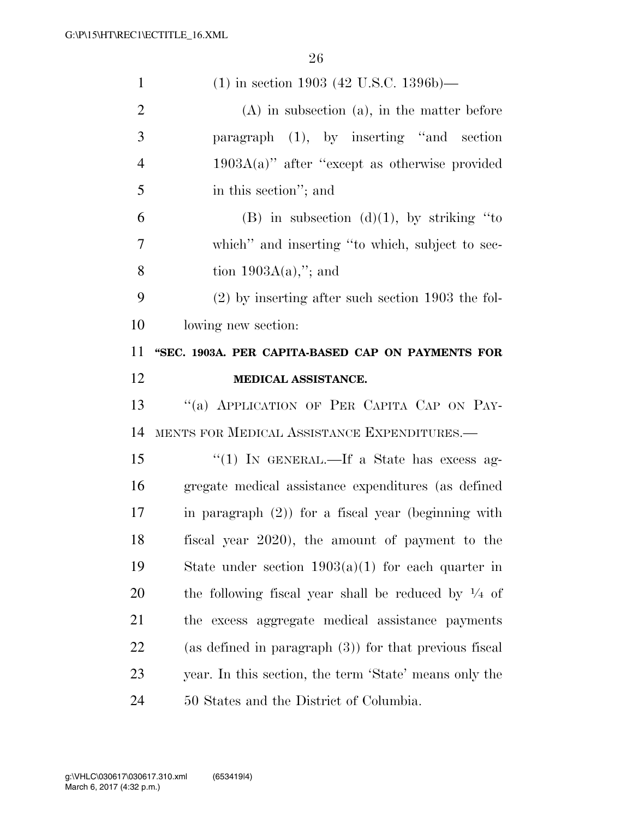| $\mathbf{1}$   | $(1)$ in section 1903 (42 U.S.C. 1396b)—                       |
|----------------|----------------------------------------------------------------|
| $\overline{2}$ | $(A)$ in subsection $(a)$ , in the matter before               |
| 3              | paragraph (1), by inserting "and section                       |
| $\overline{4}$ | $1903A(a)$ " after "except as otherwise provided               |
| 5              | in this section"; and                                          |
| 6              | (B) in subsection $(d)(1)$ , by striking "to                   |
| 7              | which" and inserting "to which, subject to sec-                |
| 8              | tion $1903A(a)$ ,"; and                                        |
| 9              | $(2)$ by inserting after such section 1903 the fol-            |
| 10             | lowing new section:                                            |
| 11             | "SEC. 1903A. PER CAPITA-BASED CAP ON PAYMENTS FOR              |
| 12             | MEDICAL ASSISTANCE.                                            |
|                |                                                                |
| 13             | "(a) APPLICATION OF PER CAPITA CAP ON PAY-                     |
| 14             | MENTS FOR MEDICAL ASSISTANCE EXPENDITURES.-                    |
| 15             | "(1) IN GENERAL.—If a State has excess ag-                     |
| 16             | gregate medical assistance expenditures (as defined            |
| 17             | in paragraph $(2)$ ) for a fiscal year (beginning with         |
| 18             | fiscal year 2020), the amount of payment to the                |
| 19             | State under section $1903(a)(1)$ for each quarter in           |
| 20             | the following fiscal year shall be reduced by $\frac{1}{4}$ of |
| 21             | the excess aggregate medical assistance payments               |
| <u>22</u>      | (as defined in paragraph $(3)$ ) for that previous fiscal      |
| 23             | year. In this section, the term 'State' means only the         |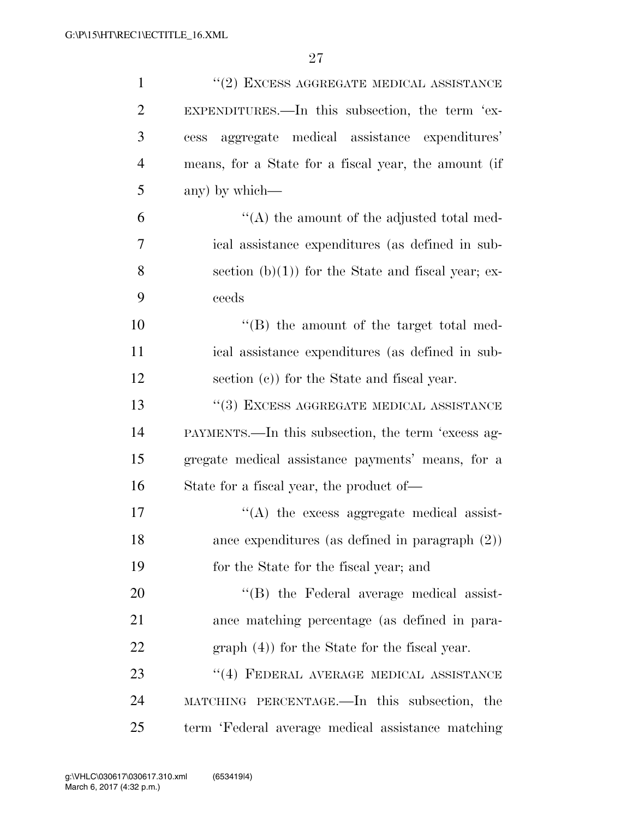| $\mathbf{1}$   | $``(2)$ EXCESS AGGREGATE MEDICAL ASSISTANCE          |
|----------------|------------------------------------------------------|
| $\overline{2}$ | EXPENDITURES.—In this subsection, the term 'ex-      |
| 3              | aggregate medical assistance expenditures'<br>cess   |
| $\overline{4}$ | means, for a State for a fiscal year, the amount (if |
| 5              | any) by which—                                       |
| 6              | $\lq\lq$ the amount of the adjusted total med-       |
| $\overline{7}$ | ical assistance expenditures (as defined in sub-     |
| 8              | section $(b)(1)$ for the State and fiscal year; ex-  |
| 9              | ceeds                                                |
| 10             | "(B) the amount of the target total med-             |
| 11             | ical assistance expenditures (as defined in sub-     |
| 12             | section (c)) for the State and fiscal year.          |
| 13             | $\lq\lq(3)$ EXCESS AGGREGATE MEDICAL ASSISTANCE      |
| 14             | PAYMENTS.—In this subsection, the term 'excess ag-   |
| 15             | gregate medical assistance payments' means, for a    |
| 16             | State for a fiscal year, the product of-             |
| 17             | $\lq\lq$ the excess aggregate medical assist-        |
| 18             | ance expenditures (as defined in paragraph $(2)$ )   |
| 19             | for the State for the fiscal year; and               |
| 20             | "(B) the Federal average medical assist-             |
| 21             | ance matching percentage (as defined in para-        |
| 22             | $graph(4)$ for the State for the fiscal year.        |
| 23             | $``(4)$ FEDERAL AVERAGE MEDICAL ASSISTANCE           |
| 24             | MATCHING PERCENTAGE.—In this subsection, the         |
| 25             | term 'Federal average medical assistance matching    |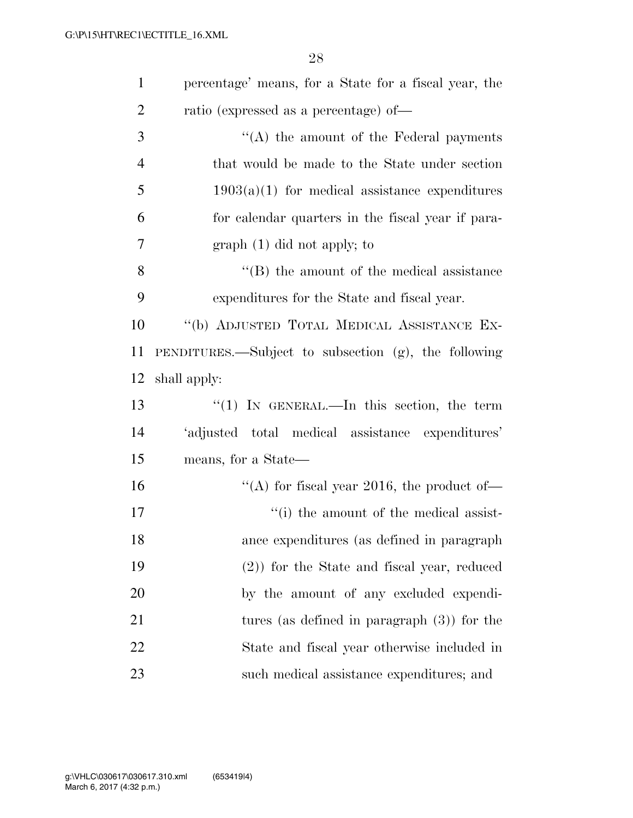| $\mathbf{1}$   | percentage' means, for a State for a fiscal year, the |
|----------------|-------------------------------------------------------|
| $\overline{2}$ | ratio (expressed as a percentage) of-                 |
| 3              | $\lq\lq$ the amount of the Federal payments           |
| $\overline{4}$ | that would be made to the State under section         |
| 5              | $1903(a)(1)$ for medical assistance expenditures      |
| 6              | for calendar quarters in the fiscal year if para-     |
| 7              | $graph(1)$ did not apply; to                          |
| 8              | $\lq\lq$ the amount of the medical assistance         |
| 9              | expenditures for the State and fiscal year.           |
| 10             | "(b) ADJUSTED TOTAL MEDICAL ASSISTANCE EX-            |
| 11             | PENDITURES.—Subject to subsection (g), the following  |
| 12             | shall apply:                                          |
| 13             | " $(1)$ IN GENERAL.—In this section, the term         |
| 14             | 'adjusted total medical assistance expenditures'      |
| 15             | means, for a State—                                   |
| 16             | "(A) for fiscal year 2016, the product of-            |
| 17             | "(i) the amount of the medical assist-                |
| 18             | ance expenditures (as defined in paragraph            |
| 19             | $(2)$ ) for the State and fiscal year, reduced        |
| 20             | by the amount of any excluded expendi-                |
| 21             | tures (as defined in paragraph $(3)$ ) for the        |
| 22             | State and fiscal year otherwise included in           |
| 23             | such medical assistance expenditures; and             |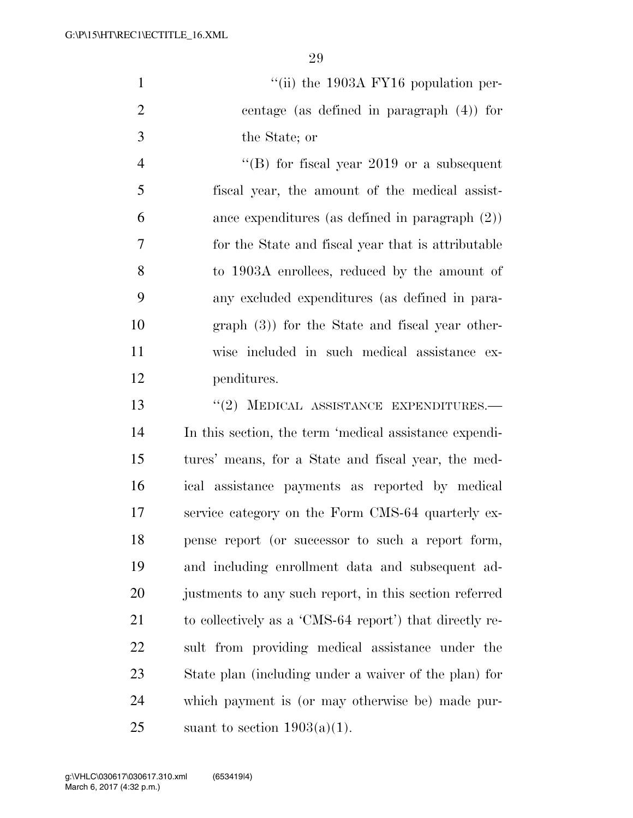1  $\frac{1}{10}$  the 1903A FY16 population per- centage (as defined in paragraph (4)) for the State; or

 ''(B) for fiscal year 2019 or a subsequent fiscal year, the amount of the medical assist- ance expenditures (as defined in paragraph (2)) for the State and fiscal year that is attributable to 1903A enrollees, reduced by the amount of any excluded expenditures (as defined in para- graph (3)) for the State and fiscal year other- wise included in such medical assistance ex-penditures.

13 "(2) MEDICAL ASSISTANCE EXPENDITURES.— In this section, the term 'medical assistance expendi- tures' means, for a State and fiscal year, the med- ical assistance payments as reported by medical service category on the Form CMS-64 quarterly ex- pense report (or successor to such a report form, and including enrollment data and subsequent ad-20 justments to any such report, in this section referred to collectively as a 'CMS-64 report') that directly re- sult from providing medical assistance under the State plan (including under a waiver of the plan) for which payment is (or may otherwise be) made pur-25 suant to section  $1903(a)(1)$ .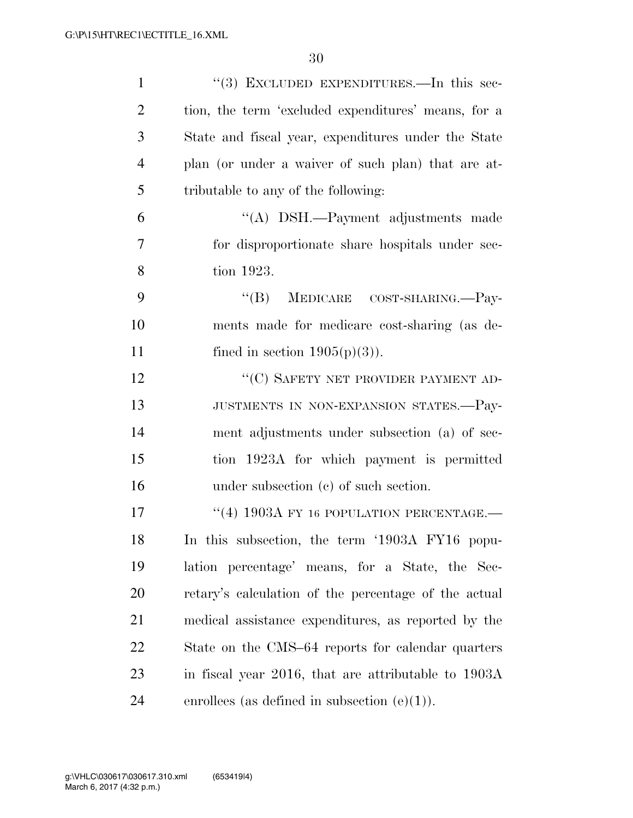| $\mathbf{1}$   | "(3) EXCLUDED EXPENDITURES.—In this sec-             |
|----------------|------------------------------------------------------|
| $\overline{2}$ | tion, the term 'excluded expenditures' means, for a  |
| 3              | State and fiscal year, expenditures under the State  |
| $\overline{4}$ | plan (or under a waiver of such plan) that are at-   |
| 5              | tributable to any of the following:                  |
| 6              | "(A) DSH.—Payment adjustments made                   |
| 7              | for disproportionate share hospitals under sec-      |
| 8              | tion 1923.                                           |
| 9              | MEDICARE COST-SHARING.-Pay-<br>$\lq\lq (B)$          |
| 10             | ments made for medicare cost-sharing (as de-         |
| 11             | fined in section $1905(p)(3)$ ).                     |
| 12             | "(C) SAFETY NET PROVIDER PAYMENT AD-                 |
| 13             | JUSTMENTS IN NON-EXPANSION STATES.-Pay-              |
| 14             | ment adjustments under subsection (a) of sec-        |
| 15             | tion 1923A for which payment is permitted            |
| 16             | under subsection $(c)$ of such section.              |
| 17             | "(4) 1903A FY 16 POPULATION PERCENTAGE.-             |
| 18             | In this subsection, the term '1903A FY16 popu-       |
| 19             | lation percentage' means, for a State, the Sec-      |
| 20             | retary's calculation of the percentage of the actual |
| 21             | medical assistance expenditures, as reported by the  |
| 22             | State on the CMS–64 reports for calendar quarters    |
| 23             | in fiscal year 2016, that are attributable to 1903A  |
| 24             | enrollees (as defined in subsection $(e)(1)$ ).      |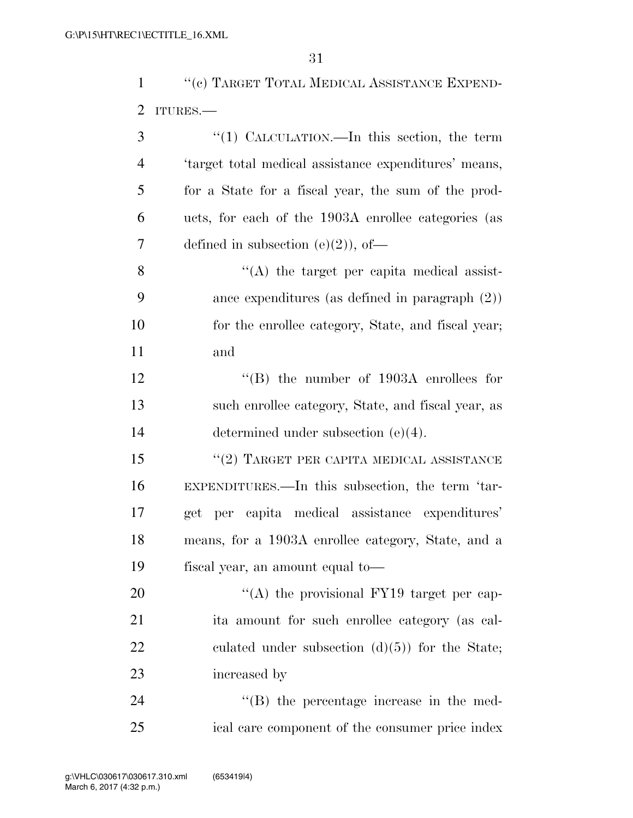1 ''(c) TARGET TOTAL MEDICAL ASSISTANCE EXPEND-ITURES.—

| 3              | "(1) CALCULATION.—In this section, the term                |
|----------------|------------------------------------------------------------|
| $\overline{4}$ | 'target total medical assistance expenditures' means,      |
| 5              | for a State for a fiscal year, the sum of the prod-        |
| 6              | ucts, for each of the 1903A enrollee categories (as        |
| 7              | defined in subsection $(e)(2)$ , of-                       |
| 8              | $\lq\lq$ the target per capita medical assist-             |
| 9              | ance expenditures (as defined in paragraph $(2)$ )         |
| 10             | for the enrollee category, State, and fiscal year;         |
| 11             | and                                                        |
| 12             | $\cdot$ <sup>"</sup> (B) the number of 1903A enrollees for |
| 13             | such enrollee category, State, and fiscal year, as         |
| 14             | determined under subsection $(e)(4)$ .                     |
| 15             | $``(2)$ TARGET PER CAPITA MEDICAL ASSISTANCE               |
| 16             | EXPENDITURES.—In this subsection, the term 'tar-           |
| 17             | per capita medical assistance expenditures'<br>get         |
| 18             | means, for a 1903A enrollee category, State, and a         |
| 19             | fiscal year, an amount equal to—                           |
| 20             | "(A) the provisional FY19 target per cap-                  |
| 21             | ita amount for such enrollee category (as cal-             |
| 22             | culated under subsection $(d)(5)$ for the State;           |
| 23             | increased by                                               |
| 24             | $\lq\lq$ the percentage increase in the med-               |
| 25             | ical care component of the consumer price index            |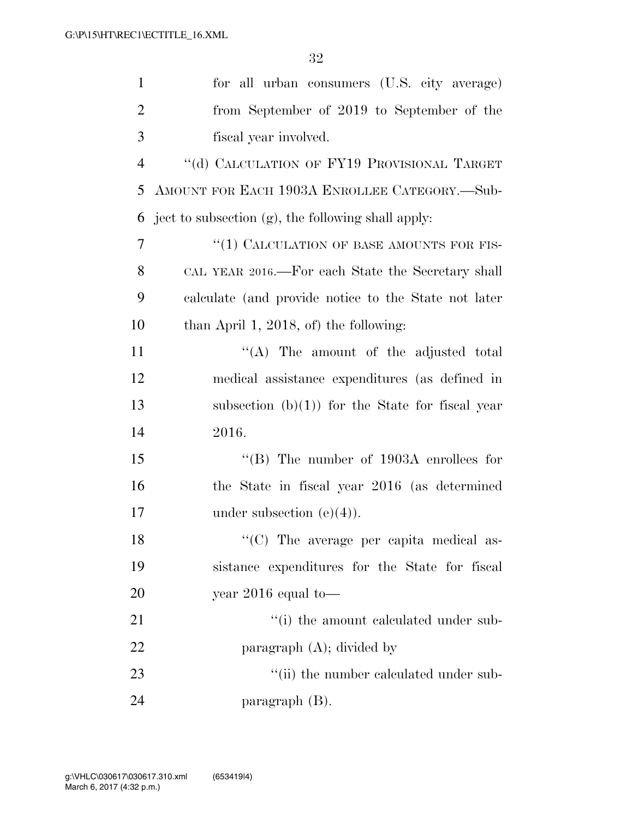| $\mathbf{1}$   | for all urban consumers (U.S. city average)          |
|----------------|------------------------------------------------------|
| $\overline{2}$ | from September of 2019 to September of the           |
| 3              | fiscal year involved.                                |
| $\overline{4}$ | "(d) CALCULATION OF FY19 PROVISIONAL TARGET          |
| 5              | AMOUNT FOR EACH 1903A ENROLLEE CATEGORY.—Sub-        |
| 6              | ject to subsection (g), the following shall apply:   |
| 7              | "(1) CALCULATION OF BASE AMOUNTS FOR FIS-            |
| 8              | CAL YEAR 2016.—For each State the Secretary shall    |
| 9              | calculate (and provide notice to the State not later |
| 10             | than April 1, 2018, of) the following:               |
| 11             | $\lq\lq$ . The amount of the adjusted total          |
| 12             | medical assistance expenditures (as defined in       |
| 13             | subsection $(b)(1)$ for the State for fiscal year    |
| 14             | 2016.                                                |
| 15             | "(B) The number of $1903A$ enrollees for             |
| 16             | the State in fiscal year 2016 (as determined         |
| 17             | under subsection $(e)(4)$ ).                         |
| 18             | "(C) The average per capita medical as-              |
| 19             | sistance expenditures for the State for fiscal       |
| <b>20</b>      | year $2016$ equal to —                               |
| 21             | "(i) the amount calculated under sub-                |
| 22             | paragraph $(A)$ ; divided by                         |
| 23             | "(ii) the number calculated under sub-               |
| 24             | paragraph (B).                                       |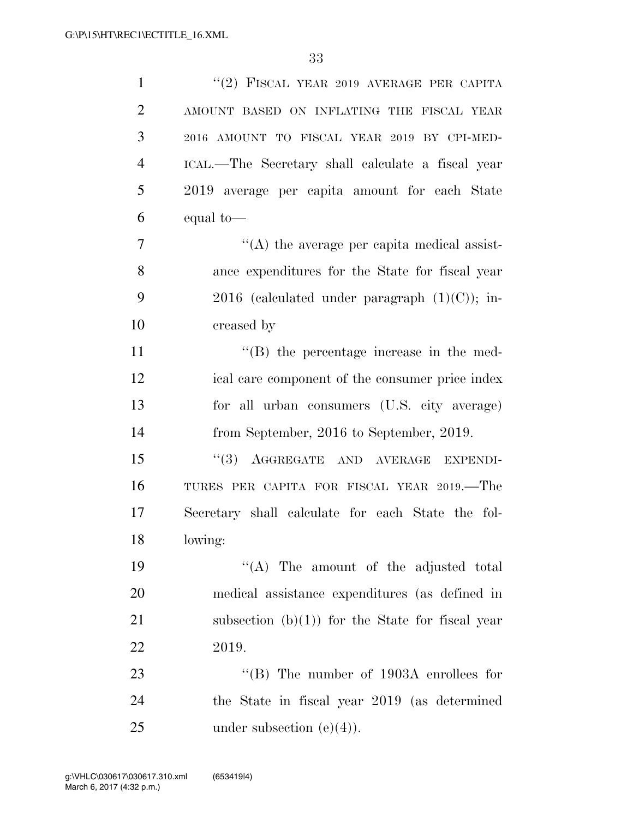| $\mathbf{1}$   | $``(2)$ FISCAL YEAR 2019 AVERAGE PER CAPITA       |
|----------------|---------------------------------------------------|
| $\overline{2}$ | AMOUNT BASED ON INFLATING THE FISCAL YEAR         |
| 3              | 2016 AMOUNT TO FISCAL YEAR 2019 BY CPI-MED-       |
| $\overline{4}$ | ICAL.—The Secretary shall calculate a fiscal year |
| 5              | 2019 average per capita amount for each State     |
| 6              | equal to-                                         |
| $\overline{7}$ | $\lq\lq$ the average per capita medical assist-   |
| 8              | ance expenditures for the State for fiscal year   |
| 9              | 2016 (calculated under paragraph $(1)(C)$ ); in-  |
| 10             | creased by                                        |
| 11             | $\lq\lq$ (B) the percentage increase in the med-  |
| 12             | ical care component of the consumer price index   |
| 13             | for all urban consumers (U.S. city average)       |
| 14             | from September, 2016 to September, 2019.          |
| 15             | AGGREGATE AND AVERAGE<br>(3)<br><b>EXPENDI-</b>   |
| 16             | TURES PER CAPITA FOR FISCAL YEAR 2019.—The        |
| 17             | Secretary shall calculate for each State the fol- |
| 18             | lowing:                                           |
| 19             | "(A) The amount of the adjusted total             |
| 20             | medical assistance expenditures (as defined in    |
| 21             | subsection $(b)(1)$ for the State for fiscal year |
| 22             | 2019.                                             |
| 23             | "(B) The number of $1903A$ enrollees for          |
| 24             | the State in fiscal year 2019 (as determined      |
| 25             | under subsection $(e)(4)$ .                       |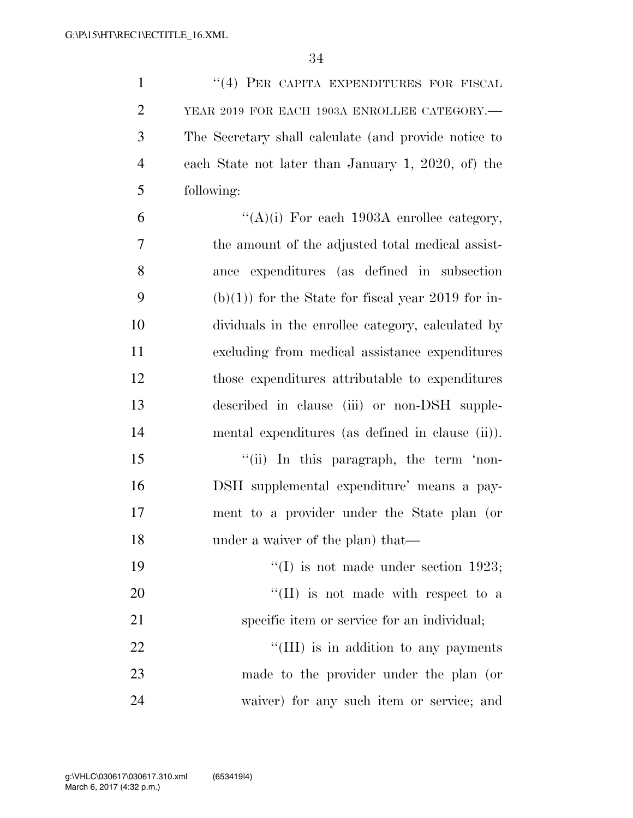1 ''(4) PER CAPITA EXPENDITURES FOR FISCAL YEAR 2019 FOR EACH 1903A ENROLLEE CATEGORY.— The Secretary shall calculate (and provide notice to each State not later than January 1, 2020, of) the following:

 $"({\rm A})(i)$  For each 1903A enrollee category, the amount of the adjusted total medical assist- ance expenditures (as defined in subsection 9 (b)(1)) for the State for fiscal year 2019 for in- dividuals in the enrollee category, calculated by excluding from medical assistance expenditures those expenditures attributable to expenditures described in clause (iii) or non-DSH supple-mental expenditures (as defined in clause (ii)).

15 "(ii) In this paragraph, the term 'non- DSH supplemental expenditure' means a pay- ment to a provider under the State plan (or 18 under a waiver of the plan) that—

 $\frac{1}{2}$  (I) is not made under section 1923;  $\frac{1}{20}$  (II) is not made with respect to a specific item or service for an individual;  $\frac{1}{2}$  (III) is in addition to any payments

 made to the provider under the plan (or waiver) for any such item or service; and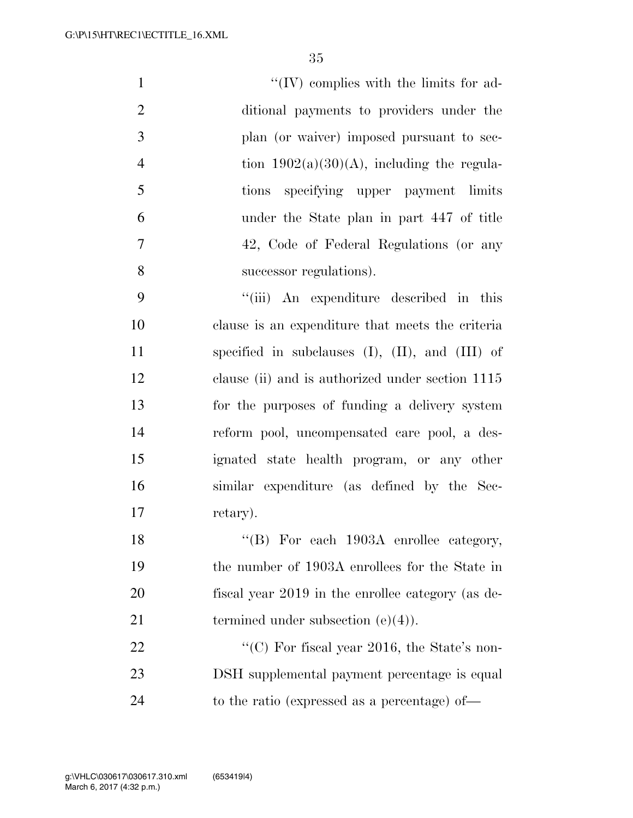| $\mathbf{1}$   | $\lq\lq (IV)$ complies with the limits for ad- |
|----------------|------------------------------------------------|
| 2              | ditional payments to providers under the       |
| 3              | plan (or waiver) imposed pursuant to sec-      |
| $\overline{4}$ | tion $1902(a)(30)(A)$ , including the regula-  |
| $\overline{5}$ | tions specifying upper payment limits          |
| 6              | under the State plan in part 447 of title      |
| $\tau$         | 42, Code of Federal Regulations (or any        |
| 8              | successor regulations).                        |
|                |                                                |

9 ''(iii) An expenditure described in this clause is an expenditure that meets the criteria 11 specified in subclauses (I), (II), and (III) of clause (ii) and is authorized under section 1115 for the purposes of funding a delivery system reform pool, uncompensated care pool, a des- ignated state health program, or any other similar expenditure (as defined by the Sec-17 retary).

18 "(B) For each 1903A enrollee category, the number of 1903A enrollees for the State in fiscal year 2019 in the enrollee category (as de-21 termined under subsection  $(e)(4)$ .

22 "'(C) For fiscal year 2016, the State's non- DSH supplemental payment percentage is equal 24 to the ratio (expressed as a percentage) of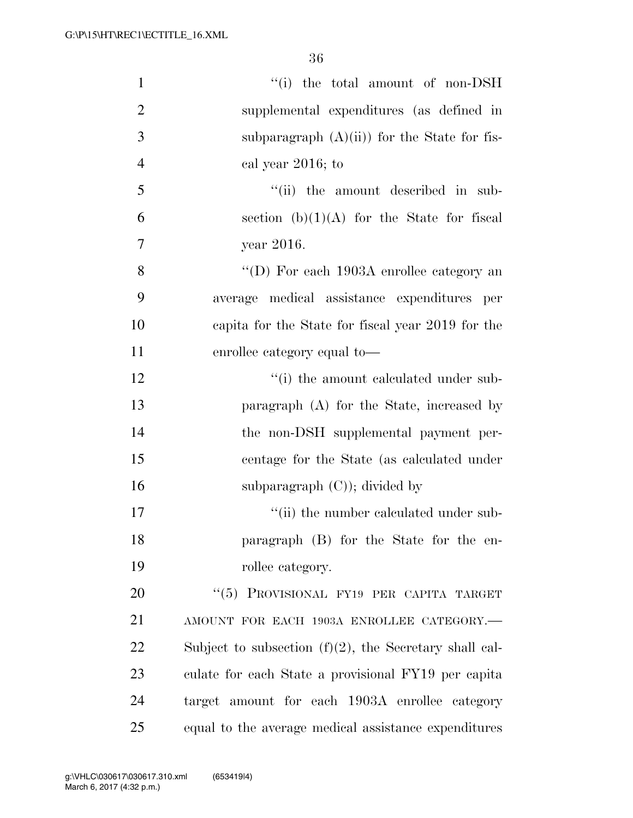| $\mathbf{1}$   | "(i) the total amount of non-DSH                          |
|----------------|-----------------------------------------------------------|
| $\overline{2}$ | supplemental expenditures (as defined in                  |
| 3              | subparagraph $(A)(ii)$ for the State for fis-             |
| $\overline{4}$ | cal year 2016; to                                         |
| 5              | "(ii) the amount described in sub-                        |
| 6              | section $(b)(1)(A)$ for the State for fiscal              |
| 7              | year 2016.                                                |
| 8              | "(D) For each $1903A$ enrollee category an                |
| 9              | average medical assistance expenditures per               |
| 10             | capita for the State for fiscal year 2019 for the         |
| 11             | enrollee category equal to—                               |
| 12             | "(i) the amount calculated under sub-                     |
| 13             | paragraph $(A)$ for the State, increased by               |
| 14             | the non-DSH supplemental payment per-                     |
| 15             | centage for the State (as calculated under                |
| 16             | subparagraph $(C)$ ; divided by                           |
| 17             | "(ii) the number calculated under sub-                    |
| 18             | paragraph (B) for the State for the en-                   |
| 19             | rollee category.                                          |
| 20             | "(5) PROVISIONAL FY19 PER CAPITA TARGET                   |
| 21             | AMOUNT FOR EACH 1903A ENROLLEE CATEGORY.-                 |
| 22             | Subject to subsection $(f)(2)$ , the Secretary shall cal- |
| 23             | culate for each State a provisional FY19 per capita       |
| 24             | target amount for each 1903A enrollee category            |
| 25             | equal to the average medical assistance expenditures      |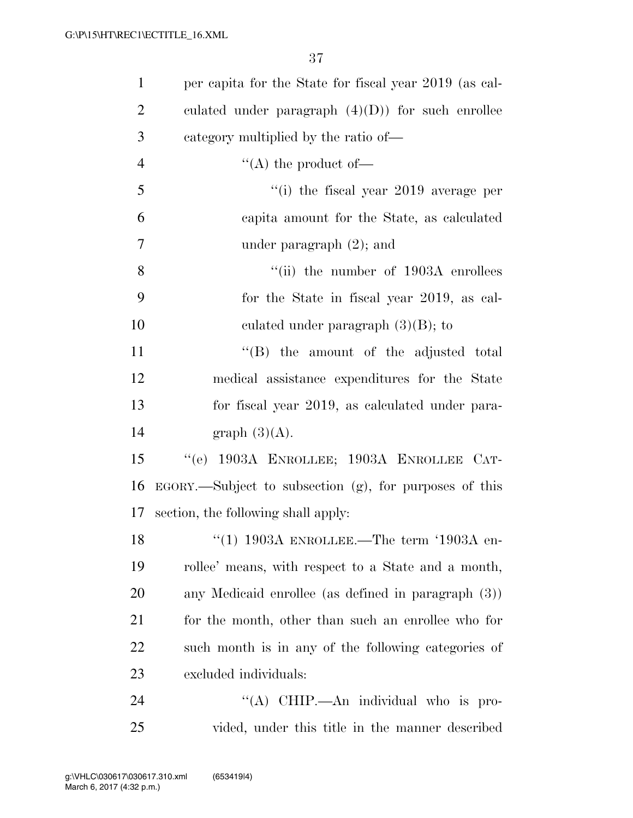| $\mathbf{1}$   | per capita for the State for fiscal year 2019 (as cal-       |
|----------------|--------------------------------------------------------------|
| $\overline{2}$ | culated under paragraph $(4)(D)$ for such enrollee           |
| 3              | category multiplied by the ratio of—                         |
| $\overline{4}$ | $\lq\lq$ the product of —                                    |
| 5              | "(i) the fiscal year $2019$ average per                      |
| 6              | capita amount for the State, as calculated                   |
| $\overline{7}$ | under paragraph $(2)$ ; and                                  |
| 8              | $``$ (ii) the number of 1903A enrollees                      |
| 9              | for the State in fiscal year 2019, as cal-                   |
| 10             | culated under paragraph $(3)(B)$ ; to                        |
| 11             | "(B) the amount of the adjusted total                        |
| 12             | medical assistance expenditures for the State                |
| 13             | for fiscal year 2019, as calculated under para-              |
| 14             | graph $(3)(A)$ .                                             |
| 15             | "(e) 1903A ENROLLEE; 1903A ENROLLEE CAT-                     |
| 16             | $EGORY$ . Subject to subsection $(g)$ , for purposes of this |
| 17             | section, the following shall apply:                          |
| 18             | "(1) 1903A ENROLLEE.—The term '1903A en-                     |
| 19             | rollee' means, with respect to a State and a month,          |
| 20             | any Medicaid enrollee (as defined in paragraph (3))          |
| 21             | for the month, other than such an enrollee who for           |
| 22             | such month is in any of the following categories of          |
| 23             | excluded individuals:                                        |
| 24             | "(A) CHIP.—An individual who is pro-                         |
| 25             | vided, under this title in the manner described              |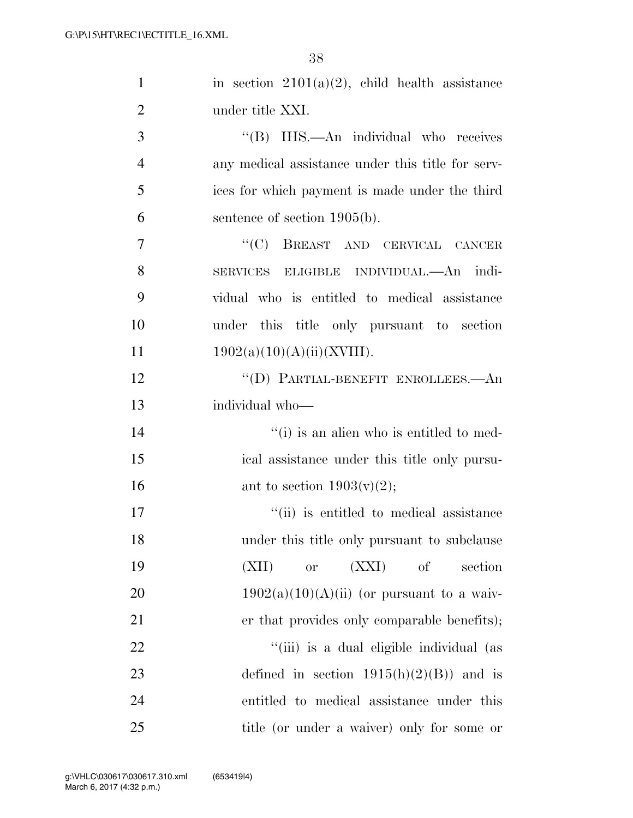| $\mathbf{1}$   | in section $2101(a)(2)$ , child health assistance |
|----------------|---------------------------------------------------|
| $\overline{2}$ | under title XXI.                                  |
| 3              | "(B) IHS.—An individual who receives              |
| $\overline{4}$ | any medical assistance under this title for serv- |
| 5              | ices for which payment is made under the third    |
| 6              | sentence of section $1905(b)$ .                   |
| 7              | ``(C)<br>BREAST AND CERVICAL CANCER               |
| 8              | SERVICES ELIGIBLE INDIVIDUAL.—An indi-            |
| 9              | vidual who is entitled to medical assistance      |
| 10             | under this title only pursuant to section         |
| 11             | 1902(a)(10)(A)(ii)(XVIII).                        |
| 12             | "(D) PARTIAL-BENEFIT ENROLLEES.—An                |
| 13             | individual who-                                   |
| 14             | "(i) is an alien who is entitled to med-          |
| 15             | ical assistance under this title only pursu-      |
| 16             | ant to section $1903(v)(2)$ ;                     |
| 17             | "(ii) is entitled to medical assistance           |
| 18             | under this title only pursuant to subclause       |
| 19             | (XXI)<br>(XII)<br>of<br>section<br><b>or</b>      |
| 20             | $1902(a)(10)(A)(ii)$ (or pursuant to a waiv-      |
| 21             | er that provides only comparable benefits);       |
| 22             | "(iii) is a dual eligible individual (as          |
| 23             | defined in section $1915(h)(2)(B)$ and is         |
| 24             | entitled to medical assistance under this         |
| 25             | title (or under a waiver) only for some or        |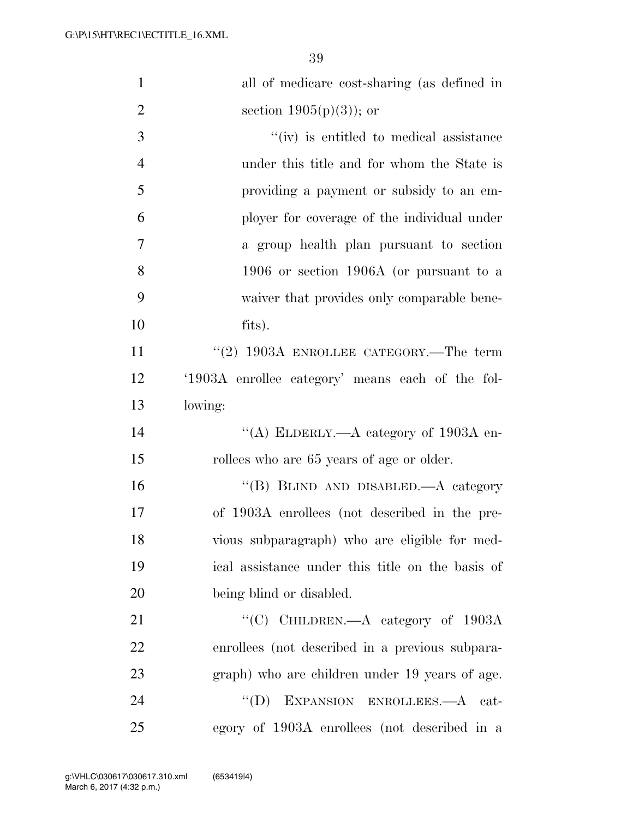| $\mathbf{1}$   | all of medicare cost-sharing (as defined in      |
|----------------|--------------------------------------------------|
| $\overline{2}$ | section $1905(p)(3)$ ; or                        |
| 3              | $\lq\lq$ (iv) is entitled to medical assistance  |
| $\overline{4}$ | under this title and for whom the State is       |
| 5              | providing a payment or subsidy to an em-         |
| 6              | ployer for coverage of the individual under      |
| 7              | a group health plan pursuant to section          |
| 8              | 1906 or section 1906A (or pursuant to a          |
| 9              | waiver that provides only comparable bene-       |
| 10             | fits).                                           |
| 11             | $(2)$ 1903A ENROLLEE CATEGORY.—The term          |
| 12             | '1903A enrollee category' means each of the fol- |
| 13             | lowing:                                          |
| 14             | "(A) ELDERLY.—A category of 1903A en-            |
| 15             | rollees who are 65 years of age or older.        |
| 16             | "(B) BLIND AND DISABLED.—A category              |
| 17             | of 1903A enrollees (not described in the pre-    |
| 18             | vious subparagraph) who are eligible for med-    |
| 19             | ical assistance under this title on the basis of |
| 20             | being blind or disabled.                         |
| 21             | "(C) CHILDREN.—A category of $1903A$             |
| 22             | enrollees (not described in a previous subpara-  |
| 23             | graph) who are children under 19 years of age.   |
| 24             | "(D) EXPANSION ENROLLEES.—A cat-                 |
| 25             | egory of 1903A enrollees (not described in a     |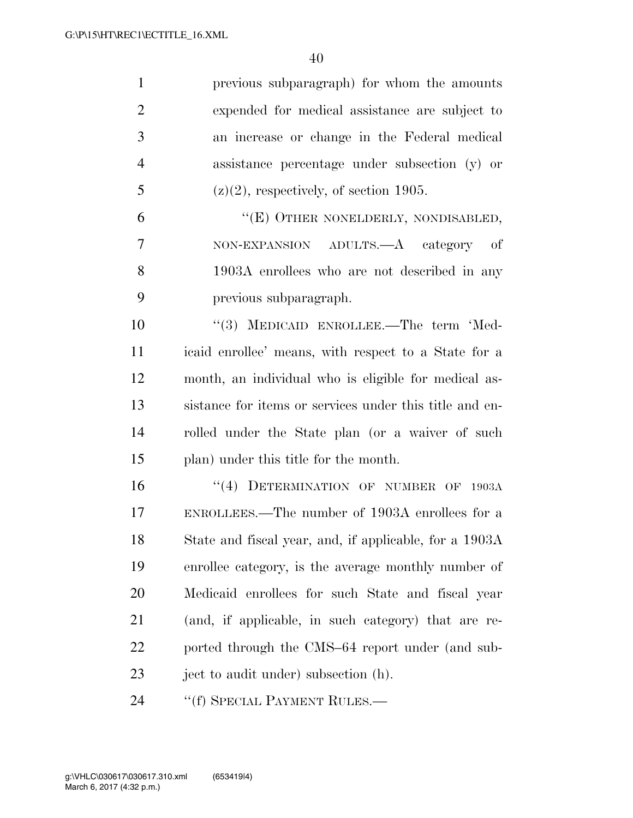| $\mathbf{1}$   | previous subparagraph) for whom the amounts             |
|----------------|---------------------------------------------------------|
| $\overline{2}$ | expended for medical assistance are subject to          |
| 3              | an increase or change in the Federal medical            |
| $\overline{4}$ | assistance percentage under subsection (y) or           |
| 5              | $(z)(2)$ , respectively, of section 1905.               |
| 6              | "(E) OTHER NONELDERLY, NONDISABLED,                     |
| 7              | NON-EXPANSION ADULTS.—A category of                     |
| 8              | 1903A enrollees who are not described in any            |
| 9              | previous subparagraph.                                  |
| 10             | "(3) MEDICAID ENROLLEE.—The term 'Med-                  |
| <sup>11</sup>  | icaid enrollee' means, with respect to a State for a    |
| 12             | month, an individual who is eligible for medical as-    |
| 13             | sistance for items or services under this title and en- |
| 14             | rolled under the State plan (or a waiver of such        |
| 15             | plan) under this title for the month.                   |
| 16             | "(4) DETERMINATION OF NUMBER OF 1903A                   |
| 17             | ENROLLEES.—The number of 1903A enrollees for a          |
| 18             | State and fiscal year, and, if applicable, for a 1903A  |
| 19             | enrollee category, is the average monthly number of     |
| 20             | Medicaid enrollees for such State and fiscal year       |
| 21             | (and, if applicable, in such category) that are re-     |
| 22             | ported through the CMS–64 report under (and sub-        |
| 23             | ject to audit under) subsection (h).                    |
| 24             | "(f) SPECIAL PAYMENT RULES.—                            |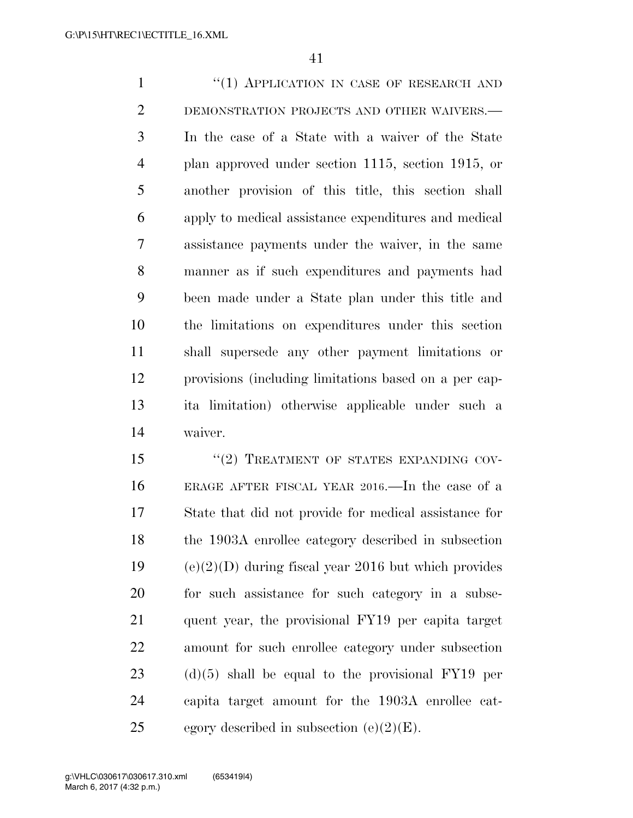1 "(1) APPLICATION IN CASE OF RESEARCH AND DEMONSTRATION PROJECTS AND OTHER WAIVERS.— In the case of a State with a waiver of the State plan approved under section 1115, section 1915, or another provision of this title, this section shall apply to medical assistance expenditures and medical assistance payments under the waiver, in the same manner as if such expenditures and payments had been made under a State plan under this title and the limitations on expenditures under this section shall supersede any other payment limitations or provisions (including limitations based on a per cap- ita limitation) otherwise applicable under such a waiver.

15 "(2) TREATMENT OF STATES EXPANDING COV- ERAGE AFTER FISCAL YEAR 2016.—In the case of a State that did not provide for medical assistance for the 1903A enrollee category described in subsection 19 (e) $(2)(D)$  during fiscal year 2016 but which provides for such assistance for such category in a subse- quent year, the provisional FY19 per capita target amount for such enrollee category under subsection (d)(5) shall be equal to the provisional FY19 per capita target amount for the 1903A enrollee cat-25 egory described in subsection  $(e)(2)(E)$ .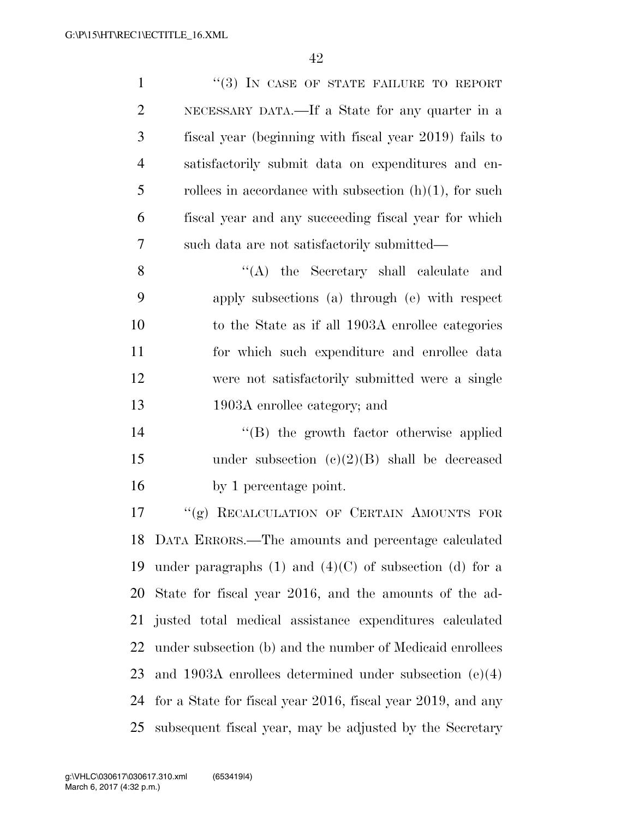| $\mathbf{1}$   | "(3) IN CASE OF STATE FAILURE TO REPORT                       |
|----------------|---------------------------------------------------------------|
| $\overline{2}$ | NECESSARY DATA.—If a State for any quarter in a               |
| 3              | fiscal year (beginning with fiscal year 2019) fails to        |
| $\overline{4}$ | satisfactorily submit data on expenditures and en-            |
| 5              | rollees in accordance with subsection $(h)(1)$ , for such     |
| 6              | fiscal year and any succeeding fiscal year for which          |
| 7              | such data are not satisfactorily submitted—                   |
| 8              | $\lq\lq$ the Secretary shall calculate<br>and                 |
| 9              | apply subsections (a) through (e) with respect                |
| 10             | to the State as if all 1903A enrollee categories              |
| 11             | for which such expenditure and enrollee data                  |
| 12             | were not satisfactorily submitted were a single               |
| 13             | 1903A enrollee category; and                                  |
| 14             | $\lq\lq$ the growth factor otherwise applied                  |
| 15             | under subsection $(e)(2)(B)$ shall be decreased               |
| 16             | by 1 percentage point.                                        |
| 17             | "(g) RECALCULATION OF CERTAIN AMOUNTS FOR                     |
|                | 18 DATA ERRORS.—The amounts and percentage calculated         |
| 19             | under paragraphs $(1)$ and $(4)(C)$ of subsection $(d)$ for a |
| 20             | State for fiscal year 2016, and the amounts of the ad-        |
| 21             | justed total medical assistance expenditures calculated       |
| 22             | under subsection (b) and the number of Medicaid enrollees     |
| 23             | and $1903A$ enrollees determined under subsection $(e)(4)$    |
| 24             | for a State for fiscal year 2016, fiscal year 2019, and any   |
| 25             | subsequent fiscal year, may be adjusted by the Secretary      |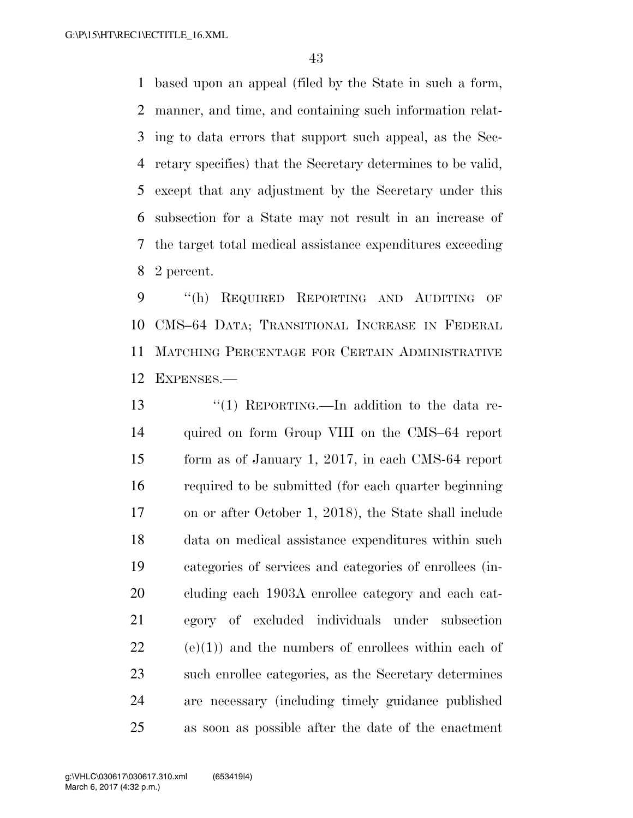based upon an appeal (filed by the State in such a form, manner, and time, and containing such information relat- ing to data errors that support such appeal, as the Sec- retary specifies) that the Secretary determines to be valid, except that any adjustment by the Secretary under this subsection for a State may not result in an increase of the target total medical assistance expenditures exceeding 2 percent.

 ''(h) REQUIRED REPORTING AND AUDITING OF CMS–64 DATA; TRANSITIONAL INCREASE IN FEDERAL MATCHING PERCENTAGE FOR CERTAIN ADMINISTRATIVE EXPENSES.—

 ''(1) REPORTING.—In addition to the data re- quired on form Group VIII on the CMS–64 report form as of January 1, 2017, in each CMS-64 report required to be submitted (for each quarter beginning on or after October 1, 2018), the State shall include data on medical assistance expenditures within such categories of services and categories of enrollees (in- cluding each 1903A enrollee category and each cat- egory of excluded individuals under subsection (e)(1)) and the numbers of enrollees within each of such enrollee categories, as the Secretary determines are necessary (including timely guidance published as soon as possible after the date of the enactment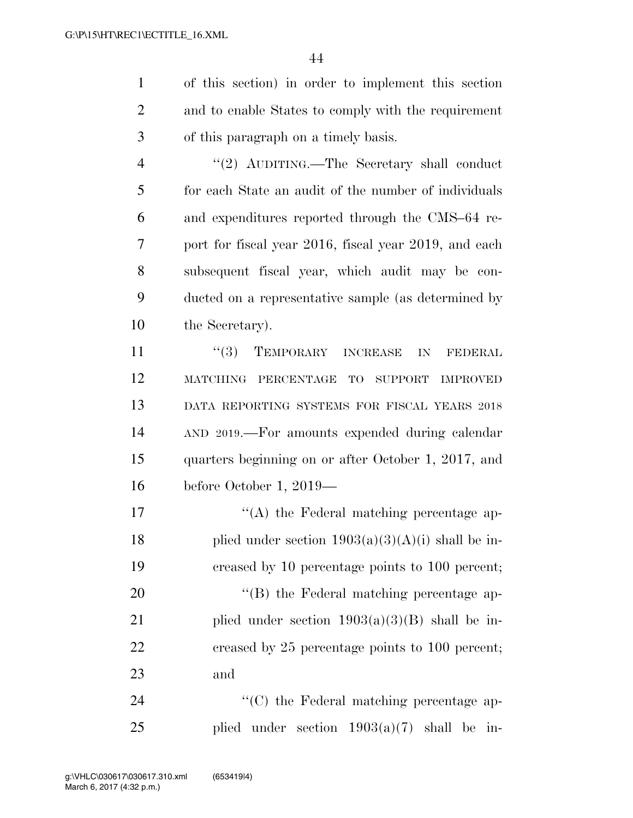1 of this section) in order to implement this section 2 and to enable States to comply with the requirement 3 of this paragraph on a timely basis.

4 ''(2) AUDITING.—The Secretary shall conduct for each State an audit of the number of individuals and expenditures reported through the CMS–64 re- port for fiscal year 2016, fiscal year 2019, and each subsequent fiscal year, which audit may be con- ducted on a representative sample (as determined by 10 the Secretary).

11 ''(3) TEMPORARY INCREASE IN FEDERAL MATCHING PERCENTAGE TO SUPPORT IMPROVED DATA REPORTING SYSTEMS FOR FISCAL YEARS 2018 AND 2019.—For amounts expended during calendar quarters beginning on or after October 1, 2017, and before October 1, 2019—

17  $\langle (A)$  the Federal matching percentage ap-18 plied under section  $1903(a)(3)(A)(i)$  shall be in-19 creased by 10 percentage points to 100 percent; 20  $\text{``(B)}$  the Federal matching percentage ap-21 plied under section  $1903(a)(3)(B)$  shall be in-22 creased by 25 percentage points to 100 percent; 23 and

24  $\cdot$  (C) the Federal matching percentage ap-25 plied under section 1903(a)(7) shall be in-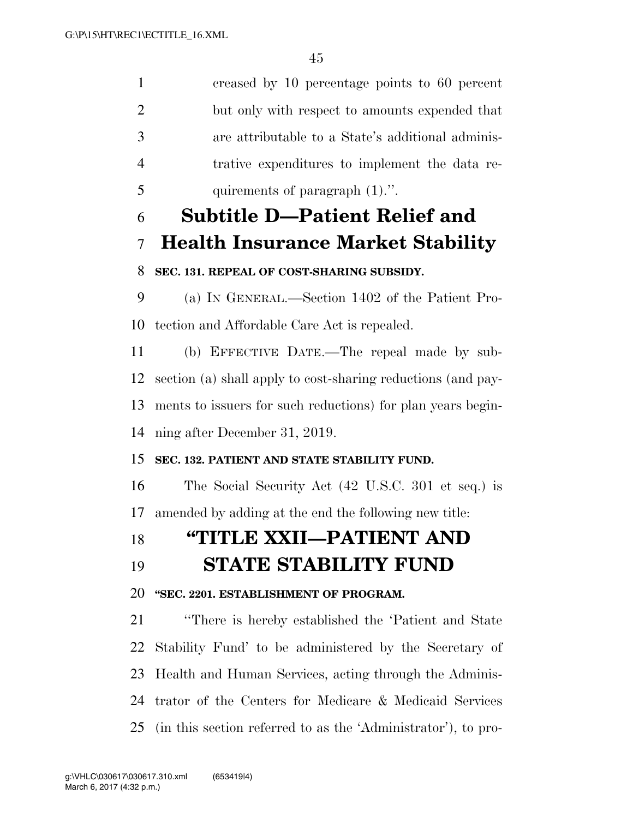creased by 10 percentage points to 60 percent but only with respect to amounts expended that are attributable to a State's additional adminis- trative expenditures to implement the data re- quirements of paragraph (1).''. **Subtitle D—Patient Relief and Health Insurance Market Stability SEC. 131. REPEAL OF COST-SHARING SUBSIDY.**  (a) IN GENERAL.—Section 1402 of the Patient Pro-tection and Affordable Care Act is repealed.

 (b) EFFECTIVE DATE.—The repeal made by sub- section (a) shall apply to cost-sharing reductions (and pay- ments to issuers for such reductions) for plan years begin-ning after December 31, 2019.

#### **SEC. 132. PATIENT AND STATE STABILITY FUND.**

 The Social Security Act (42 U.S.C. 301 et seq.) is amended by adding at the end the following new title:

# **''TITLE XXII—PATIENT AND**

## **STATE STABILITY FUND**

#### **''SEC. 2201. ESTABLISHMENT OF PROGRAM.**

 ''There is hereby established the 'Patient and State Stability Fund' to be administered by the Secretary of Health and Human Services, acting through the Adminis- trator of the Centers for Medicare & Medicaid Services (in this section referred to as the 'Administrator'), to pro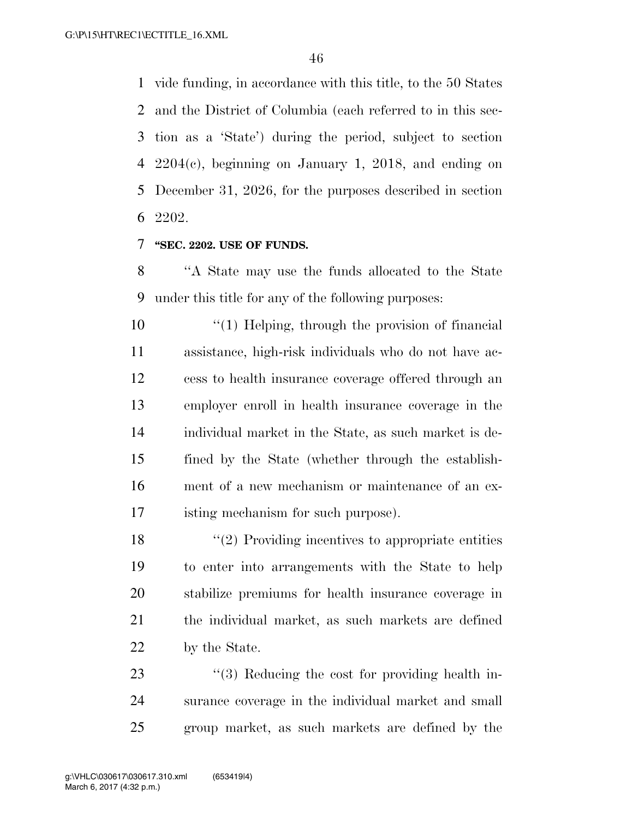vide funding, in accordance with this title, to the 50 States and the District of Columbia (each referred to in this sec- tion as a 'State') during the period, subject to section 2204(c), beginning on January 1, 2018, and ending on December 31, 2026, for the purposes described in section 2202.

#### **''SEC. 2202. USE OF FUNDS.**

 ''A State may use the funds allocated to the State under this title for any of the following purposes:

 $\frac{10}{2}$  ''(1) Helping, through the provision of financial assistance, high-risk individuals who do not have ac- cess to health insurance coverage offered through an employer enroll in health insurance coverage in the individual market in the State, as such market is de- fined by the State (whether through the establish- ment of a new mechanism or maintenance of an ex-isting mechanism for such purpose).

18 ''(2) Providing incentives to appropriate entities to enter into arrangements with the State to help stabilize premiums for health insurance coverage in the individual market, as such markets are defined by the State.

23 "(3) Reducing the cost for providing health in- surance coverage in the individual market and small group market, as such markets are defined by the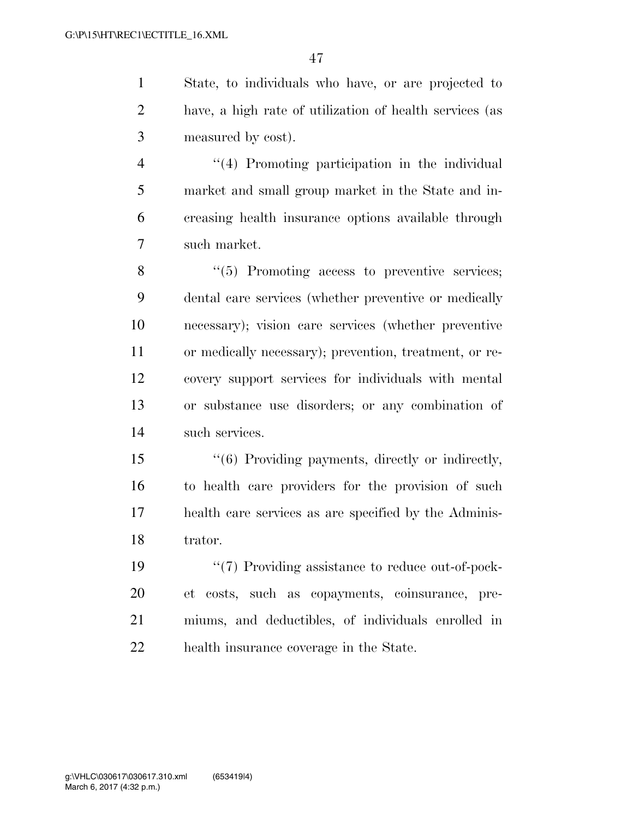State, to individuals who have, or are projected to have, a high rate of utilization of health services (as measured by cost).

 ''(4) Promoting participation in the individual market and small group market in the State and in- creasing health insurance options available through such market.

 ''(5) Promoting access to preventive services; dental care services (whether preventive or medically necessary); vision care services (whether preventive or medically necessary); prevention, treatment, or re- covery support services for individuals with mental or substance use disorders; or any combination of such services.

 ''(6) Providing payments, directly or indirectly, to health care providers for the provision of such health care services as are specified by the Adminis-trator.

 $\frac{1}{2}$   $\frac{1}{2}$  Providing assistance to reduce out-of-pock- et costs, such as copayments, coinsurance, pre- miums, and deductibles, of individuals enrolled in health insurance coverage in the State.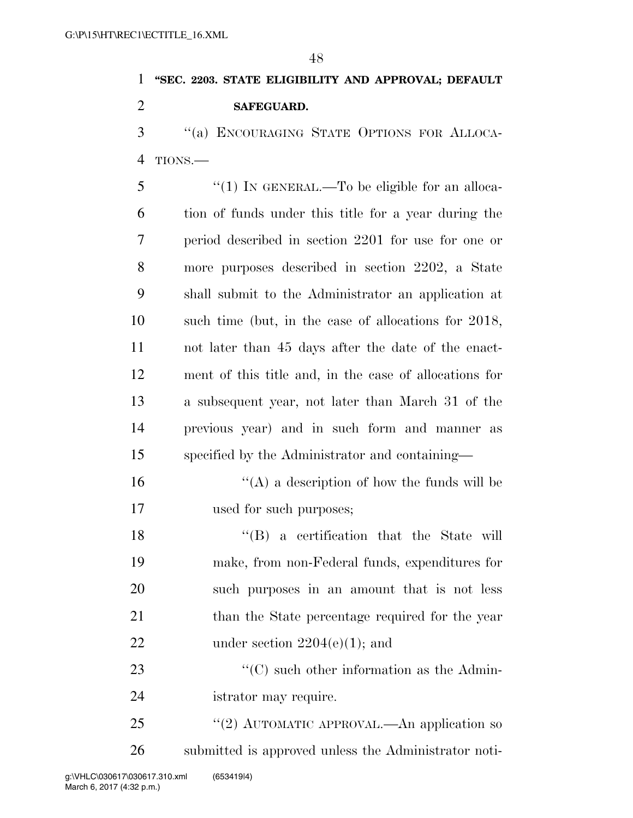# **''SEC. 2203. STATE ELIGIBILITY AND APPROVAL; DEFAULT SAFEGUARD.**

 ''(a) ENCOURAGING STATE OPTIONS FOR ALLOCA-TIONS.—

5 "(1) IN GENERAL.—To be eligible for an alloca- tion of funds under this title for a year during the period described in section 2201 for use for one or more purposes described in section 2202, a State shall submit to the Administrator an application at such time (but, in the case of allocations for 2018, not later than 45 days after the date of the enact- ment of this title and, in the case of allocations for a subsequent year, not later than March 31 of the previous year) and in such form and manner as specified by the Administrator and containing—

 $\mathcal{L}(\mathbf{A})$  a description of how the funds will be used for such purposes;

 ''(B) a certification that the State will make, from non-Federal funds, expenditures for such purposes in an amount that is not less 21 than the State percentage required for the year 22 under section  $2204(e)(1)$ ; and

23 ''(C) such other information as the Admin-istrator may require.

25 "(2) AUTOMATIC APPROVAL.—An application so submitted is approved unless the Administrator noti-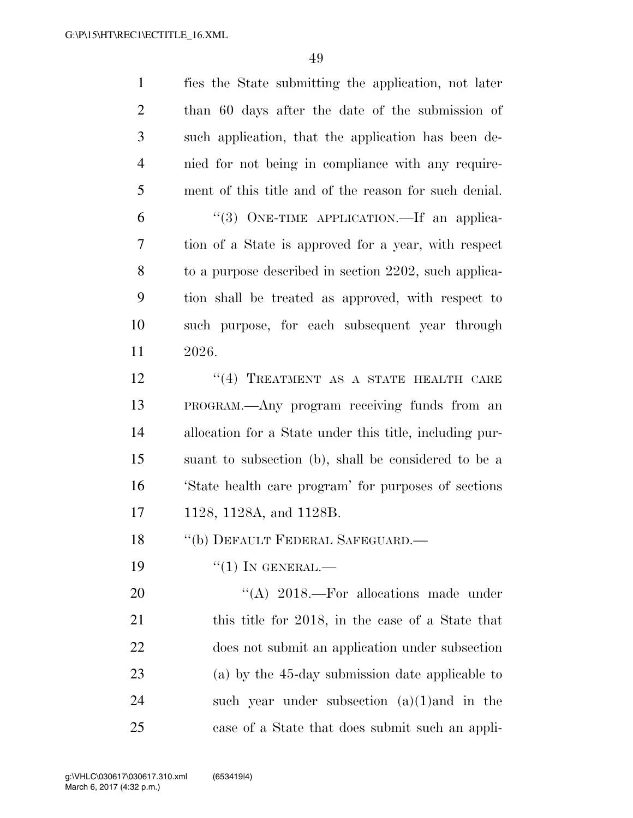| $\mathbf{1}$   | fies the State submitting the application, not later    |
|----------------|---------------------------------------------------------|
| $\overline{2}$ | than 60 days after the date of the submission of        |
| 3              | such application, that the application has been de-     |
| $\overline{4}$ | nied for not being in compliance with any require-      |
| 5              | ment of this title and of the reason for such denial.   |
| 6              | "(3) ONE-TIME APPLICATION.—If an applica-               |
| 7              | tion of a State is approved for a year, with respect    |
| 8              | to a purpose described in section 2202, such applica-   |
| 9              | tion shall be treated as approved, with respect to      |
| 10             | such purpose, for each subsequent year through          |
| 11             | 2026.                                                   |
| 12             | "(4) TREATMENT AS A STATE HEALTH CARE                   |
| 13             | PROGRAM.—Any program receiving funds from an            |
| 14             | allocation for a State under this title, including pur- |
| 15             | suant to subsection (b), shall be considered to be a    |
| 16             | State health care program' for purposes of sections     |
| 17             | 1128, 1128A, and 1128B.                                 |
| 18             | "(b) DEFAULT FEDERAL SAFEGUARD.-                        |
| 19             | $``(1)$ IN GENERAL.—                                    |
| 20             | "(A) 2018.—For allocations made under                   |
| 21             | this title for 2018, in the case of a State that        |
| 22             | does not submit an application under subsection         |
| 23             | (a) by the 45-day submission date applicable to         |
| 24             | such year under subsection $(a)(1)$ and in the          |
| 25             | case of a State that does submit such an appli-         |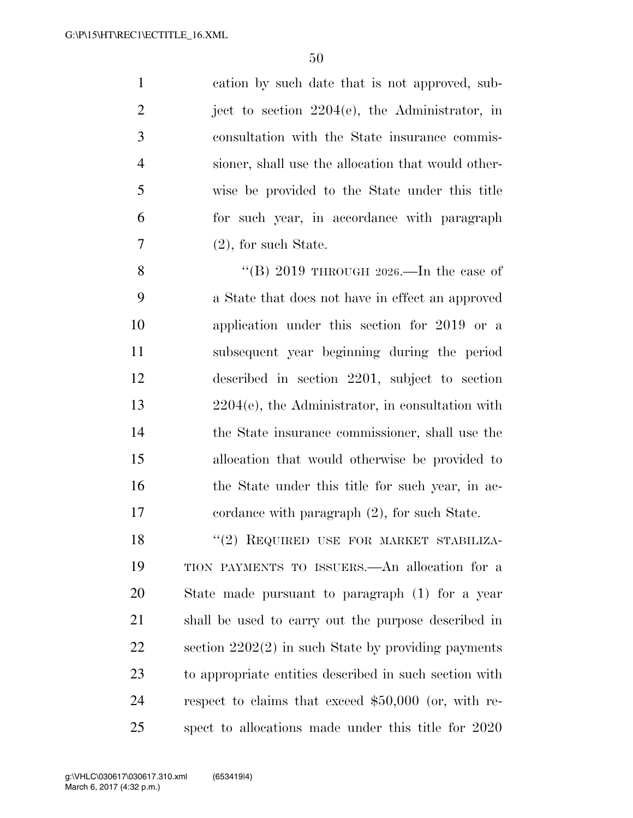cation by such date that is not approved, sub-2 iect to section  $2204(e)$ , the Administrator, in consultation with the State insurance commis- sioner, shall use the allocation that would other- wise be provided to the State under this title for such year, in accordance with paragraph  $7 \t(2)$ , for such State.

 $\text{``(B)}\ 2019\ \text{THROUGH}\ 2026.$ —In the case of a State that does not have in effect an approved application under this section for 2019 or a subsequent year beginning during the period described in section 2201, subject to section 2204(e), the Administrator, in consultation with the State insurance commissioner, shall use the allocation that would otherwise be provided to 16 the State under this title for such year, in ac-cordance with paragraph (2), for such State.

18 "(2) REQUIRED USE FOR MARKET STABILIZA- TION PAYMENTS TO ISSUERS.—An allocation for a State made pursuant to paragraph (1) for a year shall be used to carry out the purpose described in section 2202(2) in such State by providing payments to appropriate entities described in such section with respect to claims that exceed \$50,000 (or, with re-spect to allocations made under this title for 2020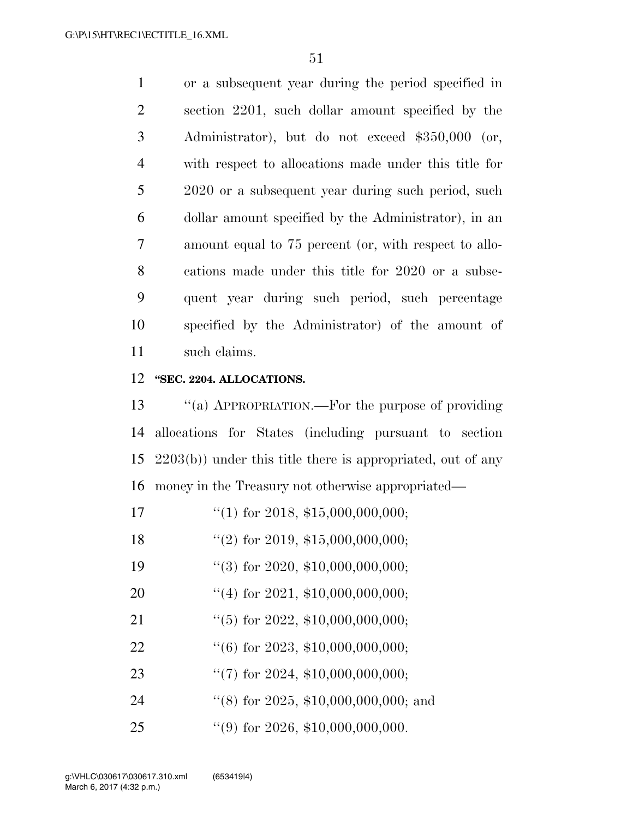or a subsequent year during the period specified in section 2201, such dollar amount specified by the Administrator), but do not exceed \$350,000 (or, with respect to allocations made under this title for 2020 or a subsequent year during such period, such dollar amount specified by the Administrator), in an amount equal to 75 percent (or, with respect to allo- cations made under this title for 2020 or a subse- quent year during such period, such percentage specified by the Administrator) of the amount of such claims.

#### **''SEC. 2204. ALLOCATIONS.**

 ''(a) APPROPRIATION.—For the purpose of providing allocations for States (including pursuant to section 2203(b)) under this title there is appropriated, out of any money in the Treasury not otherwise appropriated—

- 17  $\frac{17}{10}$  for 2018, \$15,000,000,000;
- ''(2) for 2019, \$15,000,000,000;
- 19 "(3) for 2020, \$10,000,000,000;
- ''(4) for 2021, \$10,000,000,000;
- ''(5) for 2022, \$10,000,000,000;
- ''(6) for 2023, \$10,000,000,000;
- ''(7) for 2024, \$10,000,000,000;
- 24 ''(8) for 2025, \$10,000,000,000; and
- 25 "(9) for 2026, \$10,000,000,000.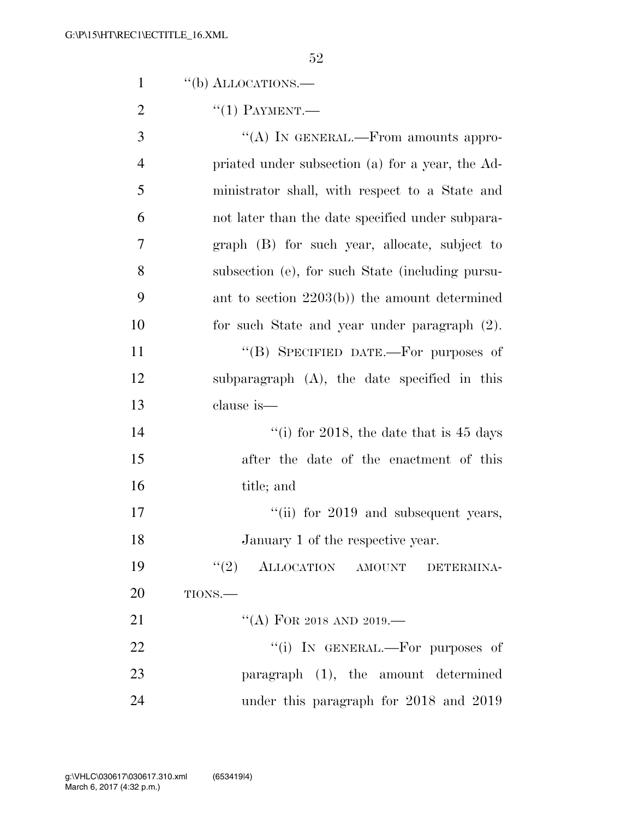|                | 52                                                |
|----------------|---------------------------------------------------|
| $\mathbf{1}$   | "(b) ALLOCATIONS.—                                |
| $\overline{2}$ | $``(1)$ PAYMENT.—                                 |
| 3              | "(A) IN GENERAL.—From amounts appro-              |
| $\overline{4}$ | priated under subsection (a) for a year, the Ad-  |
| 5              | ministrator shall, with respect to a State and    |
| 6              | not later than the date specified under subpara-  |
| $\overline{7}$ | graph (B) for such year, allocate, subject to     |
| 8              | subsection (e), for such State (including pursu-  |
| 9              | ant to section $2203(b)$ the amount determined    |
| 10             | for such State and year under paragraph (2).      |
| 11             | "(B) SPECIFIED DATE.—For purposes of              |
| 12             | subparagraph $(A)$ , the date specified in this   |
| 13             | clause is-                                        |
| 14             | "(i) for 2018, the date that is $45 \text{ days}$ |
| 15             | after the date of the enactment of this           |
| 16             | title; and                                        |
| 17             | "(ii) for 2019 and subsequent years,              |
| 18             | January 1 of the respective year.                 |
| 19             | (2)<br>ALLOCATION AMOUNT DETERMINA-               |
| 20             | TIONS.                                            |
| 21             | "(A) FOR 2018 AND 2019.-                          |
| 22             | "(i) IN GENERAL.—For purposes of                  |
| 23             | paragraph (1), the amount determined              |
| 24             | under this paragraph for 2018 and 2019            |
|                |                                                   |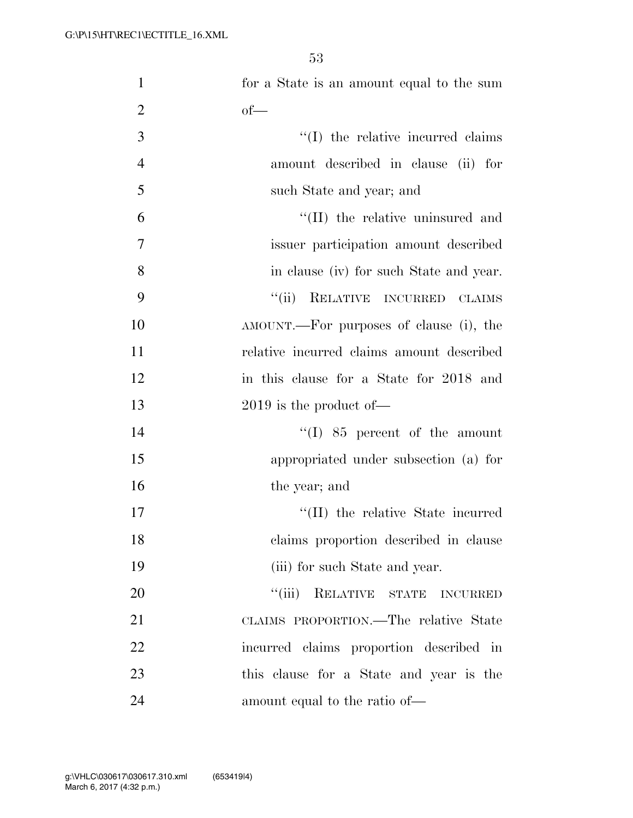| $\mathbf{1}$   | for a State is an amount equal to the sum |
|----------------|-------------------------------------------|
| $\overline{2}$ | $of$ —                                    |
| 3              | $\lq\lq$ (I) the relative incurred claims |
| $\overline{4}$ | amount described in clause (ii) for       |
| 5              | such State and year; and                  |
| 6              | "(II) the relative uninsured and          |
| $\overline{7}$ | issuer participation amount described     |
| 8              | in clause (iv) for such State and year.   |
| 9              | ``(ii)<br>RELATIVE INCURRED<br>CLAIMS     |
| 10             | AMOUNT.—For purposes of clause (i), the   |
| 11             | relative incurred claims amount described |
| 12             | in this clause for a State for 2018 and   |
| 13             | $2019$ is the product of —                |
| 14             | $\lq(1)$ 85 percent of the amount         |
| 15             | appropriated under subsection (a) for     |
| 16             | the year; and                             |
| 17             | "(II) the relative State incurred         |
| 18             | claims proportion described in clause     |
| 19             | (iii) for such State and year.            |
| 20             | "(iii) RELATIVE STATE<br><b>INCURRED</b>  |
| 21             | CLAIMS PROPORTION.—The relative State     |
| 22             | incurred claims proportion described in   |
| 23             | this clause for a State and year is the   |
| 24             | amount equal to the ratio of—             |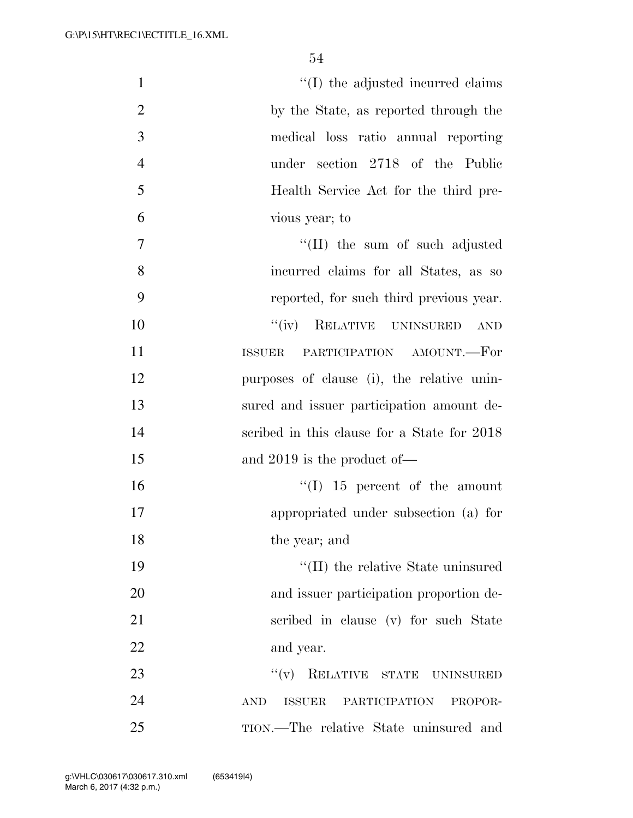| $\mathbf{1}$   | "(I) the adjusted incurred claims                                        |
|----------------|--------------------------------------------------------------------------|
| $\overline{2}$ | by the State, as reported through the                                    |
| 3              | medical loss ratio annual reporting                                      |
| $\overline{4}$ | under section 2718 of the Public                                         |
| 5              | Health Service Act for the third pre-                                    |
| 6              | vious year; to                                                           |
| $\overline{7}$ | $\lq\lq$ (II) the sum of such adjusted                                   |
| 8              | incurred claims for all States, as so                                    |
| 9              | reported, for such third previous year.                                  |
| 10             | "(iv) RELATIVE UNINSURED<br><b>AND</b>                                   |
| 11             | PARTICIPATION AMOUNT.-For<br><b>ISSUER</b>                               |
| 12             | purposes of clause (i), the relative unin-                               |
| 13             | sured and issuer participation amount de-                                |
| 14             | scribed in this clause for a State for 2018                              |
| 15             | and $2019$ is the product of —                                           |
| 16             | $\lq(1)$ 15 percent of the amount                                        |
| 17             | appropriated under subsection (a) for                                    |
| 18             | the year; and                                                            |
| 19             | "(II) the relative State uninsured                                       |
| 20             | and issuer participation proportion de-                                  |
| 21             | scribed in clause (v) for such State                                     |
| 22             | and year.                                                                |
| 23             | "(v) RELATIVE STATE UNINSURED                                            |
| 24             | $\operatorname{AND}$<br><b>PARTICIPATION</b><br><b>ISSUER</b><br>PROPOR- |
| 25             | TION.—The relative State uninsured and                                   |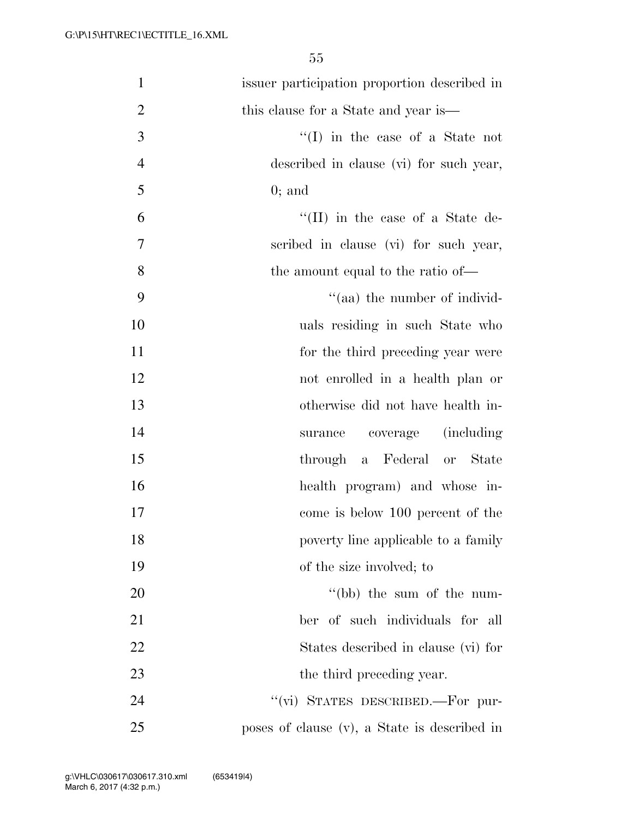| $\mathbf{1}$   | issuer participation proportion described in |
|----------------|----------------------------------------------|
| $\overline{2}$ | this clause for a State and year is—         |
| 3              | $\lq\lq$ in the case of a State not          |
| $\overline{4}$ | described in clause (vi) for such year,      |
| 5              | $0;$ and                                     |
| 6              | "(II) in the case of a State de-             |
| $\overline{7}$ | scribed in clause (vi) for such year,        |
| 8              | the amount equal to the ratio of—            |
| 9              | "(aa) the number of individ-                 |
| 10             | uals residing in such State who              |
| 11             | for the third preceding year were            |
| 12             | not enrolled in a health plan or             |
| 13             | otherwise did not have health in-            |
| 14             | <i>(including)</i><br>surance coverage       |
| 15             | through a Federal or State                   |
| 16             | health program) and whose in-                |
| 17             | come is below 100 percent of the             |
| 18             | poverty line applicable to a family          |
| 19             | of the size involved; to                     |
| 20             | "(bb) the sum of the num-                    |
| 21             | ber of such individuals for all              |
| 22             | States described in clause (vi) for          |
| 23             | the third preceding year.                    |
| 24             | "(vi) STATES DESCRIBED.-For pur-             |
| 25             | poses of clause (v), a State is described in |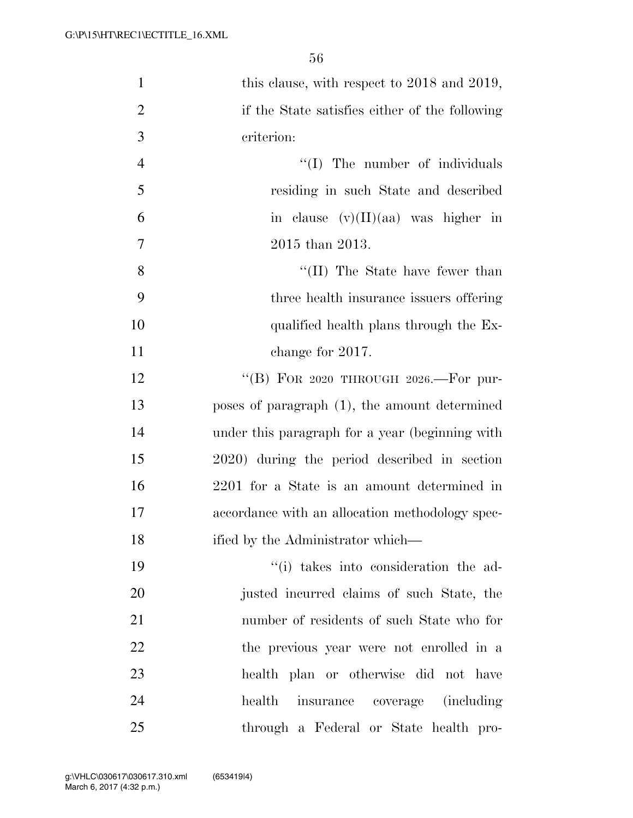| $\mathbf{1}$   | this clause, with respect to 2018 and 2019,     |
|----------------|-------------------------------------------------|
| $\overline{2}$ | if the State satisfies either of the following  |
| 3              | criterion:                                      |
| $\overline{4}$ | "(I) The number of individuals                  |
| 5              | residing in such State and described            |
| 6              | in clause $(v)(II)(aa)$ was higher in           |
| 7              | 2015 than 2013.                                 |
| 8              | $\lq\lq$ (II) The State have fewer than         |
| 9              | three health insurance issuers offering         |
| 10             | qualified health plans through the Ex-          |
| 11             | change for 2017.                                |
| 12             | "(B) FOR 2020 THROUGH 2026.-For pur-            |
| 13             | poses of paragraph (1), the amount determined   |
| 14             | under this paragraph for a year (beginning with |
| 15             | 2020) during the period described in section    |
| 16             | 2201 for a State is an amount determined in     |
| 17             | accordance with an allocation methodology spec- |
| 18             | ified by the Administrator which—               |
| 19             | "(i) takes into consideration the ad-           |
| 20             | justed incurred claims of such State, the       |
| 21             | number of residents of such State who for       |
| 22             | the previous year were not enrolled in a        |
| 23             | health plan or otherwise did not have           |
| 24             | health insurance coverage (including            |
| 25             | through a Federal or State health pro-          |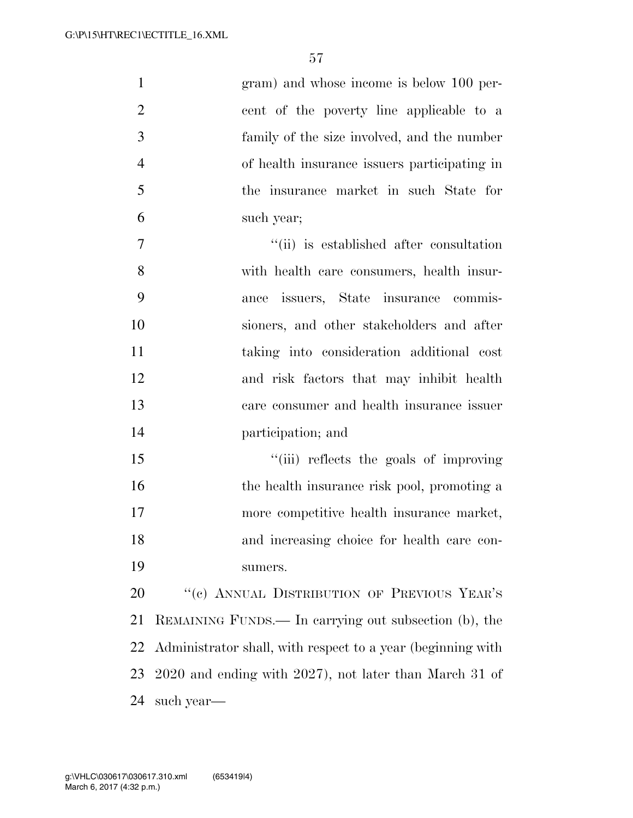|                | gram) and whose income is below 100 per-     |
|----------------|----------------------------------------------|
| 2              | cent of the poverty line applicable to a     |
| 3              | family of the size involved, and the number  |
| $\overline{4}$ | of health insurance issuers participating in |
| 5              | the insurance market in such State for       |
| 6              | such year;                                   |
| 7              | "(ii) is established after consultation      |
| 8              | with health care consumers, health insur-    |
|                |                                              |

 ance issuers, State insurance commis- sioners, and other stakeholders and after taking into consideration additional cost and risk factors that may inhibit health care consumer and health insurance issuer participation; and

15 ''(iii) reflects the goals of improving 16 the health insurance risk pool, promoting a more competitive health insurance market, and increasing choice for health care con-sumers.

20 "(c) ANNUAL DISTRIBUTION OF PREVIOUS YEAR'S REMAINING FUNDS.— In carrying out subsection (b), the Administrator shall, with respect to a year (beginning with 2020 and ending with 2027), not later than March 31 of such year—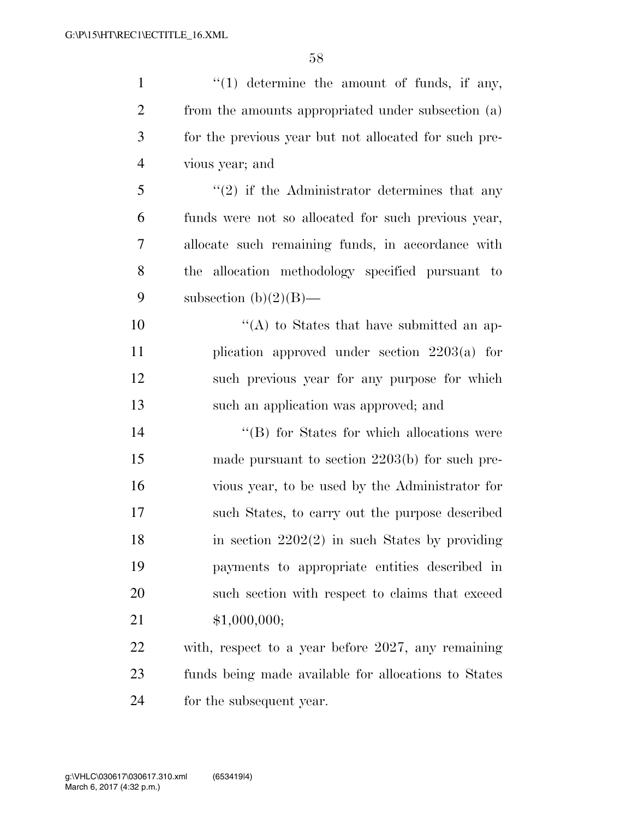| $\mathbf{1}$   | $\lq(1)$ determine the amount of funds, if any,       |
|----------------|-------------------------------------------------------|
| $\overline{2}$ | from the amounts appropriated under subsection (a)    |
| 3              | for the previous year but not allocated for such pre- |
| $\overline{4}$ | vious year; and                                       |
| 5              | $f'(2)$ if the Administrator determines that any      |
| 6              | funds were not so allocated for such previous year,   |
| 7              | allocate such remaining funds, in accordance with     |
| 8              | the allocation methodology specified pursuant to      |
| 9              | subsection $(b)(2)(B)$ —                              |
| 10             | $\lq\lq$ to States that have submitted an ap-         |
| 11             | plication approved under section $2203(a)$ for        |
| 12             | such previous year for any purpose for which          |
|                |                                                       |
| 13             | such an application was approved; and                 |
| 14             | "(B) for States for which allocations were            |
| 15             | made pursuant to section $2203(b)$ for such pre-      |
| 16             | vious year, to be used by the Administrator for       |
| 17             | such States, to carry out the purpose described       |
| 18             | in section $2202(2)$ in such States by providing      |
| 19             | payments to appropriate entities described in         |
| 20             | such section with respect to claims that exceed       |
| 21             | \$1,000,000;                                          |
| 22             | with, respect to a year before 2027, any remaining    |
| 23             | funds being made available for allocations to States  |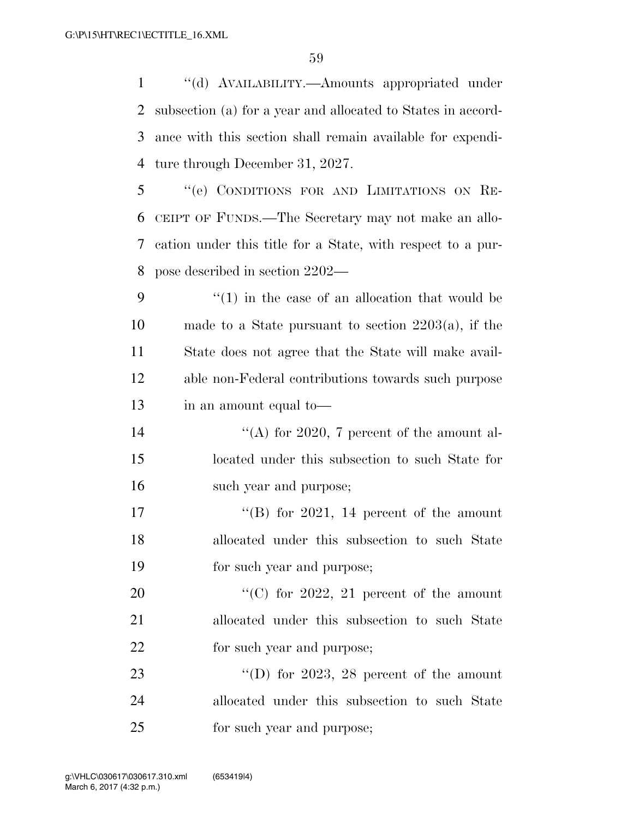''(d) AVAILABILITY.—Amounts appropriated under subsection (a) for a year and allocated to States in accord- ance with this section shall remain available for expendi-ture through December 31, 2027.

 ''(e) CONDITIONS FOR AND LIMITATIONS ON RE- CEIPT OF FUNDS.—The Secretary may not make an allo- cation under this title for a State, with respect to a pur-pose described in section 2202—

 ''(1) in the case of an allocation that would be made to a State pursuant to section 2203(a), if the State does not agree that the State will make avail- able non-Federal contributions towards such purpose in an amount equal to—

14  $\langle (A)$  for 2020, 7 percent of the amount al- located under this subsection to such State for such year and purpose;

17  $\text{``(B)}$  for 2021, 14 percent of the amount allocated under this subsection to such State for such year and purpose;

20  $\frac{1}{20}$  (C) for 2022, 21 percent of the amount allocated under this subsection to such State 22 for such year and purpose;

23 "'(D) for 2023, 28 percent of the amount allocated under this subsection to such State for such year and purpose;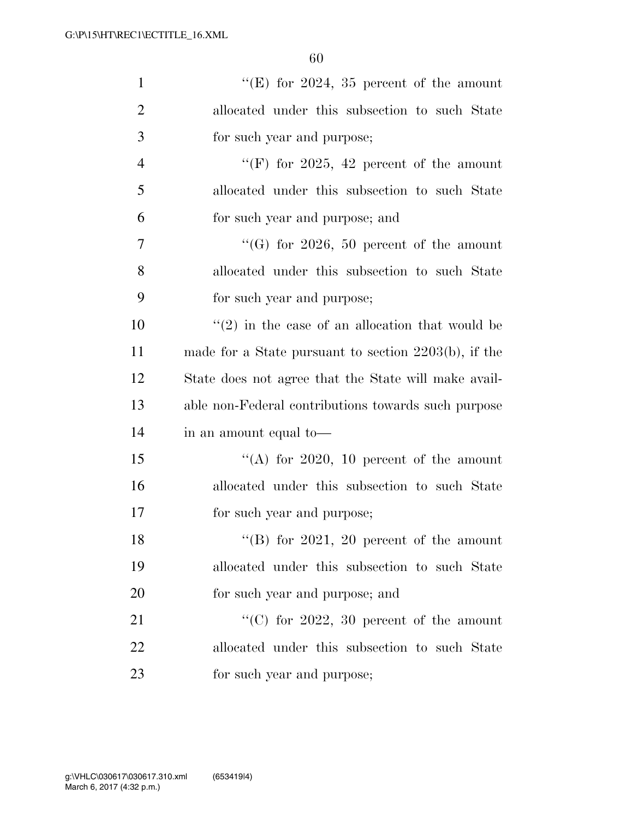| $\mathbf{1}$   | "(E) for 2024, 35 percent of the amount                 |
|----------------|---------------------------------------------------------|
| $\overline{2}$ | allocated under this subsection to such State           |
| 3              | for such year and purpose;                              |
| $\overline{4}$ | "(F) for 2025, 42 percent of the amount                 |
| 5              | allocated under this subsection to such State           |
| 6              | for such year and purpose; and                          |
| 7              | $\lq\lq(G)$ for 2026, 50 percent of the amount          |
| 8              | allocated under this subsection to such State           |
| 9              | for such year and purpose;                              |
| 10             | $\lq(2)$ in the case of an allocation that would be     |
| 11             | made for a State pursuant to section $2203(b)$ , if the |
| 12             | State does not agree that the State will make avail-    |
| 13             | able non-Federal contributions towards such purpose     |
| 14             | in an amount equal to—                                  |
| 15             | "(A) for 2020, 10 percent of the amount                 |
| 16             | allocated under this subsection to such State           |
| 17             | for such year and purpose;                              |
| 18             | "(B) for 2021, 20 percent of the amount                 |
| 19             | allocated under this subsection to such State           |
| 20             | for such year and purpose; and                          |
| 21             | "(C) for $2022$ , 30 percent of the amount              |
| 22             | allocated under this subsection to such State           |
| 23             | for such year and purpose;                              |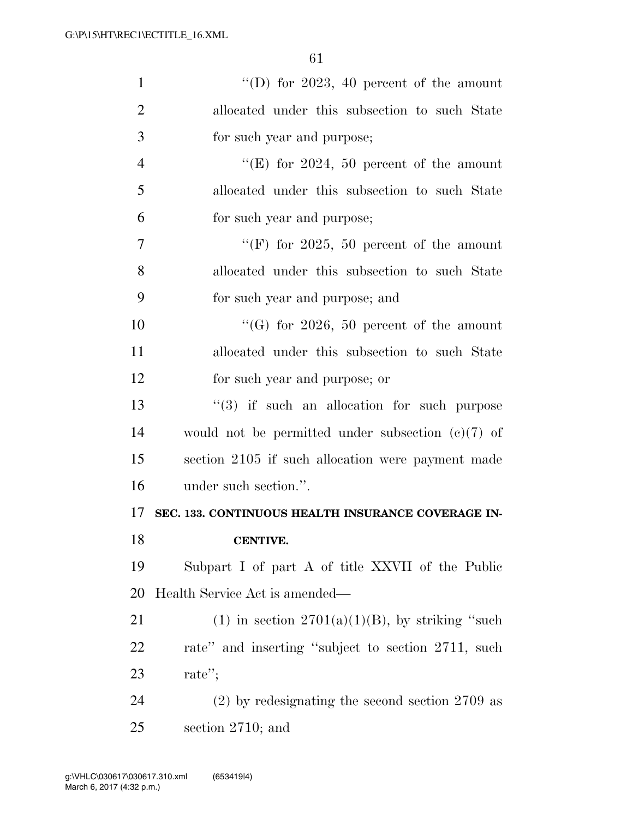| $\mathbf{1}$   | "(D) for 2023, 40 percent of the amount             |
|----------------|-----------------------------------------------------|
| $\overline{2}$ | allocated under this subsection to such State       |
| 3              | for such year and purpose;                          |
| $\overline{4}$ | "(E) for 2024, 50 percent of the amount             |
| 5              | allocated under this subsection to such State       |
| 6              | for such year and purpose;                          |
| $\overline{7}$ | "(F) for 2025, 50 percent of the amount             |
| 8              | allocated under this subsection to such State       |
| 9              | for such year and purpose; and                      |
| 10             | "(G) for $2026$ , 50 percent of the amount          |
| 11             | allocated under this subsection to such State       |
| 12             | for such year and purpose; or                       |
| 13             | $(3)$ if such an allocation for such purpose        |
| 14             | would not be permitted under subsection $(e)(7)$ of |
| 15             | section 2105 if such allocation were payment made   |
| 16             | under such section.".                               |
| 17             | SEC. 133. CONTINUOUS HEALTH INSURANCE COVERAGE IN-  |
| 18             | <b>CENTIVE.</b>                                     |
| 19             | Subpart I of part A of title XXVII of the Public    |
| 20             | Health Service Act is amended—                      |
| 21             | (1) in section $2701(a)(1)(B)$ , by striking "such  |
| 22             | rate" and inserting "subject to section 2711, such  |
| 23             | rate";                                              |
| 24             | $(2)$ by redesignating the second section 2709 as   |
| 25             | section $2710$ ; and                                |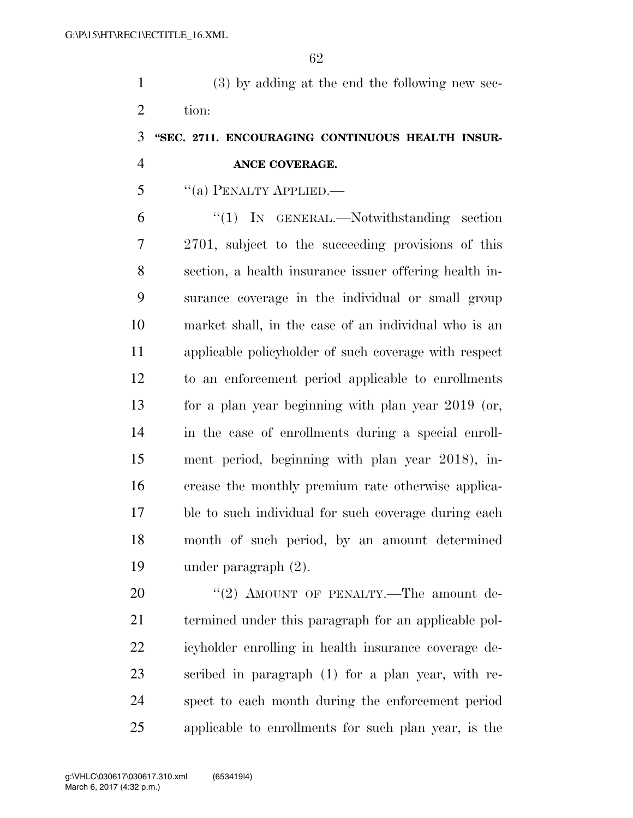(3) by adding at the end the following new sec-tion:

## **''SEC. 2711. ENCOURAGING CONTINUOUS HEALTH INSUR-ANCE COVERAGE.**

''(a) PENALTY APPLIED.—

 ''(1) IN GENERAL.—Notwithstanding section 2701, subject to the succeeding provisions of this section, a health insurance issuer offering health in- surance coverage in the individual or small group market shall, in the case of an individual who is an applicable policyholder of such coverage with respect to an enforcement period applicable to enrollments for a plan year beginning with plan year 2019 (or, in the case of enrollments during a special enroll- ment period, beginning with plan year 2018), in- crease the monthly premium rate otherwise applica- ble to such individual for such coverage during each month of such period, by an amount determined under paragraph (2).

20 "(2) AMOUNT OF PENALTY.—The amount de- termined under this paragraph for an applicable pol- icyholder enrolling in health insurance coverage de- scribed in paragraph (1) for a plan year, with re- spect to each month during the enforcement period applicable to enrollments for such plan year, is the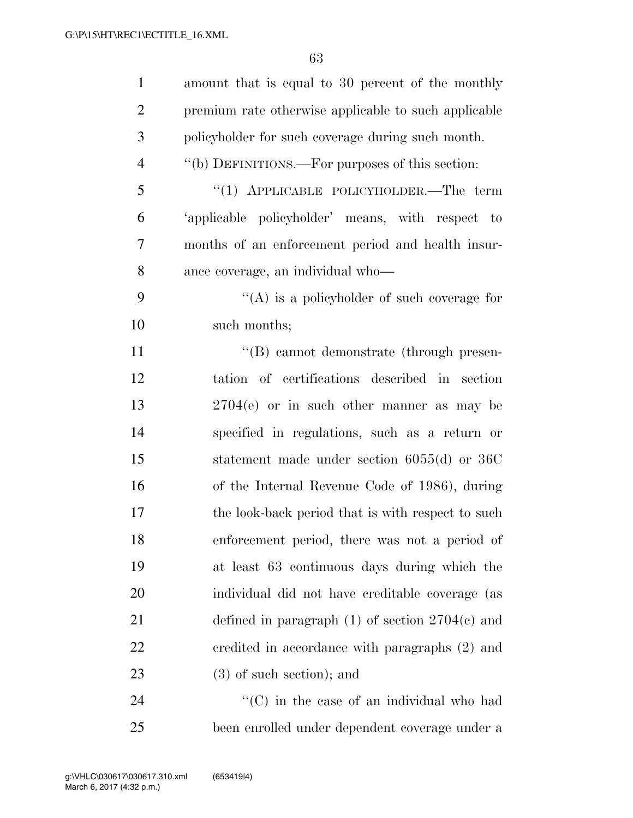| $\mathbf{1}$   | amount that is equal to 30 percent of the monthly    |
|----------------|------------------------------------------------------|
| $\overline{2}$ | premium rate otherwise applicable to such applicable |
| 3              | policyholder for such coverage during such month.    |
| $\overline{4}$ | "(b) DEFINITIONS.—For purposes of this section:      |
| 5              | "(1) APPLICABLE POLICYHOLDER.—The term               |
| 6              | 'applicable policyholder' means, with respect to     |
| 7              | months of an enforcement period and health insur-    |
| 8              | ance coverage, an individual who—                    |
| 9              | "(A) is a policyholder of such coverage for          |
| 10             | such months;                                         |
| 11             | "(B) cannot demonstrate (through presen-             |
| 12             | tation of certifications described in section        |
| 13             | $2704(e)$ or in such other manner as may be          |
| 14             | specified in regulations, such as a return or        |
| 15             | statement made under section $6055(d)$ or $36C$      |
| 16             | of the Internal Revenue Code of 1986), during        |
| 17             | the look-back period that is with respect to such    |
| 18             | enforcement period, there was not a period of        |
| 19             | at least 63 continuous days during which the         |
| 20             | individual did not have creditable coverage (as      |
| 21             | defined in paragraph $(1)$ of section $2704(c)$ and  |
| 22             | eredited in accordance with paragraphs (2) and       |
| 23             | $(3)$ of such section); and                          |
| 24             | $\cdot$ (C) in the case of an individual who had     |
| 25             | been enrolled under dependent coverage under a       |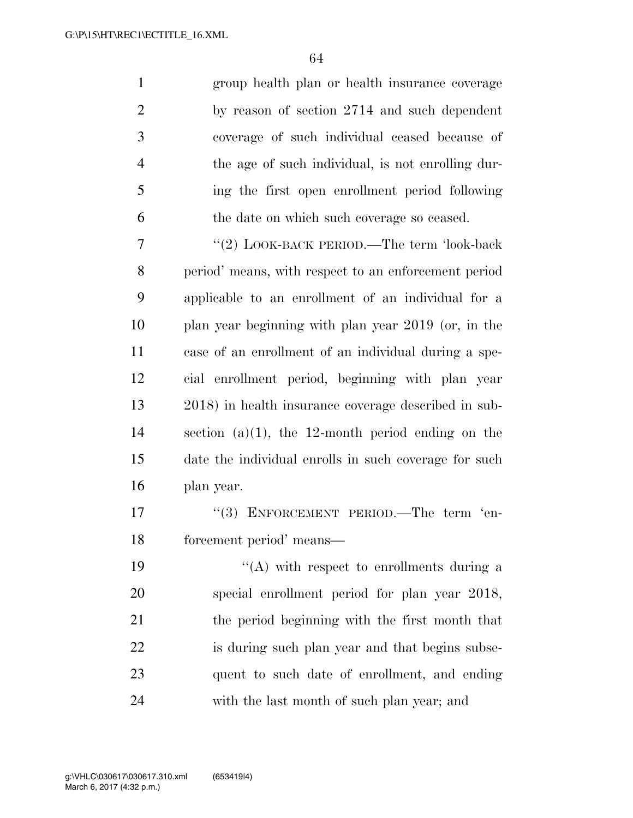group health plan or health insurance coverage by reason of section 2714 and such dependent coverage of such individual ceased because of the age of such individual, is not enrolling dur- ing the first open enrollment period following the date on which such coverage so ceased.

7 "(2) LOOK-BACK PERIOD.—The term 'look-back period' means, with respect to an enforcement period applicable to an enrollment of an individual for a plan year beginning with plan year 2019 (or, in the case of an enrollment of an individual during a spe- cial enrollment period, beginning with plan year 2018) in health insurance coverage described in sub- section (a)(1), the 12-month period ending on the date the individual enrolls in such coverage for such plan year.

17 "(3) ENFORCEMENT PERIOD.—The term 'en-forcement period' means—

 $\langle (A)$  with respect to enrollments during a special enrollment period for plan year 2018, the period beginning with the first month that is during such plan year and that begins subse- quent to such date of enrollment, and ending with the last month of such plan year; and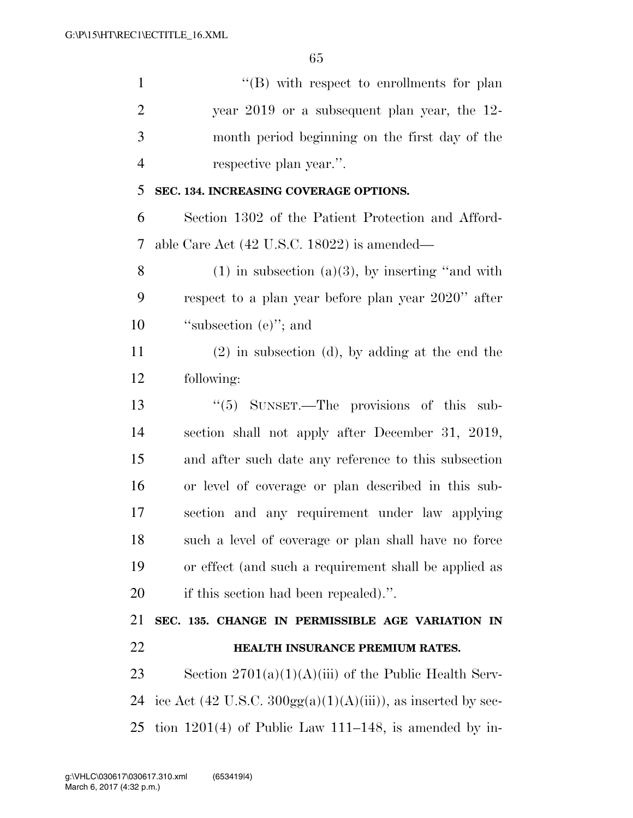''(B) with respect to enrollments for plan year 2019 or a subsequent plan year, the 12- month period beginning on the first day of the respective plan year.''. **SEC. 134. INCREASING COVERAGE OPTIONS.** 

 Section 1302 of the Patient Protection and Afford-able Care Act (42 U.S.C. 18022) is amended—

8 (1) in subsection (a)(3), by inserting "and with respect to a plan year before plan year 2020'' after 10 "subsection (e)"; and

 (2) in subsection (d), by adding at the end the following:

 ''(5) SUNSET.—The provisions of this sub- section shall not apply after December 31, 2019, and after such date any reference to this subsection or level of coverage or plan described in this sub- section and any requirement under law applying such a level of coverage or plan shall have no force or effect (and such a requirement shall be applied as if this section had been repealed).''.

 **SEC. 135. CHANGE IN PERMISSIBLE AGE VARIATION IN HEALTH INSURANCE PREMIUM RATES.** 

23 Section  $2701(a)(1)(A)(iii)$  of the Public Health Serv-24 ice Act (42 U.S.C.  $300gg(a)(1)(A)(iii)$ ), as inserted by sec-tion 1201(4) of Public Law 111–148, is amended by in-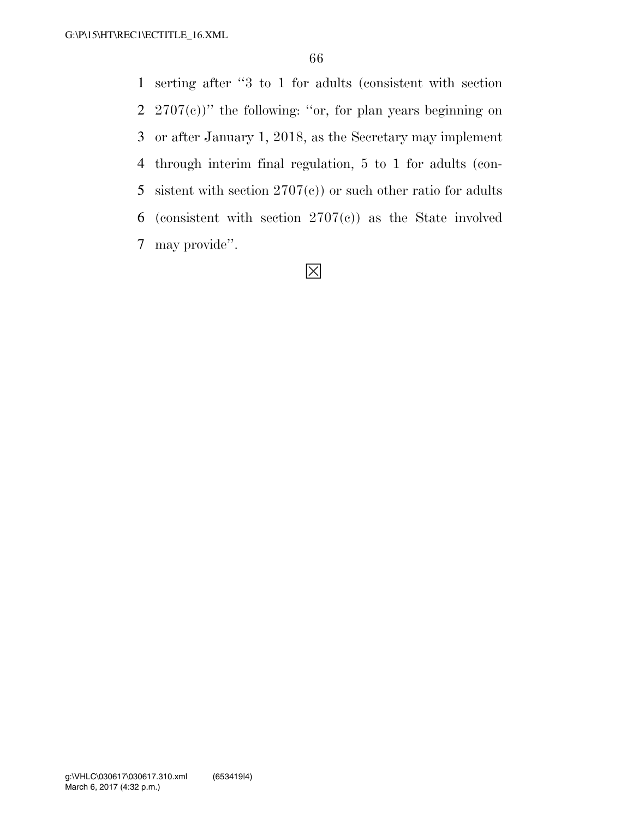serting after ''3 to 1 for adults (consistent with section  $2707(e)$ " the following: "or, for plan years beginning on or after January 1, 2018, as the Secretary may implement through interim final regulation, 5 to 1 for adults (con-5 sistent with section  $2707(c)$  or such other ratio for adults 6 (consistent with section  $2707(c)$ ) as the State involved may provide''.

## ◊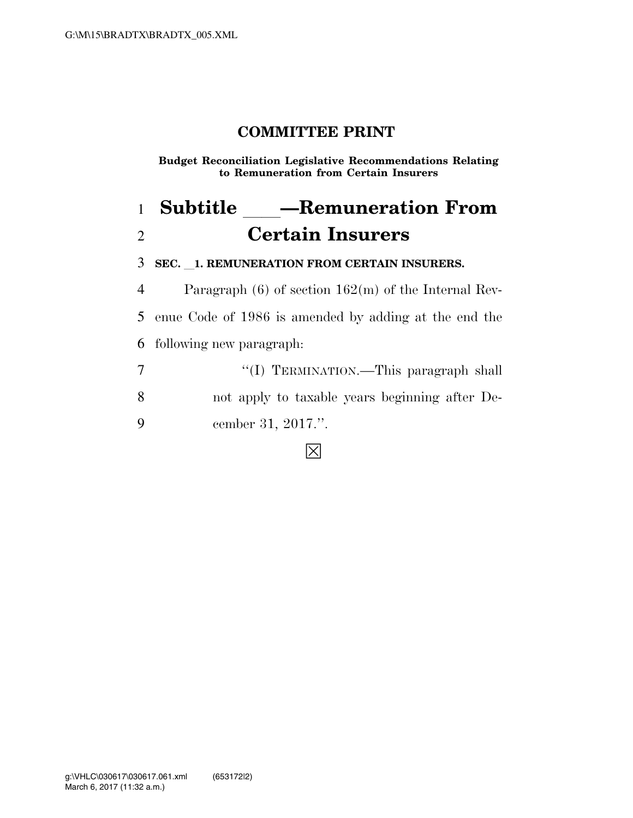**Budget Reconciliation Legislative Recommendations Relating to Remuneration from Certain Insurers** 

# 1 **Subtitle** —Remuneration From 2 **Certain Insurers**

3 **SEC.** l**1. REMUNERATION FROM CERTAIN INSURERS.** 

4 Paragraph (6) of section 162(m) of the Internal Rev-5 enue Code of 1986 is amended by adding at the end the 6 following new paragraph:

|   | "(I) TERMINATION.—This paragraph shall         |
|---|------------------------------------------------|
| 8 | not apply to taxable years beginning after De- |
| 9 | cember 31, 2017.".                             |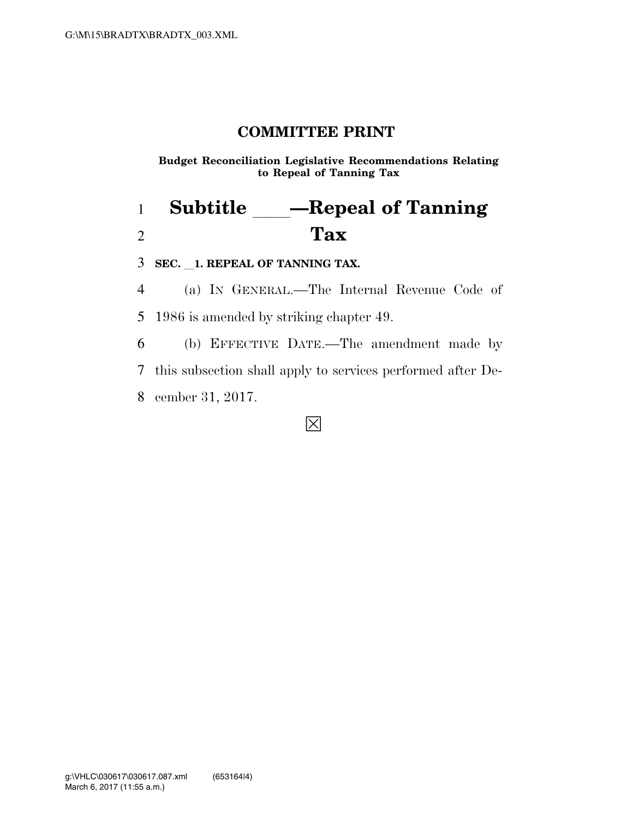**Budget Reconciliation Legislative Recommendations Relating to Repeal of Tanning Tax** 

## 1 **Subtitle** — Repeal of Tanning 2 **Tax**

3 **SEC.** l**1. REPEAL OF TANNING TAX.** 

4 (a) IN GENERAL.—The Internal Revenue Code of 5 1986 is amended by striking chapter 49.

6 (b) EFFECTIVE DATE.—The amendment made by 7 this subsection shall apply to services performed after De-8 cember 31, 2017.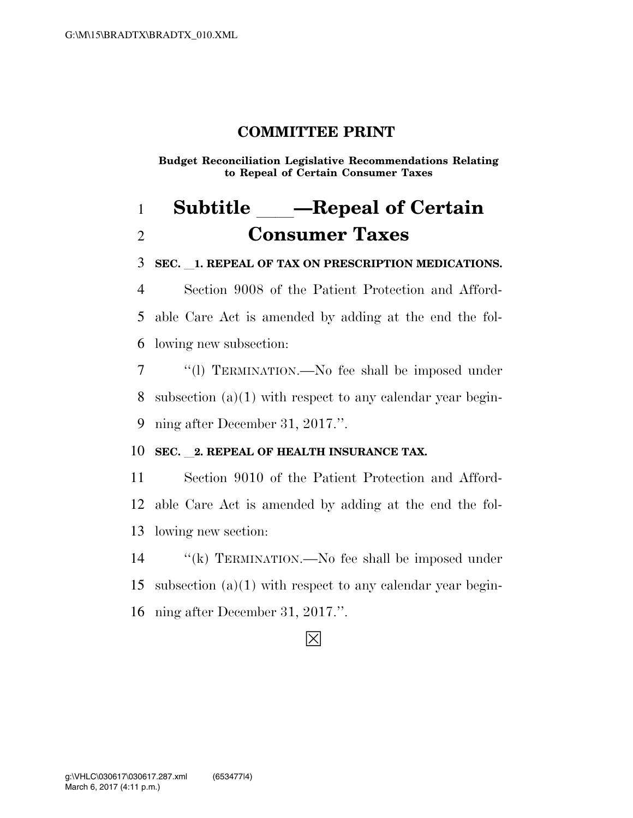**Budget Reconciliation Legislative Recommendations Relating to Repeal of Certain Consumer Taxes** 

## **Subtitle** — Repeal of Certain **Consumer Taxes**

**SEC.** l**1. REPEAL OF TAX ON PRESCRIPTION MEDICATIONS.** 

 Section 9008 of the Patient Protection and Afford- able Care Act is amended by adding at the end the fol-lowing new subsection:

 ''(l) TERMINATION.—No fee shall be imposed under subsection (a)(1) with respect to any calendar year begin-ning after December 31, 2017.''.

#### **SEC.** 2. REPEAL OF HEALTH INSURANCE TAX.

 Section 9010 of the Patient Protection and Afford- able Care Act is amended by adding at the end the fol-lowing new section:

 ''(k) TERMINATION.—No fee shall be imposed under 15 subsection  $(a)(1)$  with respect to any calendar year begin-ning after December 31, 2017.''.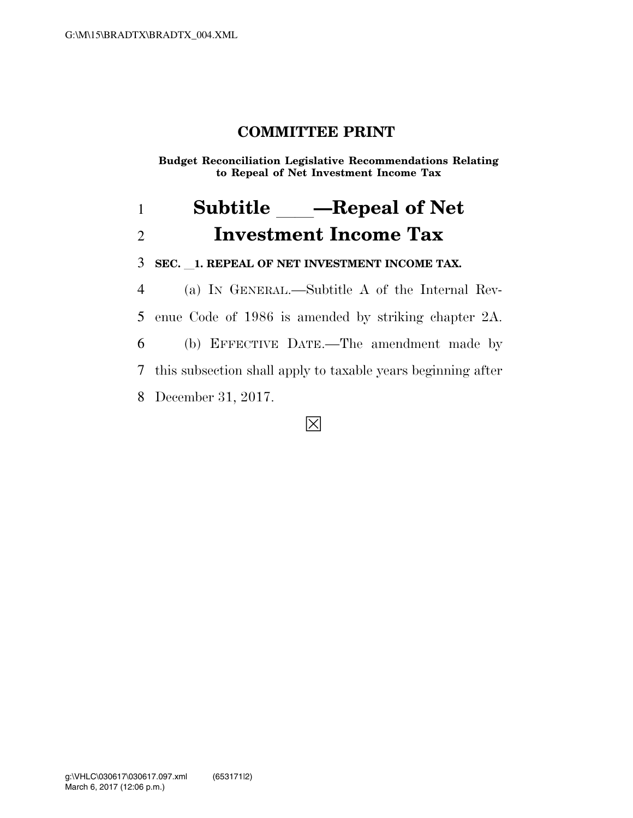**Budget Reconciliation Legislative Recommendations Relating to Repeal of Net Investment Income Tax** 

## 1 **Subtitle** — Repeal of Net 2 **Investment Income Tax**

3 **SEC.** l**1. REPEAL OF NET INVESTMENT INCOME TAX.** 

 (a) IN GENERAL.—Subtitle A of the Internal Rev- enue Code of 1986 is amended by striking chapter 2A. (b) EFFECTIVE DATE.—The amendment made by this subsection shall apply to taxable years beginning after December 31, 2017.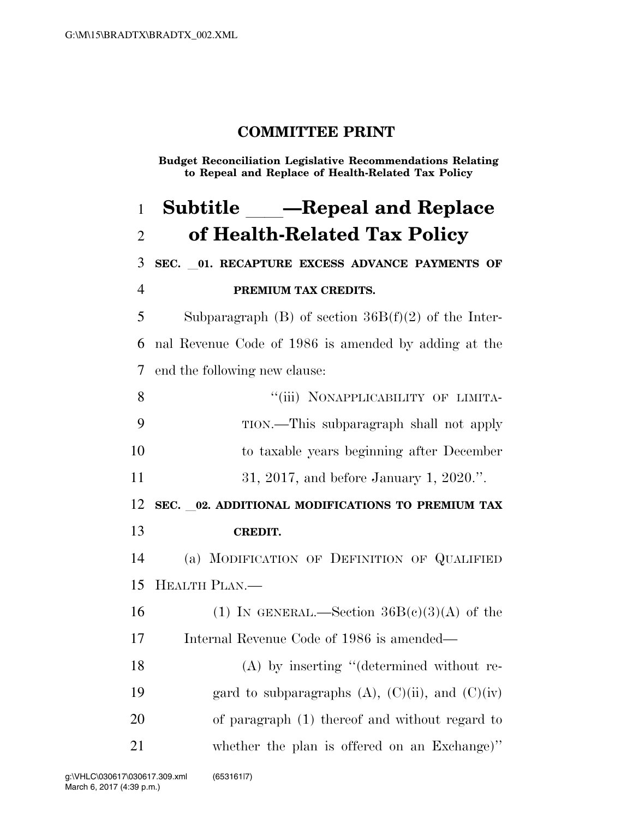**Budget Reconciliation Legislative Recommendations Relating to Repeal and Replace of Health-Related Tax Policy** 

**Subtitle** — Repeal and Replace **of Health-Related Tax Policy SEC.** l**01. RECAPTURE EXCESS ADVANCE PAYMENTS OF PREMIUM TAX CREDITS.**  5 Subparagraph (B) of section  $36B(f)(2)$  of the Inter- nal Revenue Code of 1986 is amended by adding at the end the following new clause: 8 "(iii) NONAPPLICABILITY OF LIMITA- TION.—This subparagraph shall not apply to taxable years beginning after December 31, 2017, and before January 1, 2020.''. **SEC.** l**02. ADDITIONAL MODIFICATIONS TO PREMIUM TAX CREDIT.**  (a) MODIFICATION OF DEFINITION OF QUALIFIED HEALTH PLAN.— 16 (1) In GENERAL.—Section  $36B(c)(3)(A)$  of the Internal Revenue Code of 1986 is amended— (A) by inserting ''(determined without re-19 gard to subparagraphs  $(A)$ ,  $(C)(ii)$ , and  $(C)(iv)$  of paragraph (1) thereof and without regard to whether the plan is offered on an Exchange)''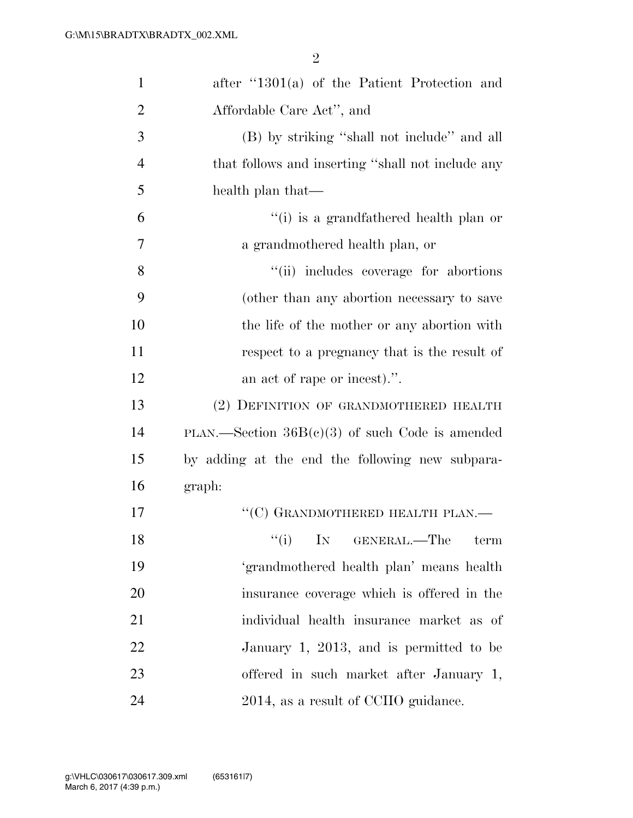| $\mathbf{1}$   | after $\lq 1301(a)$ of the Patient Protection and |
|----------------|---------------------------------------------------|
| $\overline{2}$ | Affordable Care Act", and                         |
| 3              | (B) by striking "shall not include" and all       |
| $\overline{4}$ | that follows and inserting "shall not include any |
| 5              | health plan that—                                 |
| 6              | "(i) is a grandfathered health plan or            |
| 7              | a grandmothered health plan, or                   |
| 8              | "(ii) includes coverage for abortions             |
| 9              | (other than any abortion necessary to save        |
| 10             | the life of the mother or any abortion with       |
| 11             | respect to a pregnancy that is the result of      |
| 12             | an act of rape or incest).".                      |
| 13             | (2) DEFINITION OF GRANDMOTHERED HEALTH            |
| 14             | PLAN.—Section $36B(c)(3)$ of such Code is amended |
| 15             | by adding at the end the following new subpara-   |
| 16             | graph:                                            |
| 17             | "(C) GRANDMOTHERED HEALTH PLAN.—                  |
| 18             | $f(i)$ IN GENERAL.—The term                       |
| 19             | 'grandmothered health plan' means health          |
| 20             | insurance coverage which is offered in the        |
| 21             | individual health insurance market as of          |
| 22             | January 1, 2013, and is permitted to be           |
| 23             | offered in such market after January 1,           |
| 24             | 2014, as a result of CCIIO guidance.              |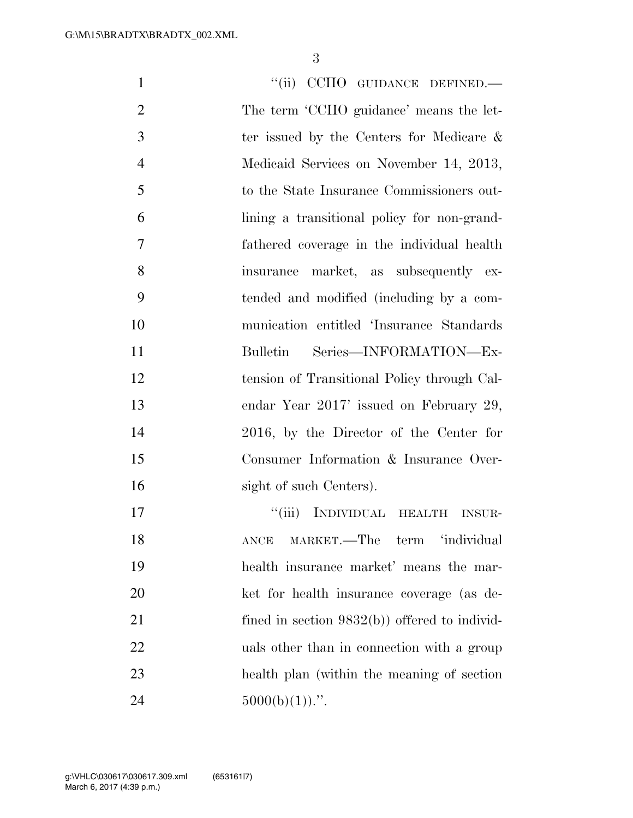1 "(ii) CCIIO GUIDANCE DEFINED.— The term 'CCIIO guidance' means the let- ter issued by the Centers for Medicare & Medicaid Services on November 14, 2013, to the State Insurance Commissioners out- lining a transitional policy for non-grand- fathered coverage in the individual health insurance market, as subsequently ex- tended and modified (including by a com- munication entitled 'Insurance Standards Bulletin Series—INFORMATION—Ex- tension of Transitional Policy through Cal- endar Year 2017' issued on February 29, 2016, by the Director of the Center for Consumer Information & Insurance Over-16 sight of such Centers). 17 "'(iii) INDIVIDUAL HEALTH INSUR- ANCE MARKET.—The term 'individual health insurance market' means the mar- ket for health insurance coverage (as de-21 fined in section 9832(b)) offered to individ-22 uals other than in connection with a group health plan (within the meaning of section  $5000(b)(1))$ .".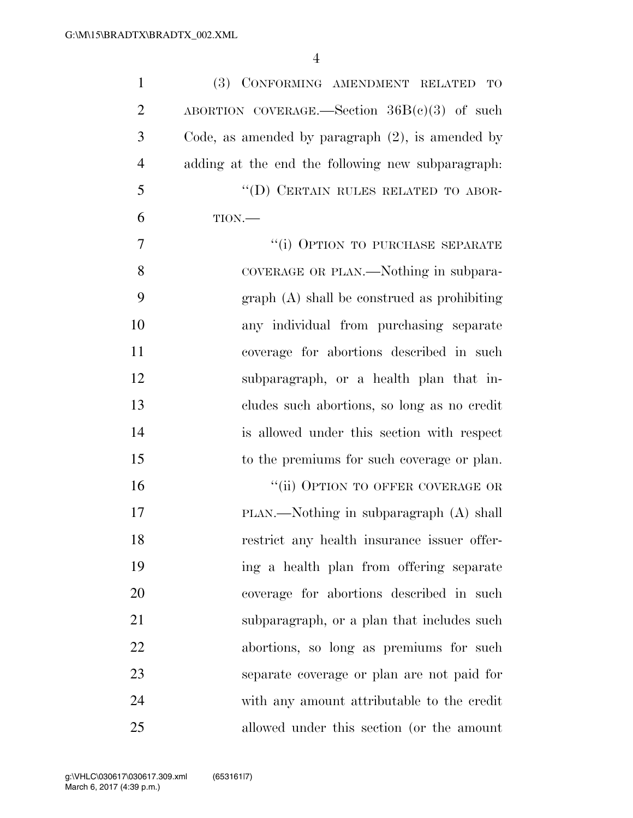| $\mathbf{1}$   | (3) CONFORMING AMENDMENT RELATED<br>TO              |
|----------------|-----------------------------------------------------|
| $\overline{2}$ | ABORTION COVERAGE.—Section $36B(c)(3)$ of such      |
| 3              | Code, as amended by paragraph $(2)$ , is amended by |
| $\overline{4}$ | adding at the end the following new subparagraph:   |
| 5              | "(D) CERTAIN RULES RELATED TO ABOR-                 |
| 6              | TION.                                               |
| 7              | "(i) OPTION TO PURCHASE SEPARATE                    |
| 8              | COVERAGE OR PLAN.—Nothing in subpara-               |
| 9              | $graph(A)$ shall be construed as prohibiting        |
| 10             | any individual from purchasing separate             |
| 11             | coverage for abortions described in such            |
| 12             | subparagraph, or a health plan that in-             |
| 13             | cludes such abortions, so long as no credit         |
| 14             | is allowed under this section with respect          |
| 15             | to the premiums for such coverage or plan.          |
| 16             | "(ii) OPTION TO OFFER COVERAGE OR                   |
| 17             | $PLAN$ —Nothing in subparagraph $(A)$ shall         |
| 18             | restrict any health insurance issuer offer-         |
| 19             | ing a health plan from offering separate            |
| 20             | coverage for abortions described in such            |
| 21             | subparagraph, or a plan that includes such          |
| 22             | abortions, so long as premiums for such             |
| 23             | separate coverage or plan are not paid for          |
| 24             | with any amount attributable to the credit          |
| 25             | allowed under this section (or the amount           |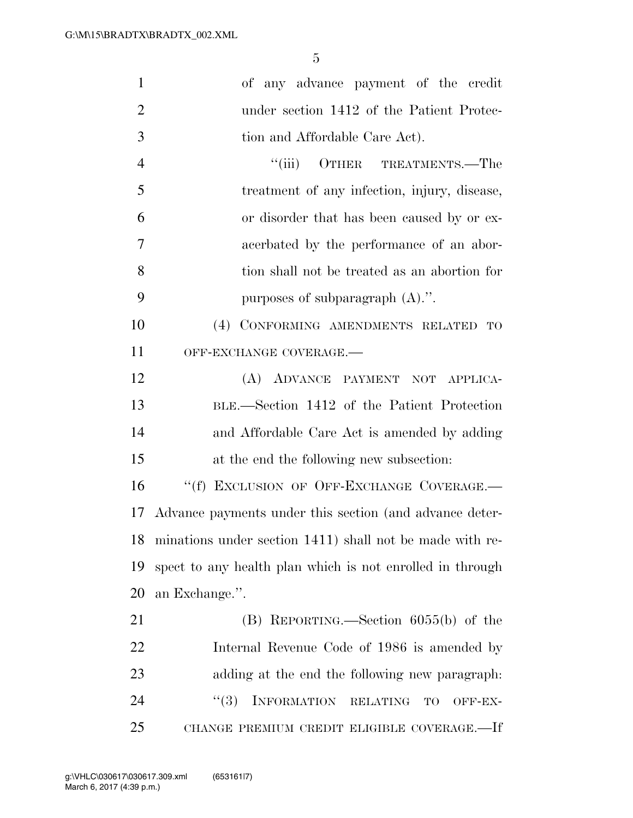| $\mathbf{1}$   | of any advance payment of the credit                        |
|----------------|-------------------------------------------------------------|
| $\overline{2}$ | under section 1412 of the Patient Protec-                   |
| 3              | tion and Affordable Care Act).                              |
| $\overline{4}$ | ``(iii)<br>OTHER TREATMENTS.—The                            |
| 5              | treatment of any infection, injury, disease,                |
| 6              | or disorder that has been caused by or ex-                  |
| 7              | acerbated by the performance of an abor-                    |
| 8              | tion shall not be treated as an abortion for                |
| 9              | purposes of subparagraph (A).".                             |
| 10             | CONFORMING AMENDMENTS RELATED<br>(4)<br>TO                  |
| 11             | OFF-EXCHANGE COVERAGE.-                                     |
| 12             | (A) ADVANCE PAYMENT NOT APPLICA-                            |
| 13             | BLE.—Section 1412 of the Patient Protection                 |
| 14             | and Affordable Care Act is amended by adding                |
| 15             | at the end the following new subsection:                    |
| 16             | "(f) EXCLUSION OF OFF-EXCHANGE COVERAGE.-                   |
| 17             | Advance payments under this section (and advance deter-     |
|                | 18 minations under section 1411) shall not be made with re- |
| 19             | spect to any health plan which is not enrolled in through   |
| 20             | an Exchange.".                                              |
| 21             | $(B)$ REPORTING.—Section 6055(b) of the                     |
| 22             | Internal Revenue Code of 1986 is amended by                 |
| 23             | adding at the end the following new paragraph:              |
| 24             | INFORMATION RELATING<br>(3)<br>TO<br>OFF-EX-                |
| 25             | CHANGE PREMIUM CREDIT ELIGIBLE COVERAGE.—If                 |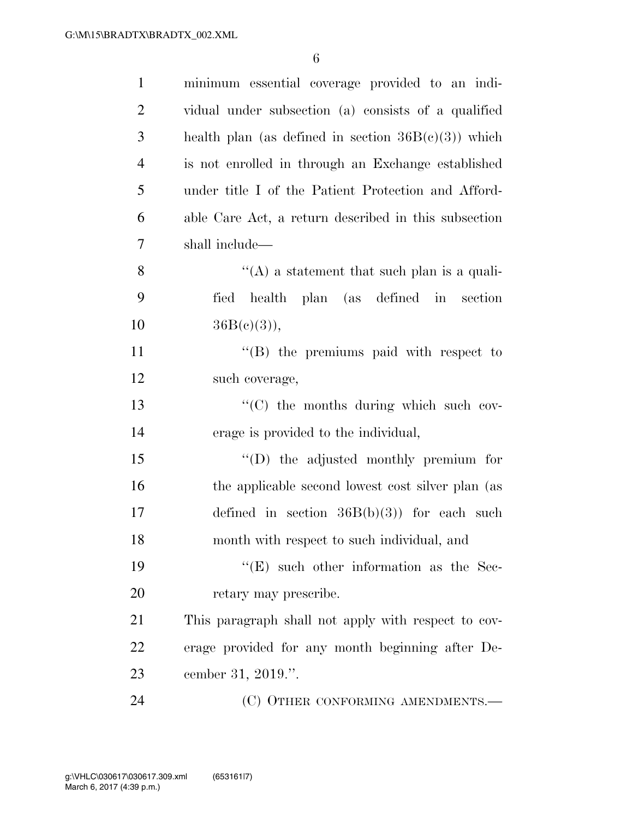| $\mathbf{1}$   | minimum essential coverage provided to an indi-        |
|----------------|--------------------------------------------------------|
| $\overline{2}$ | vidual under subsection (a) consists of a qualified    |
| 3              | health plan (as defined in section $36B(c)(3)$ ) which |
| $\overline{4}$ | is not enrolled in through an Exchange established     |
| 5              | under title I of the Patient Protection and Afford-    |
| 6              | able Care Act, a return described in this subsection   |
| 7              | shall include—                                         |
| 8              | $\lq\lq$ a statement that such plan is a quali-        |
| 9              | fied health plan (as defined in section                |
| 10             | $36B(c)(3)$ ,                                          |
| 11             | $\lq\lq$ the premiums paid with respect to             |
| 12             | such coverage,                                         |
| 13             | $\lq\lq$ (C) the months during which such cov-         |
| 14             | erage is provided to the individual,                   |
| 15             | $\lq\lq$ the adjusted monthly premium for              |
| 16             | the applicable second lowest cost silver plan (as      |
| 17             | defined in section $36B(b)(3)$ for each such           |
| 18             | month with respect to such individual, and             |
| 19             | $\lq\lq$ (E) such other information as the Sec-        |
| 20             | retary may prescribe.                                  |
| 21             | This paragraph shall not apply with respect to cov-    |
| 22             | erage provided for any month beginning after De-       |
| 23             | cember 31, 2019.".                                     |
| 24             | (C) OTHER CONFORMING AMENDMENTS.-                      |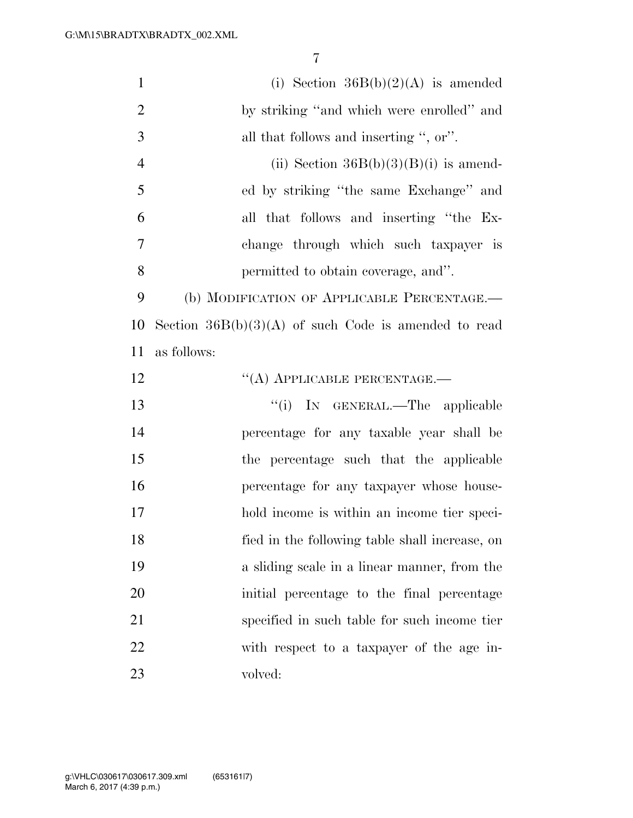| $\mathbf{1}$   | (i) Section $36B(b)(2)(A)$ is amended                  |
|----------------|--------------------------------------------------------|
| $\overline{2}$ | by striking "and which were enrolled" and              |
| 3              | all that follows and inserting ", or".                 |
| $\overline{4}$ | (ii) Section $36B(b)(3)(B)(i)$ is amend-               |
| 5              | ed by striking "the same Exchange" and                 |
| 6              | all that follows and inserting "the Ex-                |
| 7              | change through which such taxpayer is                  |
| 8              | permitted to obtain coverage, and".                    |
| 9              | (b) MODIFICATION OF APPLICABLE PERCENTAGE.-            |
| 10             | Section $36B(b)(3)(A)$ of such Code is amended to read |
| 11             | as follows:                                            |
| 12             | "(A) APPLICABLE PERCENTAGE.—                           |
| 13             | "(i) IN GENERAL.—The applicable                        |
| 14             | percentage for any taxable year shall be               |
| 15             | the percentage such that the applicable                |
| 16             | percentage for any taxpayer whose house-               |
| 17             | hold income is within an income tier speci-            |
| 18             | fied in the following table shall increase, on         |
| 19             | a sliding scale in a linear manner, from the           |
| 20             | initial percentage to the final percentage             |
| 21             | specified in such table for such income tier           |
| 22             | with respect to a taxpayer of the age in-              |
| 23             | volved:                                                |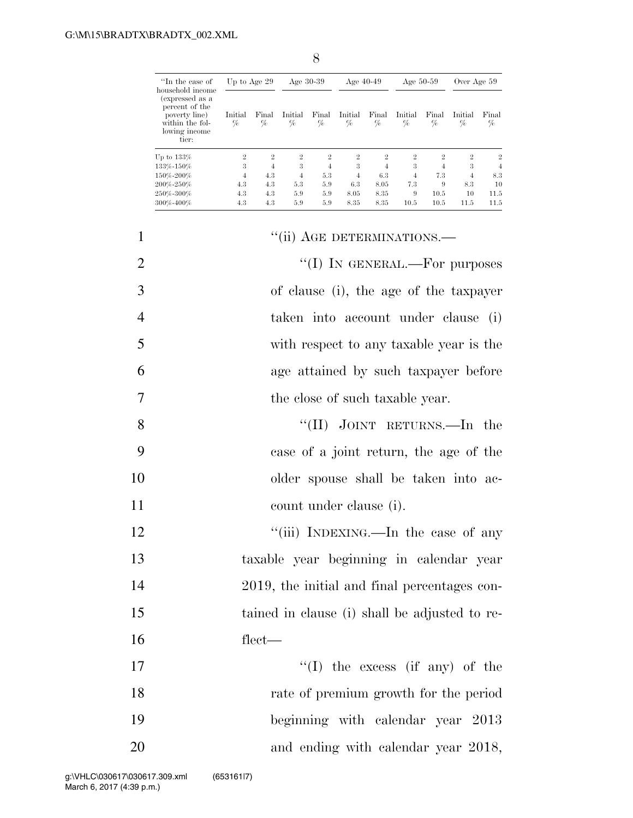| "In the case of<br>household income                                                             | Up to Age 29    |                | Age $30-39$     |                | Age $40-49$     |                | Age $50-59$     |                | Over Age 59    |                |
|-------------------------------------------------------------------------------------------------|-----------------|----------------|-----------------|----------------|-----------------|----------------|-----------------|----------------|----------------|----------------|
| (expressed as a<br>percent of the<br>poverty line)<br>within the fol-<br>lowing income<br>tier: | Initial<br>$\%$ | Final<br>$\%$  | Initial<br>$\%$ | Final<br>$\%$  | Initial<br>$\%$ | Final<br>%     | Initial<br>$\%$ | Final<br>%     | Initial<br>%   | Final<br>%     |
| Up to $133\%$                                                                                   | $\overline{2}$  | $\overline{2}$ | $\overline{2}$  | $\overline{2}$ | $\overline{2}$  | $\overline{2}$ | $\overline{2}$  | $\overline{2}$ | $\overline{2}$ | $\overline{2}$ |
| 133%-150%                                                                                       | 3               | 4              | 3               | 4              | 3               | $\overline{4}$ | 3               | 4              | 3              | 4              |
| 150%-200%                                                                                       | $\overline{4}$  | 4.3            | 4               | 5.3            | $\overline{4}$  | 6.3            | $\overline{4}$  | 7.3            | $\overline{4}$ | 8.3            |
| 200%-250%                                                                                       | 4.3             | 4.3            | 5.3             | 5.9            | 6.3             | 8.05           | 7.3             | 9              | 8.3            | 10             |
| 250%-300%                                                                                       | 4.3             | 4.3            | 5.9             | 5.9            | 8.05            | 8.35           | 9               | 10.5           | 10             | 11.5           |
| 300%-400%                                                                                       | 4.3             | 4.3            | 5.9             | 5.9            | 8.35            | 8.35           | 10.5            | 10.5           | 11.5           | 11.5           |

| $\mathbf{1}$   | "(ii) AGE DETERMINATIONS.-                    |
|----------------|-----------------------------------------------|
| $\overline{2}$ | "(I) IN GENERAL.—For purposes                 |
| 3              | of clause (i), the age of the taxpayer        |
| $\overline{4}$ | taken into account under clause (i)           |
| 5              | with respect to any taxable year is the       |
| 6              | age attained by such taxpayer before          |
| 7              | the close of such taxable year.               |
| 8              | "(II) JOINT RETURNS.—In the                   |
| 9              | case of a joint return, the age of the        |
| 10             | older spouse shall be taken into ac-          |
| 11             | count under clause (i).                       |
| 12             | "(iii) INDEXING.—In the case of any           |
| 13             | taxable year beginning in calendar year       |
| 14             | 2019, the initial and final percentages con-  |
| 15             | tained in clause (i) shall be adjusted to re- |
| 16             | $flect$ —                                     |
| 17             | $\lq\lq$ (I) the excess (if any) of the       |
| 18             | rate of premium growth for the period         |
| 19             | beginning with calendar year 2013             |
| 20             | and ending with calendar year 2018,           |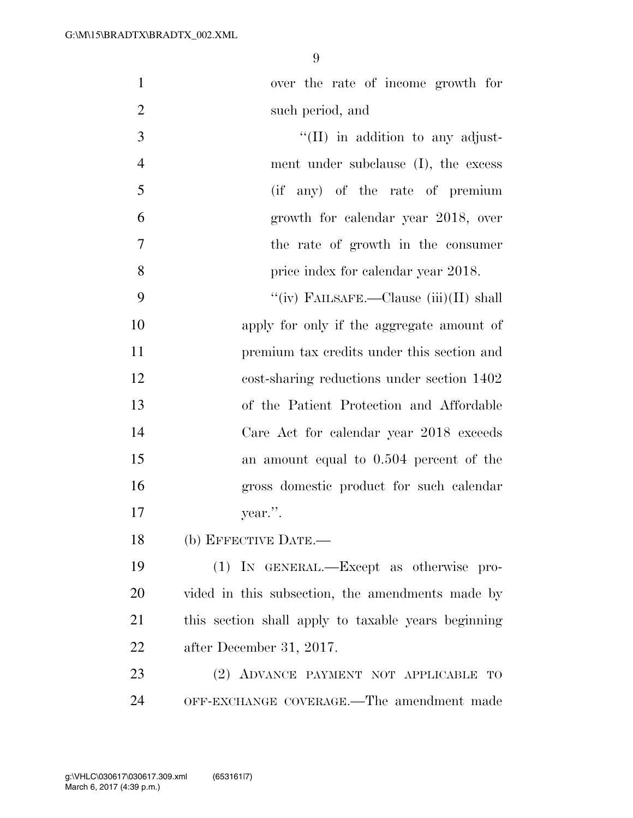| $\mathbf{1}$   | over the rate of income growth for                  |
|----------------|-----------------------------------------------------|
| $\overline{2}$ | such period, and                                    |
| 3              | $\lq\lq$ (II) in addition to any adjust-            |
| $\overline{4}$ | ment under subclause (I), the excess                |
| 5              | (if any) of the rate of premium                     |
| 6              | growth for calendar year 2018, over                 |
| 7              | the rate of growth in the consumer                  |
| 8              | price index for calendar year 2018.                 |
| 9              | "(iv) FAILSAFE.—Clause $(iii)(II)$ shall            |
| 10             | apply for only if the aggregate amount of           |
| 11             | premium tax credits under this section and          |
| 12             | cost-sharing reductions under section 1402          |
| 13             | of the Patient Protection and Affordable            |
| 14             | Care Act for calendar year 2018 exceeds             |
| 15             | an amount equal to 0.504 percent of the             |
| 16             | gross domestic product for such calendar            |
| 17             | year.".                                             |
| 18             | (b) EFFECTIVE DATE.—                                |
| 19             | (1) IN GENERAL.—Except as otherwise pro-            |
| 20             | vided in this subsection, the amendments made by    |
| 21             | this section shall apply to taxable years beginning |
| 22             | after December 31, 2017.                            |
| 23             | (2) ADVANCE PAYMENT NOT APPLICABLE TO               |
| 24             | OFF-EXCHANGE COVERAGE.—The amendment made           |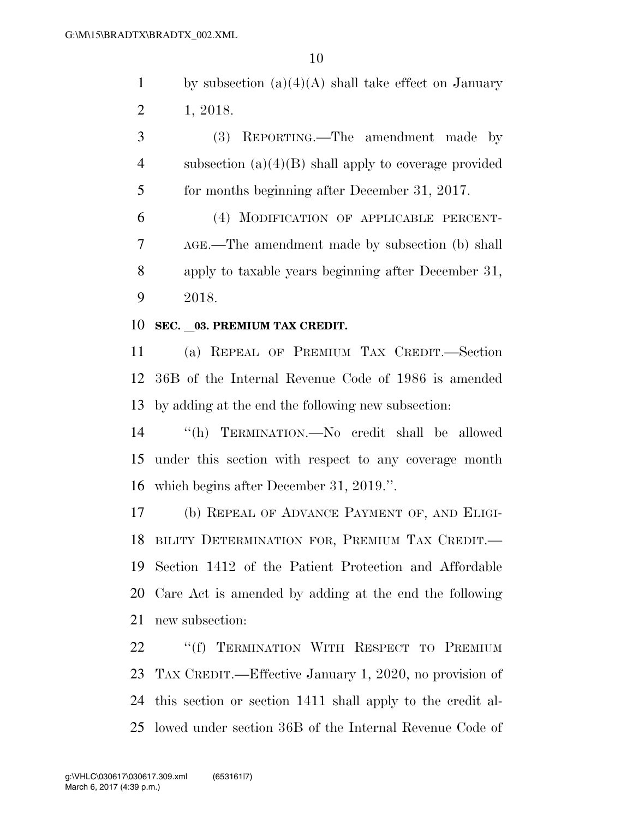1 by subsection  $(a)(4)(A)$  shall take effect on January 1, 2018.

 (3) REPORTING.—The amendment made by subsection (a)(4)(B) shall apply to coverage provided for months beginning after December 31, 2017.

 (4) MODIFICATION OF APPLICABLE PERCENT- AGE.—The amendment made by subsection (b) shall apply to taxable years beginning after December 31, 2018.

#### **SEC.** l**03. PREMIUM TAX CREDIT.**

 (a) REPEAL OF PREMIUM TAX CREDIT.—Section 36B of the Internal Revenue Code of 1986 is amended by adding at the end the following new subsection:

 ''(h) TERMINATION.—No credit shall be allowed under this section with respect to any coverage month which begins after December 31, 2019.''.

 (b) REPEAL OF ADVANCE PAYMENT OF, AND ELIGI- BILITY DETERMINATION FOR, PREMIUM TAX CREDIT.— Section 1412 of the Patient Protection and Affordable Care Act is amended by adding at the end the following new subsection:

22 "(f) TERMINATION WITH RESPECT TO PREMIUM TAX CREDIT.—Effective January 1, 2020, no provision of this section or section 1411 shall apply to the credit al-lowed under section 36B of the Internal Revenue Code of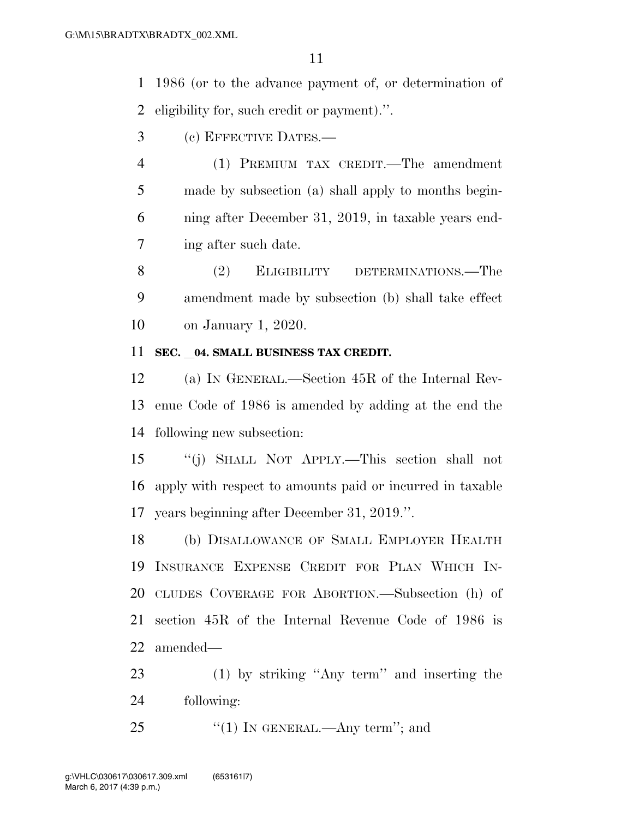1986 (or to the advance payment of, or determination of eligibility for, such credit or payment).''.

- (c) EFFECTIVE DATES.—
- (1) PREMIUM TAX CREDIT.—The amendment made by subsection (a) shall apply to months begin- ning after December 31, 2019, in taxable years end-ing after such date.
- 8 (2) ELIGIBILITY DETERMINATIONS.—The amendment made by subsection (b) shall take effect on January 1, 2020.

#### **SEC.** 04. SMALL BUSINESS TAX CREDIT.

 (a) IN GENERAL.—Section 45R of the Internal Rev- enue Code of 1986 is amended by adding at the end the following new subsection:

 ''(j) SHALL NOT APPLY.—This section shall not apply with respect to amounts paid or incurred in taxable years beginning after December 31, 2019.''.

 (b) DISALLOWANCE OF SMALL EMPLOYER HEALTH INSURANCE EXPENSE CREDIT FOR PLAN WHICH IN- CLUDES COVERAGE FOR ABORTION.—Subsection (h) of section 45R of the Internal Revenue Code of 1986 is amended—

- (1) by striking ''Any term'' and inserting the following:
- 25  $\frac{1}{2}$  (1) In GENERAL.—Any term''; and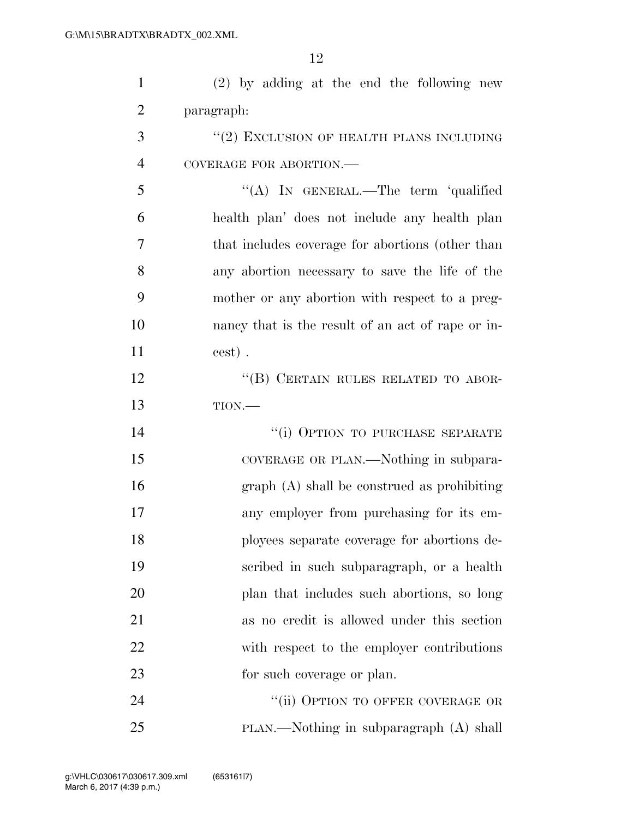(2) by adding at the end the following new paragraph: 3 "(2) EXCLUSION OF HEALTH PLANS INCLUDING COVERAGE FOR ABORTION.—

 ''(A) IN GENERAL.—The term 'qualified health plan' does not include any health plan that includes coverage for abortions (other than any abortion necessary to save the life of the mother or any abortion with respect to a preg- nancy that is the result of an act of rape or in-cest) .

12 "(B) CERTAIN RULES RELATED TO ABOR-TION.—

 $"$ (i) OPTION TO PURCHASE SEPARATE 15 COVERAGE OR PLAN.—Nothing in subpara- graph (A) shall be construed as prohibiting any employer from purchasing for its em- ployees separate coverage for abortions de- scribed in such subparagraph, or a health plan that includes such abortions, so long as no credit is allowed under this section 22 with respect to the employer contributions 23 for such coverage or plan.

24 "(ii) OPTION TO OFFER COVERAGE OR PLAN.—Nothing in subparagraph (A) shall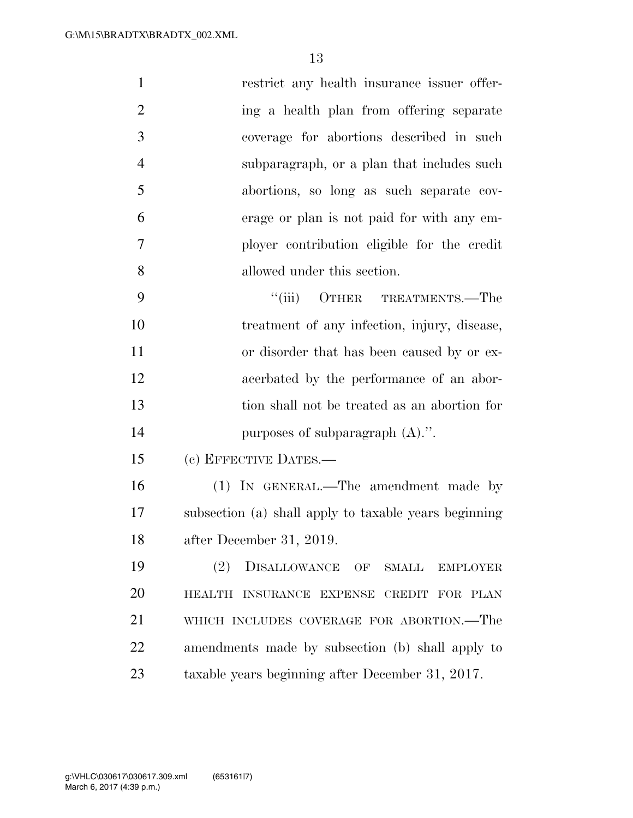| $\mathbf{1}$   | restrict any health insurance issuer offer-           |
|----------------|-------------------------------------------------------|
| $\overline{2}$ | ing a health plan from offering separate              |
| 3              | coverage for abortions described in such              |
| $\overline{4}$ | subparagraph, or a plan that includes such            |
| 5              | abortions, so long as such separate cov-              |
| 6              | erage or plan is not paid for with any em-            |
| 7              | ployer contribution eligible for the credit           |
| 8              | allowed under this section.                           |
| 9              | "(iii) OTHER TREATMENTS.—The                          |
| 10             | treatment of any infection, injury, disease,          |
| 11             | or disorder that has been caused by or ex-            |
| 12             | acerbated by the performance of an abor-              |
| 13             | tion shall not be treated as an abortion for          |
| 14             | purposes of subparagraph $(A)$ .".                    |
| 15             | (c) EFFECTIVE DATES.-                                 |
| 16             | (1) IN GENERAL.—The amendment made by                 |
| 17             | subsection (a) shall apply to taxable years beginning |
| 18             | after December 31, 2019.                              |
| 19             | (2)<br>DISALLOWANCE OF<br>SMALL<br><b>EMPLOYER</b>    |
| 20             | HEALTH INSURANCE EXPENSE CREDIT FOR PLAN              |
| 21             | WHICH INCLUDES COVERAGE FOR ABORTION.—The             |
| 22             | amendments made by subsection (b) shall apply to      |
| 23             | taxable years beginning after December 31, 2017.      |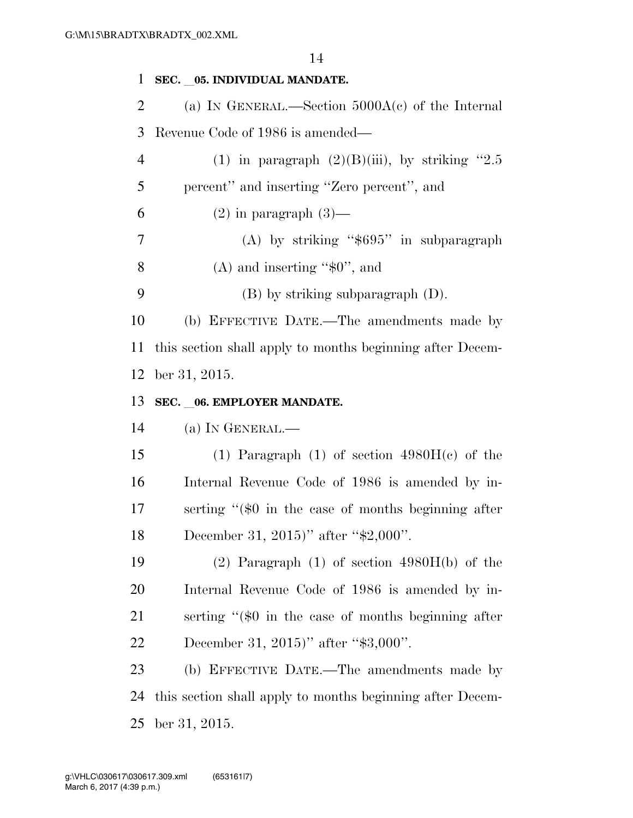**SEC.** l**05. INDIVIDUAL MANDATE.**  (a) IN GENERAL.—Section 5000A(c) of the Internal Revenue Code of 1986 is amended— 4 (1) in paragraph  $(2)(B)(iii)$ , by striking "2.5 percent'' and inserting ''Zero percent'', and 6 (2) in paragraph  $(3)$ — 7 (A) by striking "\$695" in subparagraph 8 (A) and inserting " $$0$ ", and (B) by striking subparagraph (D). (b) EFFECTIVE DATE.—The amendments made by this section shall apply to months beginning after Decem- ber 31, 2015. **SEC.** l**06. EMPLOYER MANDATE.**  (a) IN GENERAL.— 15 (1) Paragraph (1) of section  $4980H(c)$  of the Internal Revenue Code of 1986 is amended by in- serting ''(\$0 in the case of months beginning after 18 December 31, 2015)'' after "\$2,000". (2) Paragraph (1) of section 4980H(b) of the

 Internal Revenue Code of 1986 is amended by in- serting ''(\$0 in the case of months beginning after 22 December 31, 2015)'' after "\$3,000".

 (b) EFFECTIVE DATE.—The amendments made by this section shall apply to months beginning after Decem-ber 31, 2015.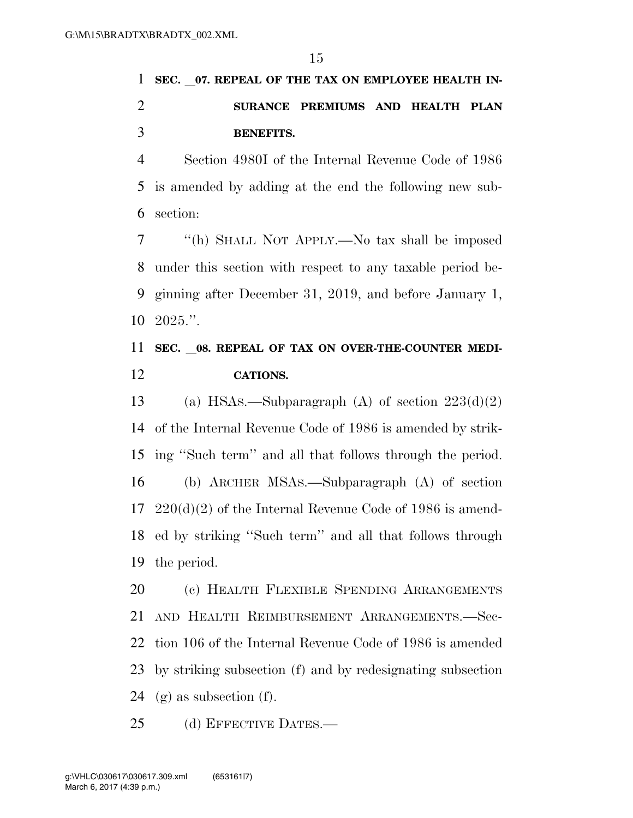# 1 SEC. 07. REPEAL OF THE TAX ON EMPLOYEE HEALTH IN- **SURANCE PREMIUMS AND HEALTH PLAN BENEFITS.**

 Section 4980I of the Internal Revenue Code of 1986 is amended by adding at the end the following new sub-section:

 ''(h) SHALL NOT APPLY.—No tax shall be imposed under this section with respect to any taxable period be- ginning after December 31, 2019, and before January 1, 2025.''.

### 11 SEC. 08. REPEAL OF TAX ON OVER-THE-COUNTER MEDI-**CATIONS.**

13 (a) HSAs.—Subparagraph (A) of section  $223(d)(2)$  of the Internal Revenue Code of 1986 is amended by strik- ing ''Such term'' and all that follows through the period. (b) ARCHER MSAS.—Subparagraph (A) of section 220(d)(2) of the Internal Revenue Code of 1986 is amend- ed by striking ''Such term'' and all that follows through the period.

 (c) HEALTH FLEXIBLE SPENDING ARRANGEMENTS AND HEALTH REIMBURSEMENT ARRANGEMENTS.—Sec- tion 106 of the Internal Revenue Code of 1986 is amended by striking subsection (f) and by redesignating subsection 24 (g) as subsection (f).

25 (d) EFFECTIVE DATES.—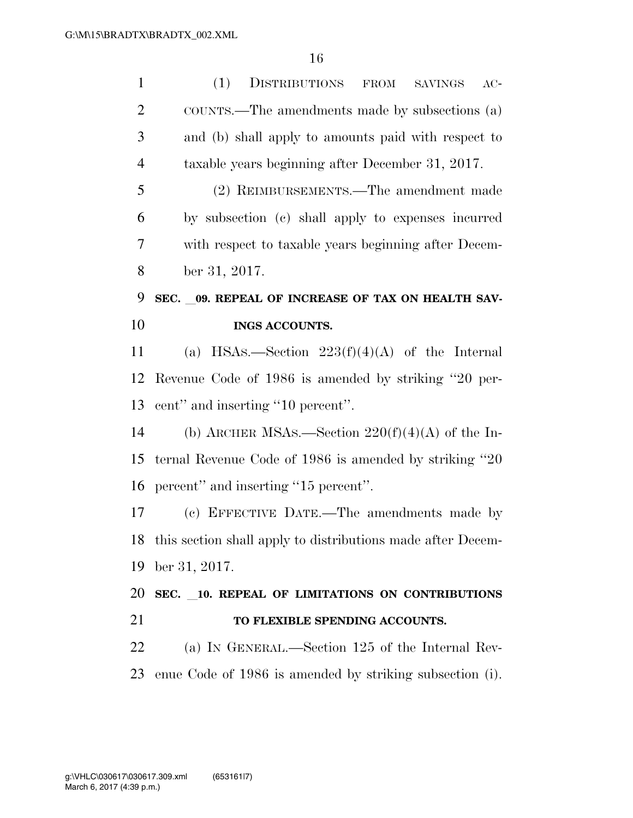| $\mathbf{1}$   | (1)<br>DISTRIBUTIONS<br>FROM<br>$AC-$<br><b>SAVINGS</b>        |
|----------------|----------------------------------------------------------------|
| 2              | COUNTS.—The amendments made by subsections (a)                 |
| 3              | and (b) shall apply to amounts paid with respect to            |
| $\overline{4}$ | taxable years beginning after December 31, 2017.               |
| 5              | (2) REIMBURSEMENTS.—The amendment made                         |
| 6              | by subsection (c) shall apply to expenses incurred             |
| 7              | with respect to taxable years beginning after Decem-           |
| 8              | ber 31, 2017.                                                  |
| 9              | SEC. 09. REPEAL OF INCREASE OF TAX ON HEALTH SAV-              |
| 10             | <b>INGS ACCOUNTS.</b>                                          |
| 11             | (a) HSAs.—Section $223(f)(4)(A)$ of the Internal               |
| 12             | Revenue Code of 1986 is amended by striking "20 per-           |
| 13             | cent" and inserting "10 percent".                              |
| 14             | (b) ARCHER MSAs.—Section $220(f)(4)(A)$ of the In-             |
| 15             | ternal Revenue Code of 1986 is amended by striking "20"        |
| 16             | percent" and inserting "15 percent".                           |
| 17             | (c) EFFECTIVE DATE.—The amendments made by                     |
|                | 18 this section shall apply to distributions made after Decem- |
| 19             | ber 31, 2017.                                                  |
| 20             | SEC. 10. REPEAL OF LIMITATIONS ON CONTRIBUTIONS                |
| 21             | TO FLEXIBLE SPENDING ACCOUNTS.                                 |
| 22             | (a) IN GENERAL.—Section 125 of the Internal Rev-               |
| 23             | enue Code of 1986 is amended by striking subsection (i).       |
|                |                                                                |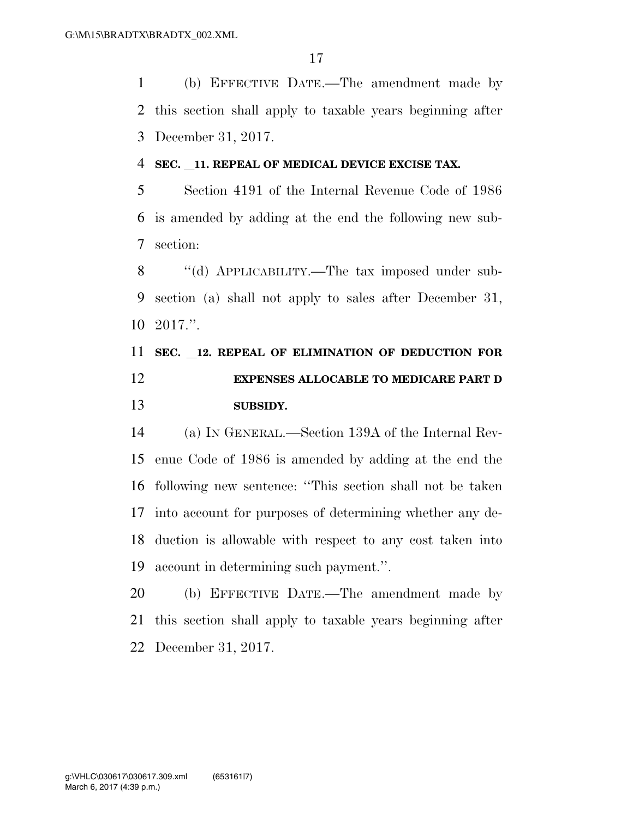(b) EFFECTIVE DATE.—The amendment made by this section shall apply to taxable years beginning after December 31, 2017.

#### **SEC.** l**11. REPEAL OF MEDICAL DEVICE EXCISE TAX.**

 Section 4191 of the Internal Revenue Code of 1986 is amended by adding at the end the following new sub-section:

8 "(d) APPLICABILITY.—The tax imposed under sub- section (a) shall not apply to sales after December 31, 2017.''.

## **SEC.** l**12. REPEAL OF ELIMINATION OF DEDUCTION FOR EXPENSES ALLOCABLE TO MEDICARE PART D SUBSIDY.**

 (a) IN GENERAL.—Section 139A of the Internal Rev- enue Code of 1986 is amended by adding at the end the following new sentence: ''This section shall not be taken into account for purposes of determining whether any de- duction is allowable with respect to any cost taken into account in determining such payment.''.

 (b) EFFECTIVE DATE.—The amendment made by this section shall apply to taxable years beginning after December 31, 2017.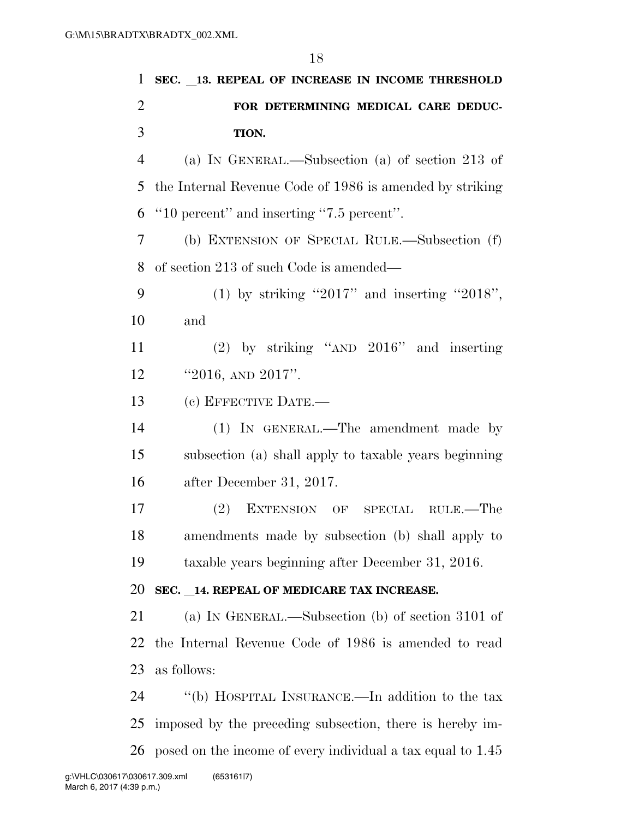| $\mathbf{1}$   | SEC. 13. REPEAL OF INCREASE IN INCOME THRESHOLD             |
|----------------|-------------------------------------------------------------|
| $\overline{2}$ | FOR DETERMINING MEDICAL CARE DEDUC-                         |
| 3              | TION.                                                       |
| 4              | (a) IN GENERAL.—Subsection (a) of section 213 of            |
| 5              | the Internal Revenue Code of 1986 is amended by striking    |
| 6              | "10 percent" and inserting "7.5 percent".                   |
| 7              | (b) EXTENSION OF SPECIAL RULE.—Subsection (f)               |
| 8              | of section 213 of such Code is amended—                     |
| 9              | (1) by striking "2017" and inserting "2018",                |
| 10             | and                                                         |
| 11             | $(2)$ by striking "AND $2016$ " and inserting               |
| 12             | "2016, AND $2017$ ".                                        |
| 13             | (c) EFFECTIVE DATE.-                                        |
| 14             | (1) IN GENERAL.—The amendment made by                       |
| 15             | subsection (a) shall apply to taxable years beginning       |
| 16             | after December 31, 2017.                                    |
| 17             | (2)<br>EXTENSION OF SPECIAL RULE.—The                       |
| 18             | amendments made by subsection (b) shall apply to            |
| 19             | taxable years beginning after December 31, 2016.            |
| 20             | SEC. 14. REPEAL OF MEDICARE TAX INCREASE.                   |
| 21             | (a) IN GENERAL.—Subsection (b) of section 3101 of           |
| 22             | the Internal Revenue Code of 1986 is amended to read        |
| 23             | as follows:                                                 |
| 24             | "(b) HOSPITAL INSURANCE.—In addition to the tax             |
| 25             | imposed by the preceding subsection, there is hereby im-    |
| 26             | posed on the income of every individual a tax equal to 1.45 |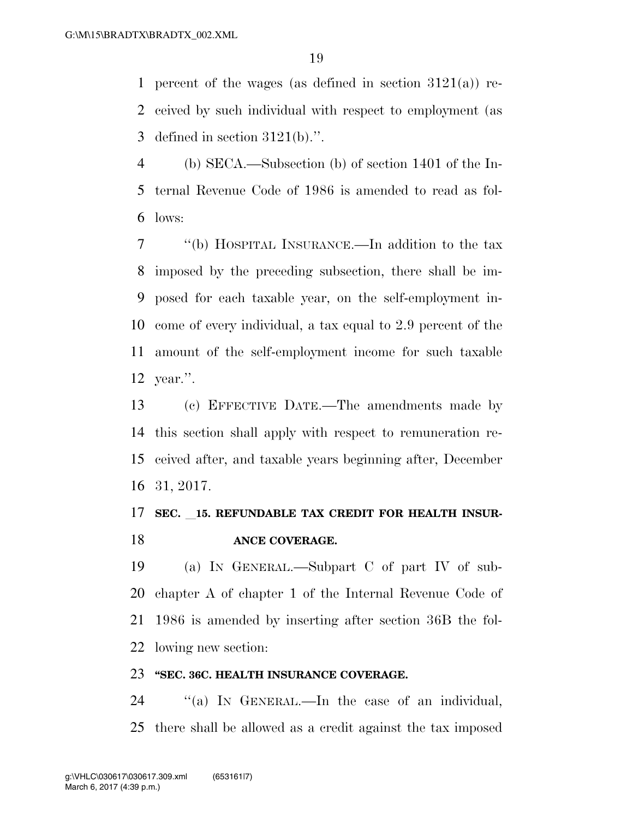1 percent of the wages (as defined in section  $3121(a)$ ) re- ceived by such individual with respect to employment (as 3 defined in section  $3121(b)$ .".

 (b) SECA.—Subsection (b) of section 1401 of the In- ternal Revenue Code of 1986 is amended to read as fol-lows:

 ''(b) HOSPITAL INSURANCE.—In addition to the tax imposed by the preceding subsection, there shall be im- posed for each taxable year, on the self-employment in- come of every individual, a tax equal to 2.9 percent of the amount of the self-employment income for such taxable year.''.

 (c) EFFECTIVE DATE.—The amendments made by this section shall apply with respect to remuneration re- ceived after, and taxable years beginning after, December 31, 2017.

### **SEC.** l**15. REFUNDABLE TAX CREDIT FOR HEALTH INSUR-ANCE COVERAGE.**

 (a) IN GENERAL.—Subpart C of part IV of sub- chapter A of chapter 1 of the Internal Revenue Code of 1986 is amended by inserting after section 36B the fol-lowing new section:

#### **''SEC. 36C. HEALTH INSURANCE COVERAGE.**

 ''(a) IN GENERAL.—In the case of an individual, there shall be allowed as a credit against the tax imposed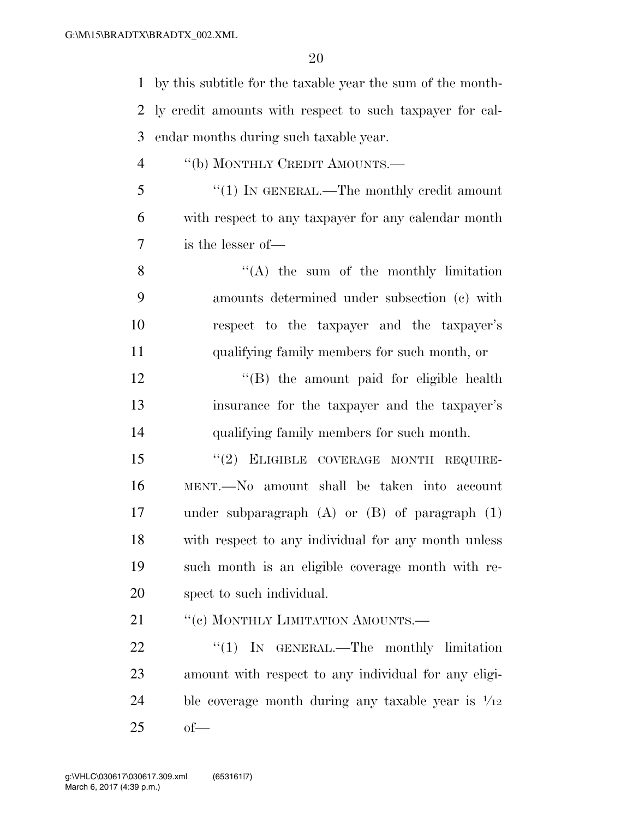by this subtitle for the taxable year the sum of the month- ly credit amounts with respect to such taxpayer for cal-endar months during such taxable year.

- 4 "(b) MONTHLY CREDIT AMOUNTS.—
- ''(1) IN GENERAL.—The monthly credit amount with respect to any taxpayer for any calendar month is the lesser of—

 ''(A) the sum of the monthly limitation amounts determined under subsection (c) with respect to the taxpayer and the taxpayer's qualifying family members for such month, or

12 "(B) the amount paid for eligible health insurance for the taxpayer and the taxpayer's qualifying family members for such month.

15 "(2) ELIGIBLE COVERAGE MONTH REQUIRE- MENT.—No amount shall be taken into account under subparagraph (A) or (B) of paragraph (1) with respect to any individual for any month unless such month is an eligible coverage month with re-spect to such individual.

21 ""(c) MONTHLY LIMITATION AMOUNTS.—

22 "(1) IN GENERAL.—The monthly limitation amount with respect to any individual for any eligi-24 ble coverage month during any taxable year is  $\frac{1}{12}$ of—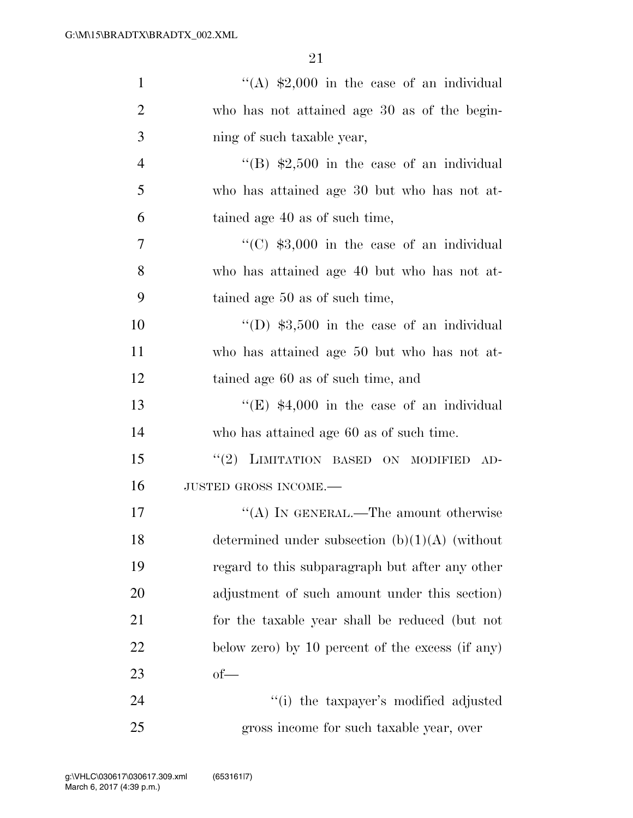| $\mathbf{1}$   | "(A) $$2,000$ in the case of an individual        |
|----------------|---------------------------------------------------|
| $\overline{2}$ | who has not attained age 30 as of the begin-      |
| 3              | ning of such taxable year,                        |
| $\overline{4}$ | "(B) $\text{$}2,500$ in the case of an individual |
| 5              | who has attained age 30 but who has not at-       |
| 6              | tained age 40 as of such time,                    |
| 7              | "(C) $$3,000$ in the case of an individual        |
| 8              | who has attained age 40 but who has not at-       |
| 9              | tained age 50 as of such time,                    |
| 10             | "(D) $$3,500$ in the case of an individual        |
| 11             | who has attained age 50 but who has not at-       |
| 12             | tained age 60 as of such time, and                |
| 13             | "(E) $$4,000$ in the case of an individual        |
| 14             | who has attained age 60 as of such time.          |
| 15             | "(2) LIMITATION BASED ON MODIFIED<br>$AD-$        |
| 16             | JUSTED GROSS INCOME.-                             |
| 17             | "(A) IN GENERAL.—The amount otherwise             |
| 18             | determined under subsection $(b)(1)(A)$ (without  |
| 19             | regard to this subparagraph but after any other   |
| 20             | adjustment of such amount under this section)     |
| 21             | for the taxable year shall be reduced (but not    |
| 22             | below zero) by 10 percent of the excess (if any)  |
| 23             | $of$ —                                            |
| 24             | "(i) the taxpayer's modified adjusted             |
| 25             | gross income for such taxable year, over          |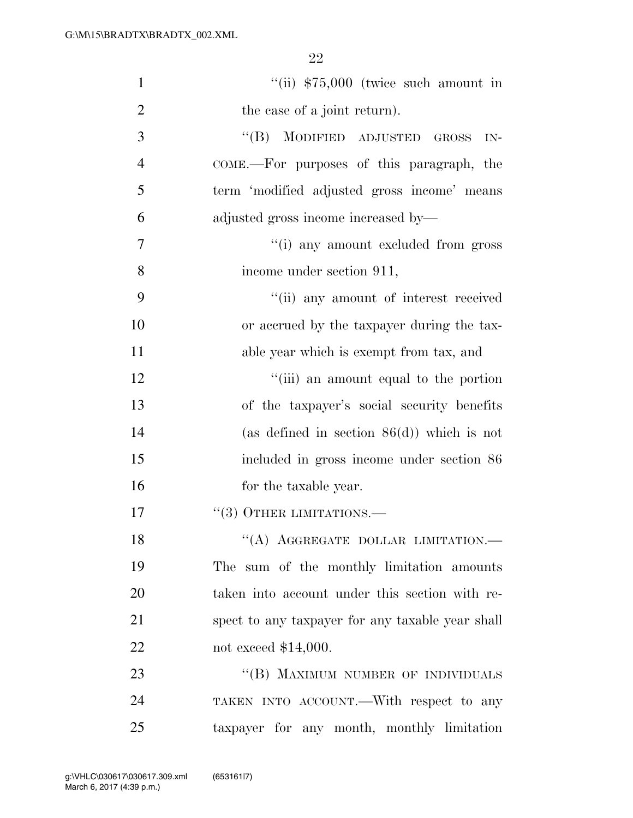| $\mathbf{1}$   | $``$ (ii) $$75,000$ (twice such amount in        |
|----------------|--------------------------------------------------|
| $\overline{2}$ | the case of a joint return).                     |
| 3              | "(B) MODIFIED ADJUSTED GROSS<br>$IN-$            |
| $\overline{4}$ | COME.—For purposes of this paragraph, the        |
| 5              | term 'modified adjusted gross income' means      |
| 6              | adjusted gross income increased by—              |
| 7              | "(i) any amount excluded from gross              |
| 8              | income under section 911,                        |
| 9              | "(ii) any amount of interest received            |
| 10             | or accrued by the taxpayer during the tax-       |
| 11             | able year which is exempt from tax, and          |
| 12             | "(iii) an amount equal to the portion            |
| 13             | of the taxpayer's social security benefits       |
| 14             | (as defined in section $86(d)$ ) which is not    |
| 15             | included in gross income under section 86        |
| 16             | for the taxable year.                            |
| 17             | $\cdot\cdot(3)$ OTHER LIMITATIONS.—              |
| 18             | "(A) AGGREGATE DOLLAR LIMITATION.-               |
| 19             | The sum of the monthly limitation amounts        |
| 20             | taken into account under this section with re-   |
| 21             | spect to any taxpayer for any taxable year shall |
| 22             | not exceed $$14,000$ .                           |
| 23             | "(B) MAXIMUM NUMBER OF INDIVIDUALS               |
| 24             | TAKEN INTO ACCOUNT.—With respect to any          |
| 25             | taxpayer for any month, monthly limitation       |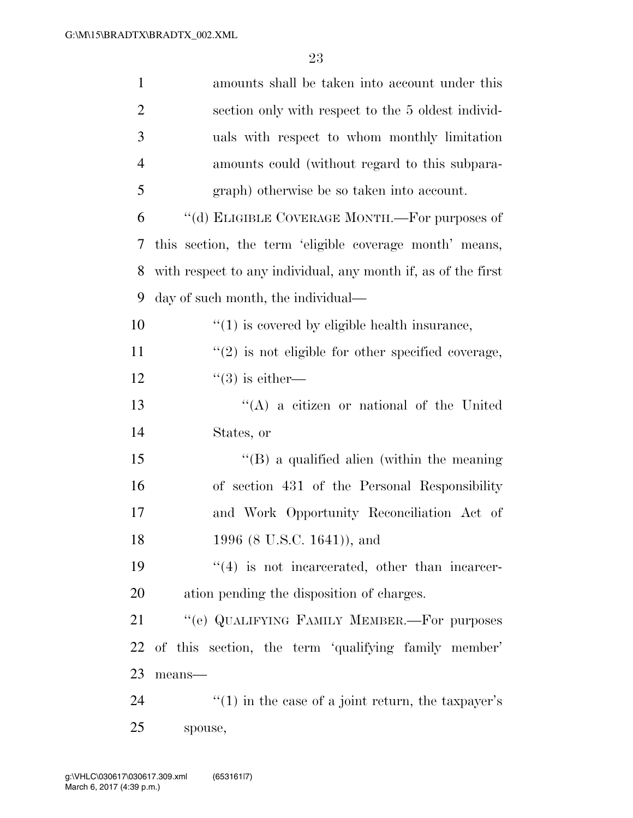| $\mathbf{1}$   | amounts shall be taken into account under this                |
|----------------|---------------------------------------------------------------|
| $\overline{2}$ | section only with respect to the 5 oldest individ-            |
| 3              | uals with respect to whom monthly limitation                  |
| $\overline{4}$ | amounts could (without regard to this subpara-                |
| 5              | graph) otherwise be so taken into account.                    |
| 6              | "(d) ELIGIBLE COVERAGE MONTH.—For purposes of                 |
| 7              | this section, the term 'eligible coverage month' means,       |
| 8              | with respect to any individual, any month if, as of the first |
| 9              | day of such month, the individual—                            |
| 10             | $\lq(1)$ is covered by eligible health insurance,             |
| 11             | $\lq(2)$ is not eligible for other specified coverage,        |
| 12             | $\lq(3)$ is either—                                           |
| 13             | $\lq\lq$ a citizen or national of the United                  |
| 14             | States, or                                                    |
| 15             | $\lq\lq (B)$ a qualified alien (within the meaning            |
| 16             | of section 431 of the Personal Responsibility                 |
| 17             | and Work Opportunity Reconciliation Act of                    |
| 18             | 1996 (8 U.S.C. 1641)), and                                    |
| 19             | $``(4)$ is not incarcerated, other than incarcer-             |
| 20             | ation pending the disposition of charges.                     |
| 21             | "(e) QUALIFYING FAMILY MEMBER.—For purposes                   |
| 22             | of this section, the term 'qualifying family member'          |
| 23             | means-                                                        |
| 24             | $f'(1)$ in the case of a joint return, the taxpayer's         |
| 25             | spouse,                                                       |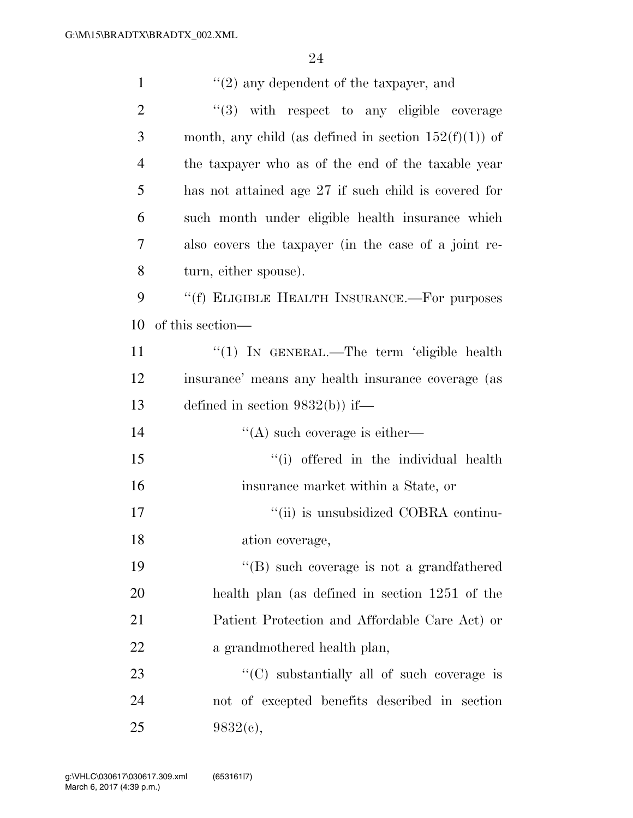| $\mathbf{1}$   | $"(2)$ any dependent of the taxpayer, and                |
|----------------|----------------------------------------------------------|
| $\overline{2}$ | $(3)$ with respect to any eligible coverage              |
| 3              | month, any child (as defined in section $152(f)(1)$ ) of |
| $\overline{4}$ | the taxpayer who as of the end of the taxable year       |
| 5              | has not attained age 27 if such child is covered for     |
| 6              | such month under eligible health insurance which         |
| 7              | also covers the taxpayer (in the case of a joint re-     |
| 8              | turn, either spouse).                                    |
| 9              | "(f) ELIGIBLE HEALTH INSURANCE.—For purposes             |
| 10             | of this section—                                         |
| 11             | " $(1)$ In GENERAL.—The term 'eligible health            |
| 12             | insurance' means any health insurance coverage (as       |
| 13             | defined in section $9832(b)$ if—                         |
| 14             | $\lq\lq$ such coverage is either—                        |
| 15             | "(i) offered in the individual health                    |
| 16             | insurance market within a State, or                      |
| 17             | "(ii) is unsubsidized COBRA continu-                     |
| 18             | ation coverage,                                          |
| 19             | $\lq\lq (B)$ such coverage is not a grandfathered        |
| 20             | health plan (as defined in section 1251 of the           |
| 21             | Patient Protection and Affordable Care Act) or           |
| 22             | a grandmothered health plan,                             |
| 23             | $\lq\lq$ substantially all of such coverage is           |
| 24             | not of excepted benefits described in section            |
| 25             | 9832(c),                                                 |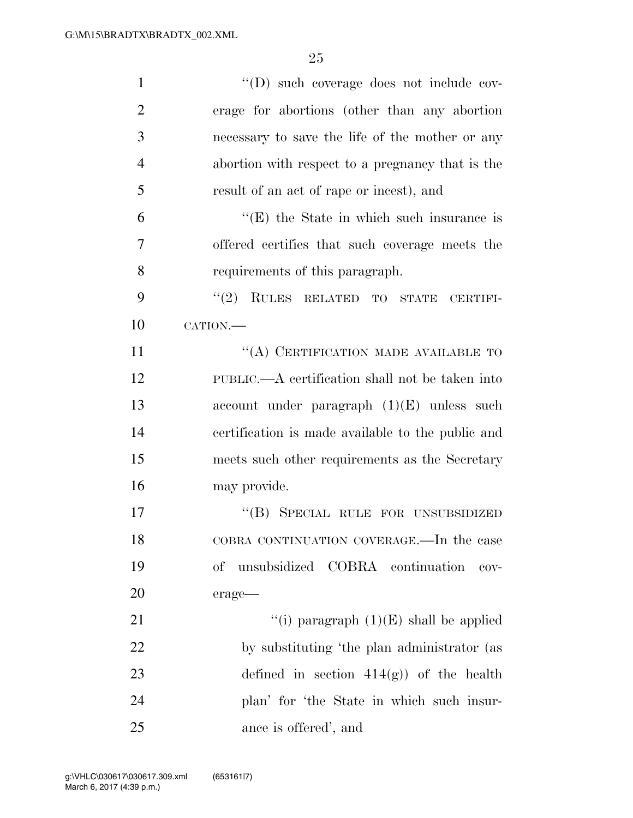| $\mathbf{1}$   | "(D) such coverage does not include cov-          |
|----------------|---------------------------------------------------|
| $\overline{2}$ | erage for abortions (other than any abortion      |
| 3              | necessary to save the life of the mother or any   |
| $\overline{4}$ | abortion with respect to a pregnancy that is the  |
| 5              | result of an act of rape or incest), and          |
| 6              | $f(E)$ the State in which such insurance is       |
| 7              | offered certifies that such coverage meets the    |
| 8              | requirements of this paragraph.                   |
| 9              | (2)<br>RULES RELATED TO STATE CERTIFI-            |
| 10             | CATION.-                                          |
| 11             | "(A) CERTIFICATION MADE AVAILABLE TO              |
| 12             | PUBLIC.—A certification shall not be taken into   |
| 13             | account under paragraph $(1)(E)$ unless such      |
| 14             | certification is made available to the public and |
| 15             | meets such other requirements as the Secretary    |
| 16             | may provide.                                      |
| 17             | "(B) SPECIAL RULE FOR UNSUBSIDIZED                |
| 18             | COBRA CONTINUATION COVERAGE.-In the case          |
| 19             | unsubsidized COBRA continuation<br>οf<br>$cov-$   |
| <b>20</b>      | erage-                                            |
| 21             | "(i) paragraph $(1)(E)$ shall be applied          |
| 22             | by substituting 'the plan administrator (as       |
| 23             | defined in section $414(g)$ of the health         |
| 24             | plan' for 'the State in which such insur-         |
| 25             | ance is offered', and                             |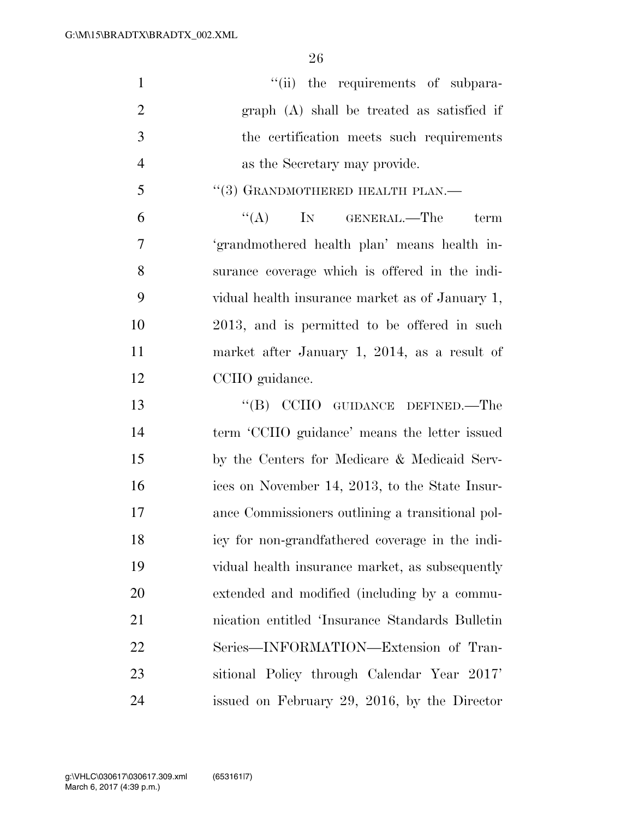$''(ii)$  the requirements of subpara- graph (A) shall be treated as satisfied if the certification meets such requirements as the Secretary may provide. "(3) GRANDMOTHERED HEALTH PLAN.— ''(A) IN GENERAL.—The term 'grandmothered health plan' means health in- surance coverage which is offered in the indi- vidual health insurance market as of January 1, 2013, and is permitted to be offered in such market after January 1, 2014, as a result of CCIIO guidance. 13 "(B) CCIIO GUIDANCE DEFINED.—The term 'CCIIO guidance' means the letter issued by the Centers for Medicare & Medicaid Serv- ices on November 14, 2013, to the State Insur- ance Commissioners outlining a transitional pol- icy for non-grandfathered coverage in the indi- vidual health insurance market, as subsequently extended and modified (including by a commu- nication entitled 'Insurance Standards Bulletin Series—INFORMATION—Extension of Tran-sitional Policy through Calendar Year 2017'

issued on February 29, 2016, by the Director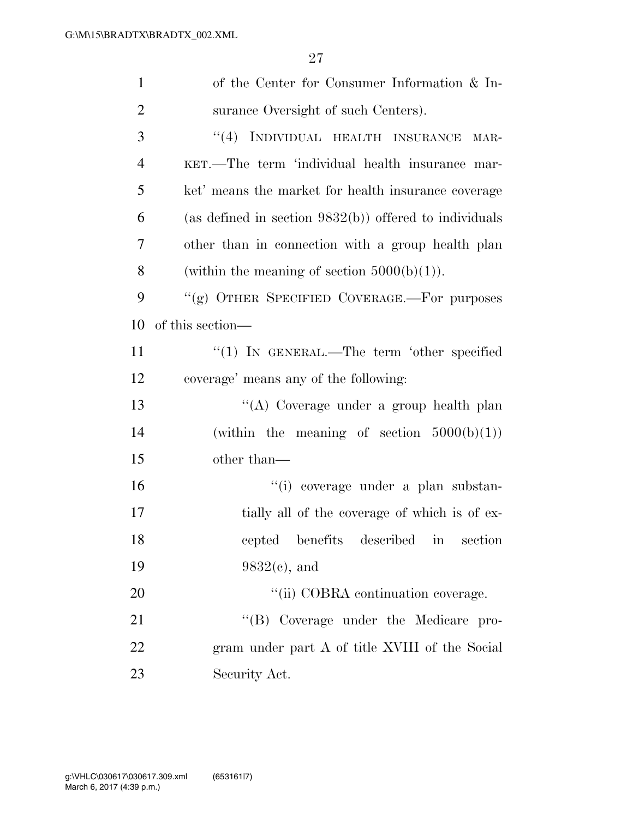| $\mathbf{1}$   | of the Center for Consumer Information & In-              |
|----------------|-----------------------------------------------------------|
| $\overline{2}$ | surance Oversight of such Centers).                       |
| 3              | INDIVIDUAL HEALTH INSURANCE<br>(4)<br>MAR-                |
| $\overline{4}$ | KET.—The term 'individual health insurance mar-           |
| 5              | ket' means the market for health insurance coverage       |
| 6              | (as defined in section $9832(b)$ ) offered to individuals |
| 7              | other than in connection with a group health plan         |
| 8              | (within the meaning of section $5000(b)(1)$ ).            |
| 9              | "(g) OTHER SPECIFIED COVERAGE.—For purposes               |
| 10             | of this section—                                          |
| 11             | "(1) IN GENERAL.—The term 'other specified                |
| 12             | coverage' means any of the following:                     |
| 13             | "(A) Coverage under a group health plan                   |
| 14             | (within the meaning of section $5000(b)(1)$ )             |
| 15             | other than—                                               |
| 16             | "(i) coverage under a plan substan-                       |
| 17             | tially all of the coverage of which is of ex-             |
| 18             | cepted<br>benefits described<br>section<br>$\ln$          |
| 19             | $9832(e)$ , and                                           |
| 20             | "(ii) COBRA continuation coverage.                        |
| 21             | "(B) Coverage under the Medicare pro-                     |
| 22             | gram under part A of title XVIII of the Social            |
| 23             | Security Act.                                             |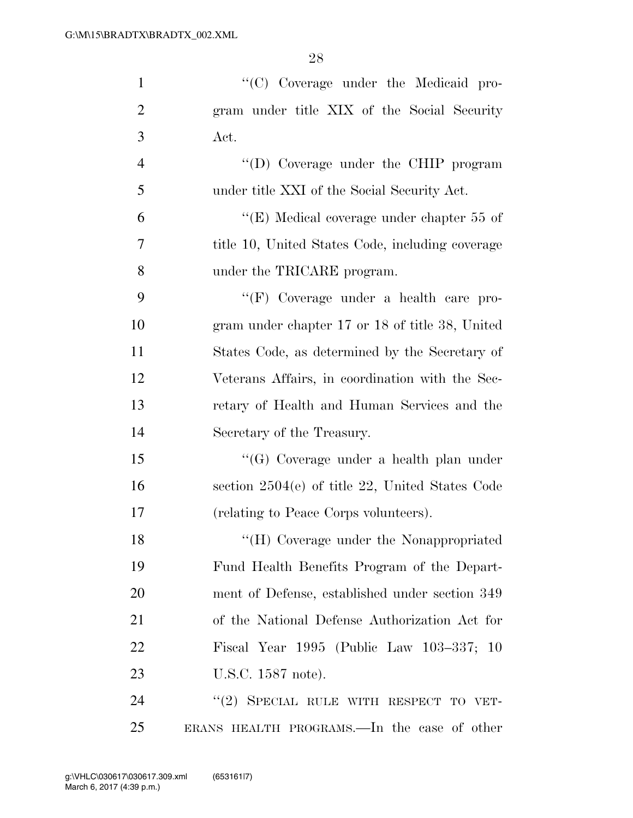| $\mathbf{1}$   | "(C) Coverage under the Medicaid pro-             |
|----------------|---------------------------------------------------|
| $\overline{2}$ | gram under title XIX of the Social Security       |
| 3              | Act.                                              |
| $\overline{4}$ | "(D) Coverage under the CHIP program              |
| 5              | under title XXI of the Social Security Act.       |
| 6              | "(E) Medical coverage under chapter $55$ of       |
| 7              | title 10, United States Code, including coverage  |
| 8              | under the TRICARE program.                        |
| 9              | "(F) Coverage under a health care pro-            |
| 10             | gram under chapter 17 or 18 of title 38, United   |
| 11             | States Code, as determined by the Secretary of    |
| 12             | Veterans Affairs, in coordination with the Sec-   |
| 13             | retary of Health and Human Services and the       |
| 14             | Secretary of the Treasury.                        |
| 15             | "(G) Coverage under a health plan under           |
| 16             | section $2504(e)$ of title 22, United States Code |
| 17             | (relating to Peace Corps volunteers).             |
| 18             | "(H) Coverage under the Nonappropriated           |
| 19             | Fund Health Benefits Program of the Depart-       |
| 20             | ment of Defense, established under section 349    |
| 21             | of the National Defense Authorization Act for     |
| 22             | Fiscal Year 1995 (Public Law 103-337; 10          |
| 23             | U.S.C. 1587 note).                                |
| 24             | "(2) SPECIAL RULE WITH RESPECT TO VET-            |
| 25             | ERANS HEALTH PROGRAMS.—In the case of other       |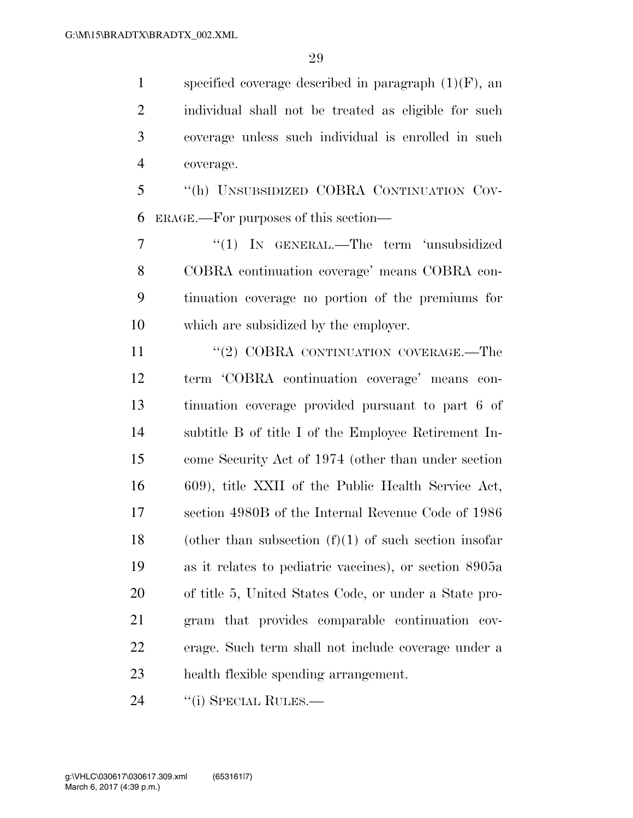1 specified coverage described in paragraph  $(1)(F)$ , an individual shall not be treated as eligible for such coverage unless such individual is enrolled in such coverage.

 ''(h) UNSUBSIDIZED COBRA CONTINUATION COV-ERAGE.—For purposes of this section—

7 "(1) IN GENERAL.—The term 'unsubsidized COBRA continuation coverage' means COBRA con- tinuation coverage no portion of the premiums for which are subsidized by the employer.

11 "(2) COBRA CONTINUATION COVERAGE.—The term 'COBRA continuation coverage' means con- tinuation coverage provided pursuant to part 6 of subtitle B of title I of the Employee Retirement In- come Security Act of 1974 (other than under section 609), title XXII of the Public Health Service Act, section 4980B of the Internal Revenue Code of 1986 18 (other than subsection  $(f)(1)$  of such section insofar as it relates to pediatric vaccines), or section 8905a of title 5, United States Code, or under a State pro- gram that provides comparable continuation cov- erage. Such term shall not include coverage under a health flexible spending arrangement.

24 "(i) SPECIAL RULES.—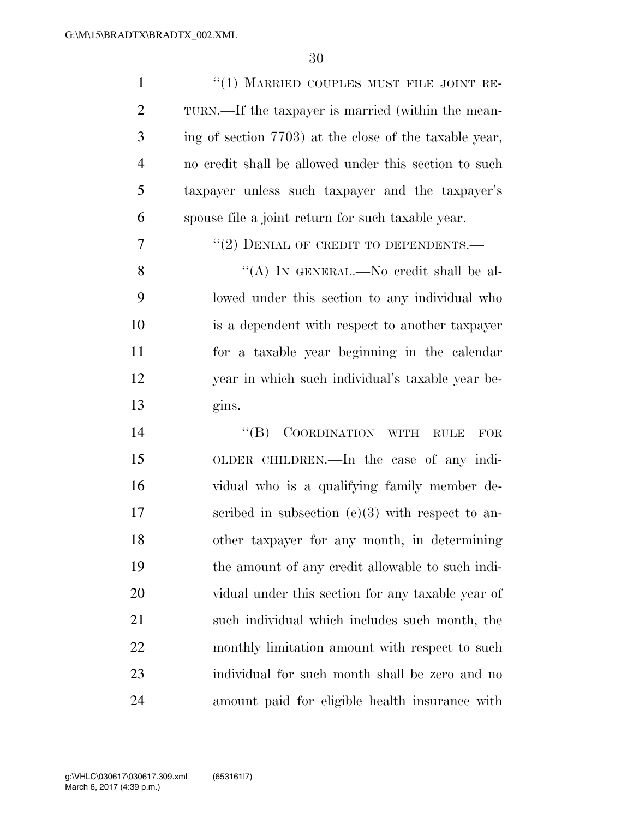| $\mathbf{1}$   | "(1) MARRIED COUPLES MUST FILE JOINT RE-                       |
|----------------|----------------------------------------------------------------|
| $\overline{2}$ | TURN.—If the taxpayer is married (within the mean-             |
| 3              | ing of section 7703) at the close of the taxable year,         |
| $\overline{4}$ | no credit shall be allowed under this section to such          |
| 5              | taxpayer unless such taxpayer and the taxpayer's               |
| 6              | spouse file a joint return for such taxable year.              |
| 7              | $``(2)$ DENIAL OF CREDIT TO DEPENDENTS.—                       |
| 8              | "(A) IN GENERAL.—No credit shall be al-                        |
| 9              | lowed under this section to any individual who                 |
| 10             | is a dependent with respect to another taxpayer                |
| 11             | for a taxable year beginning in the calendar                   |
| 12             | year in which such individual's taxable year be-               |
| 13             | gins.                                                          |
| 14             | $\lq\lq (B)$<br>COORDINATION WITH<br><b>RULE</b><br><b>FOR</b> |
| 15             | OLDER CHILDREN.—In the case of any indi-                       |
| 16             | vidual who is a qualifying family member de-                   |
| 17             | scribed in subsection $(e)(3)$ with respect to an-             |
| 18             | other taxpayer for any month, in determining                   |
| 19             | the amount of any credit allowable to such indi-               |
| 20             | vidual under this section for any taxable year of              |
| 21             | such individual which includes such month, the                 |
| 22             | monthly limitation amount with respect to such                 |
| 23             | individual for such month shall be zero and no                 |
| 24             | amount paid for eligible health insurance with                 |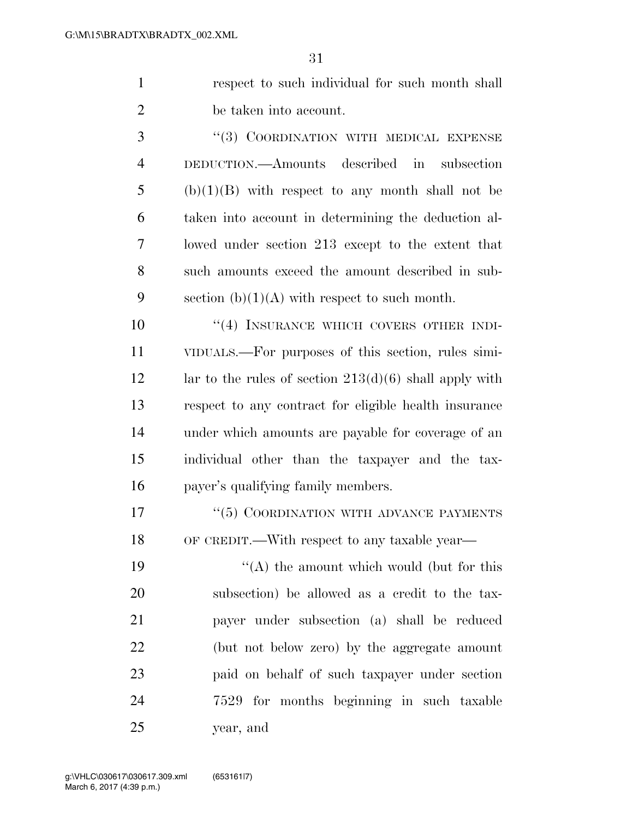respect to such individual for such month shall be taken into account.

3 "(3) COORDINATION WITH MEDICAL EXPENSE DEDUCTION.—Amounts described in subsection (b)(1)(B) with respect to any month shall not be taken into account in determining the deduction al- lowed under section 213 except to the extent that such amounts exceed the amount described in sub-9 section  $(b)(1)(A)$  with respect to such month.

10 <sup>''</sup>(4) INSURANCE WHICH COVERS OTHER INDI- VIDUALS.—For purposes of this section, rules simi-12 lar to the rules of section  $213(d)(6)$  shall apply with respect to any contract for eligible health insurance under which amounts are payable for coverage of an individual other than the taxpayer and the tax-payer's qualifying family members.

17 <sup>''</sup>(5) COORDINATION WITH ADVANCE PAYMENTS OF CREDIT.—With respect to any taxable year—

 $\langle (A)$  the amount which would (but for this subsection) be allowed as a credit to the tax- payer under subsection (a) shall be reduced (but not below zero) by the aggregate amount paid on behalf of such taxpayer under section 7529 for months beginning in such taxable year, and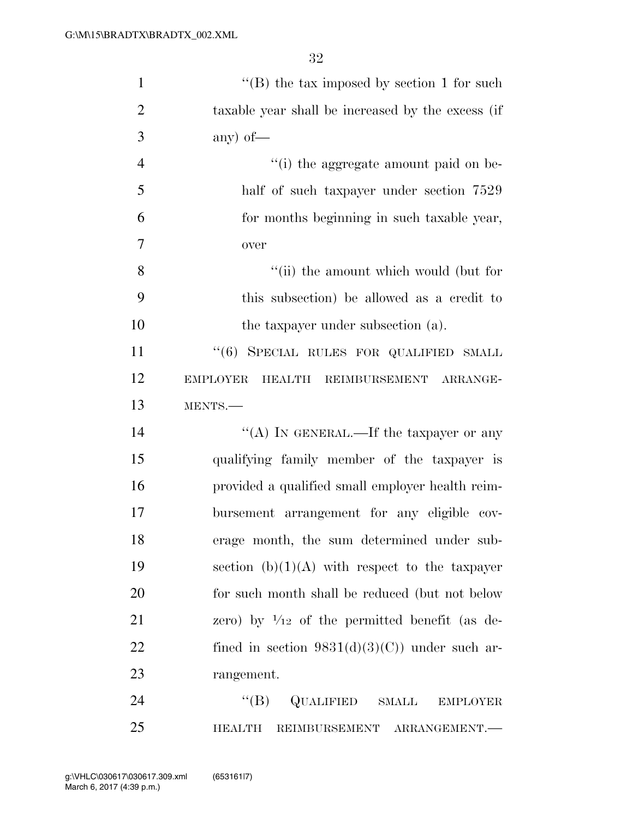| $\mathbf{1}$   | "(B) the tax imposed by section 1 for such               |
|----------------|----------------------------------------------------------|
| $\overline{2}$ | taxable year shall be increased by the excess (if        |
| 3              | any) of $-$                                              |
| $\overline{4}$ | "(i) the aggregate amount paid on be-                    |
| 5              | half of such taxpayer under section 7529                 |
| 6              | for months beginning in such taxable year,               |
| $\overline{7}$ | over                                                     |
| 8              | "(ii) the amount which would (but for                    |
| 9              | this subsection) be allowed as a credit to               |
| 10             | the taxpayer under subsection (a).                       |
| 11             | "(6) SPECIAL RULES FOR QUALIFIED SMALL                   |
| 12             | <b>EMPLOYER</b><br>HEALTH REIMBURSEMENT ARRANGE-         |
| 13             | MENTS.-                                                  |
| 14             | "(A) IN GENERAL.—If the taxpayer or any                  |
| 15             | qualifying family member of the taxpayer is              |
| 16             | provided a qualified small employer health reim-         |
| 17             | bursement arrangement for any eligible cov-              |
| 18             | erage month, the sum determined under sub-               |
| 19             | section $(b)(1)(A)$ with respect to the taxpayer         |
| 20             | for such month shall be reduced (but not below           |
| 21             | zero) by $\frac{1}{12}$ of the permitted benefit (as de- |
| 22             | fined in section $9831(d)(3)(C)$ under such ar-          |
| 23             | rangement.                                               |
| 24             | $\lq\lq (B)$<br>QUALIFIED<br>SMALL<br><b>EMPLOYER</b>    |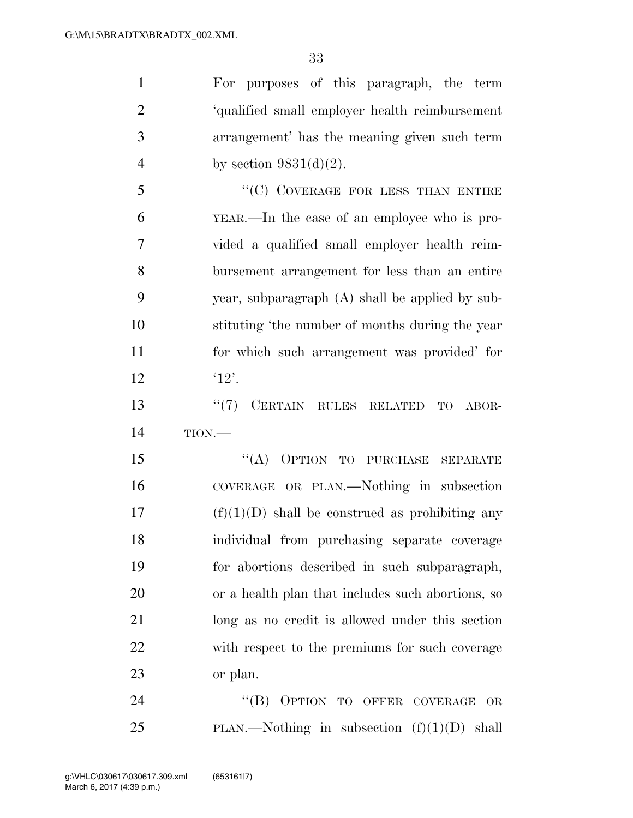| $\mathbf{1}$   | For purposes of this paragraph, the term          |
|----------------|---------------------------------------------------|
| $\overline{2}$ | 'qualified small employer health reimbursement    |
| 3              | arrangement' has the meaning given such term      |
| $\overline{4}$ | by section $9831(d)(2)$ .                         |
| 5              | "(C) COVERAGE FOR LESS THAN ENTIRE                |
| 6              | YEAR.—In the case of an employee who is pro-      |
| 7              | vided a qualified small employer health reim-     |
| 8              | bursement arrangement for less than an entire     |
| 9              | year, subparagraph (A) shall be applied by sub-   |
| 10             | stituting 'the number of months during the year   |
| 11             | for which such arrangement was provided' for      |
| 12             | '12'.                                             |
| 13             | CERTAIN RULES RELATED<br>(5(7))<br>TO<br>ABOR-    |
| 14             | TION.                                             |
| 15             | "(A) OPTION TO PURCHASE<br><b>SEPARATE</b>        |
| 16             | COVERAGE OR PLAN.—Nothing in subsection           |
| 17             | $(f)(1)(D)$ shall be construed as prohibiting any |
| 18             | individual from purchasing separate coverage      |
| 19             | for abortions described in such subparagraph,     |
| 20             | or a health plan that includes such abortions, so |
| 21             | long as no credit is allowed under this section   |
| 22             | with respect to the premiums for such coverage    |
| 23             | or plan.                                          |
| 24             | "(B) OPTION TO OFFER COVERAGE<br>OR               |
| 25             | PLAN.—Nothing in subsection $(f)(1)(D)$ shall     |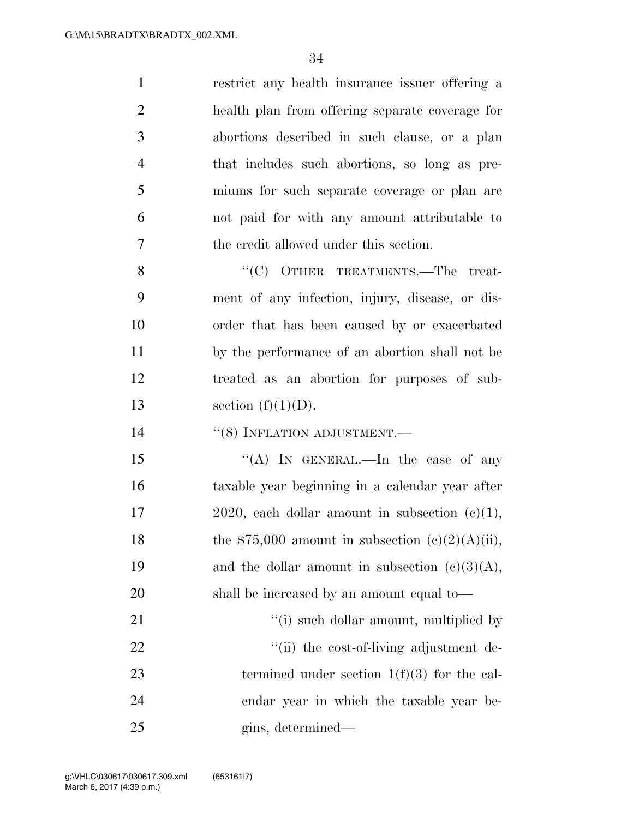| $\mathbf{1}$   | restrict any health insurance issuer offering a     |
|----------------|-----------------------------------------------------|
| $\overline{2}$ | health plan from offering separate coverage for     |
| 3              | abortions described in such clause, or a plan       |
| $\overline{4}$ | that includes such abortions, so long as pre-       |
| 5              | miums for such separate coverage or plan are        |
| 6              | not paid for with any amount attributable to        |
| 7              | the credit allowed under this section.              |
| 8              | "(C) OTHER TREATMENTS.—The treat-                   |
| 9              | ment of any infection, injury, disease, or dis-     |
| 10             | order that has been caused by or exacerbated        |
| 11             | by the performance of an abortion shall not be      |
| 12             | treated as an abortion for purposes of sub-         |
| 13             | section $(f)(1)(D)$ .                               |
|                |                                                     |
| 14             | $\cdot\cdot$ (8) INFLATION ADJUSTMENT.—             |
| 15             | "(A) IN GENERAL.—In the case of any                 |
| 16             | taxable year beginning in a calendar year after     |
| 17             | 2020, each dollar amount in subsection $(c)(1)$ ,   |
| 18             | the \$75,000 amount in subsection $(e)(2)(A)(ii)$ , |
| 19             | and the dollar amount in subsection $(c)(3)(A)$ ,   |
| 20             | shall be increased by an amount equal to—           |
| 21             | "(i) such dollar amount, multiplied by              |
| 22             | "(ii) the cost-of-living adjustment de-             |
| 23             | termined under section $1(f)(3)$ for the cal-       |
| 24             | endar year in which the taxable year be-            |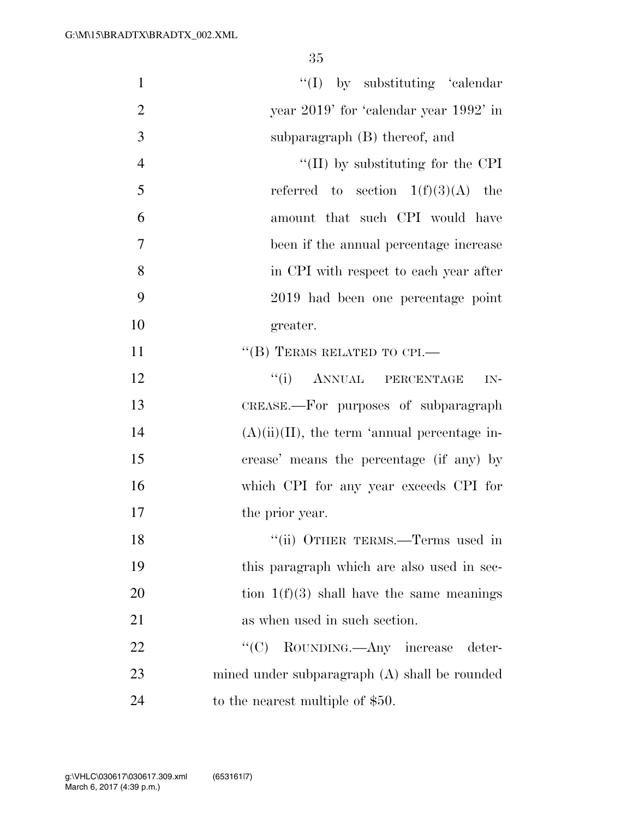| $\mathbf{1}$   | $\lq\lq$ (I) by substituting 'calendar'         |
|----------------|-------------------------------------------------|
| $\overline{2}$ | year 2019' for 'calendar year 1992' in          |
| 3              | subparagraph (B) thereof, and                   |
| $\overline{4}$ | $\lq\lq$ (II) by substituting for the CPI       |
| 5              | referred to section $1(f)(3)(A)$ the            |
| 6              | amount that such CPI would have                 |
| 7              | been if the annual percentage increase          |
| 8              | in CPI with respect to each year after          |
| 9              | 2019 had been one percentage point              |
| 10             | greater.                                        |
| 11             | $\lq\lq (B)$ TERMS RELATED TO CPI.—             |
| 12             | ``(i)<br>ANNUAL PERCENTAGE<br>$IN-$             |
| 13             | CREASE.-For purposes of subparagraph            |
| 14             | $(A)(ii)(II)$ , the term 'annual percentage in- |
| 15             | crease' means the percentage (if any) by        |
| 16             | which CPI for any year exceeds CPI for          |
| 17             | the prior year.                                 |
| 18             | "(ii) OTHER TERMS.—Terms used in                |
| 19             | this paragraph which are also used in sec-      |
| 20             | tion $1(f)(3)$ shall have the same meanings     |
| 21             | as when used in such section.                   |
| 22             | ``(C)<br>ROUNDING.—Any increase deter-          |
| 23             | mined under subparagraph (A) shall be rounded   |
| 24             | to the nearest multiple of \$50.                |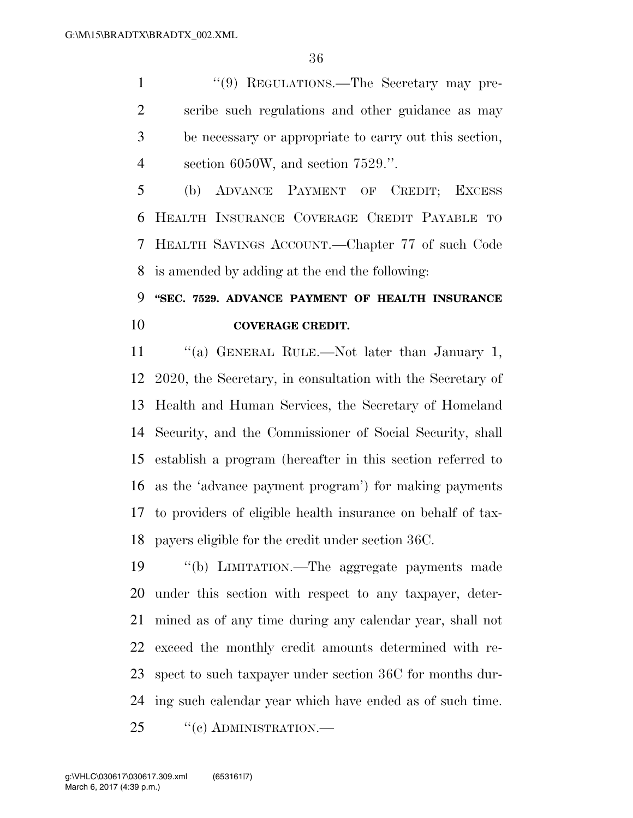1 "(9) REGULATIONS.—The Secretary may pre- scribe such regulations and other guidance as may be necessary or appropriate to carry out this section, section 6050W, and section 7529.''.

 (b) ADVANCE PAYMENT OF CREDIT; EXCESS HEALTH INSURANCE COVERAGE CREDIT PAYABLE TO HEALTH SAVINGS ACCOUNT.—Chapter 77 of such Code is amended by adding at the end the following:

## **''SEC. 7529. ADVANCE PAYMENT OF HEALTH INSURANCE COVERAGE CREDIT.**

11 "(a) GENERAL RULE.—Not later than January 1, 2020, the Secretary, in consultation with the Secretary of Health and Human Services, the Secretary of Homeland Security, and the Commissioner of Social Security, shall establish a program (hereafter in this section referred to as the 'advance payment program') for making payments to providers of eligible health insurance on behalf of tax-payers eligible for the credit under section 36C.

 ''(b) LIMITATION.—The aggregate payments made under this section with respect to any taxpayer, deter- mined as of any time during any calendar year, shall not exceed the monthly credit amounts determined with re- spect to such taxpayer under section 36C for months dur-ing such calendar year which have ended as of such time.

25 "(c) ADMINISTRATION.—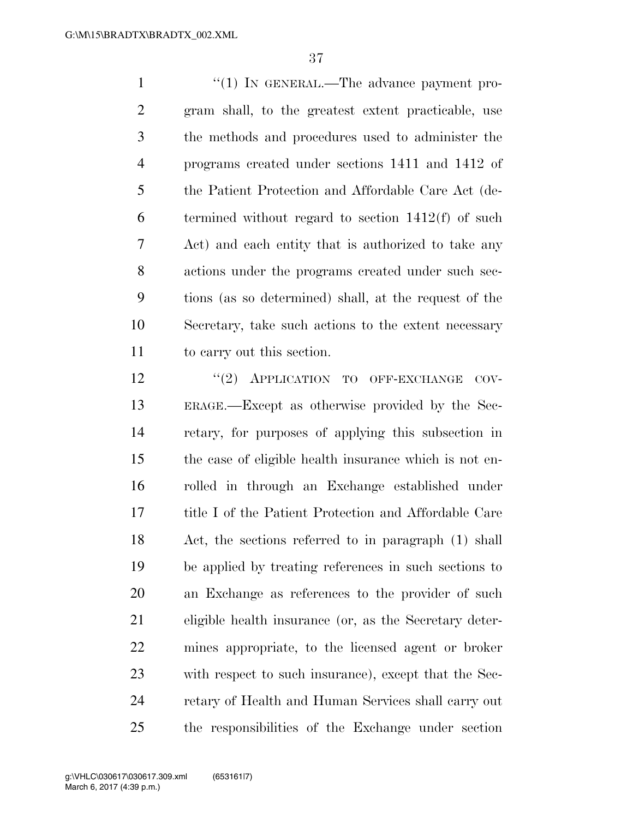1 ''(1) In GENERAL.—The advance payment pro- gram shall, to the greatest extent practicable, use the methods and procedures used to administer the programs created under sections 1411 and 1412 of the Patient Protection and Affordable Care Act (de- termined without regard to section 1412(f) of such Act) and each entity that is authorized to take any actions under the programs created under such sec- tions (as so determined) shall, at the request of the Secretary, take such actions to the extent necessary to carry out this section.

12 "(2) APPLICATION TO OFF-EXCHANGE COV- ERAGE.—Except as otherwise provided by the Sec- retary, for purposes of applying this subsection in the case of eligible health insurance which is not en- rolled in through an Exchange established under title I of the Patient Protection and Affordable Care Act, the sections referred to in paragraph (1) shall be applied by treating references in such sections to an Exchange as references to the provider of such eligible health insurance (or, as the Secretary deter- mines appropriate, to the licensed agent or broker with respect to such insurance), except that the Sec- retary of Health and Human Services shall carry out the responsibilities of the Exchange under section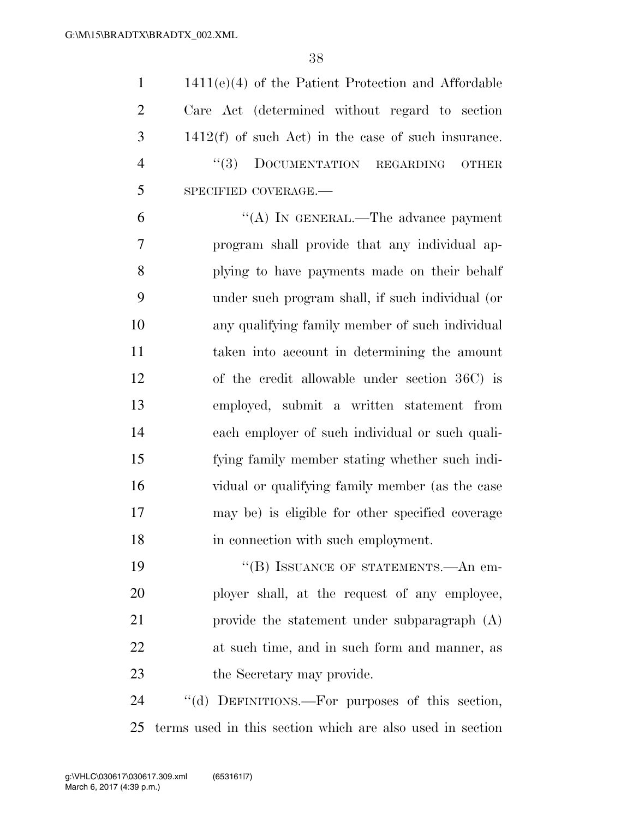| $\mathbf{1}$   | $1411(e)(4)$ of the Patient Protection and Affordable    |
|----------------|----------------------------------------------------------|
| $\overline{2}$ | Care Act (determined without regard to section           |
| 3              | $1412(f)$ of such Act) in the case of such insurance.    |
| $\overline{4}$ | (3)<br>DOCUMENTATION<br><b>REGARDING</b><br><b>OTHER</b> |
| 5              | SPECIFIED COVERAGE.-                                     |
| 6              | "(A) IN GENERAL.—The advance payment                     |
| 7              | program shall provide that any individual ap-            |
| 8              | plying to have payments made on their behalf             |
| 9              | under such program shall, if such individual (or         |
| 10             | any qualifying family member of such individual          |
| 11             | taken into account in determining the amount             |
| 12             | of the credit allowable under section 36C) is            |
| 13             | employed, submit a written statement from                |
| 14             | each employer of such individual or such quali-          |
| 15             | fying family member stating whether such indi-           |
| 16             | vidual or qualifying family member (as the case          |
| 17             | may be) is eligible for other specified coverage         |
| 18             | in connection with such employment.                      |
| 19             | "(B) ISSUANCE OF STATEMENTS.—An em-                      |
| 20             | ployer shall, at the request of any employee,            |
| 21             | provide the statement under subparagraph $(A)$           |
| 22             | at such time, and in such form and manner, as            |
| 23             | the Secretary may provide.                               |

24 "(d) DEFINITIONS.—For purposes of this section, terms used in this section which are also used in section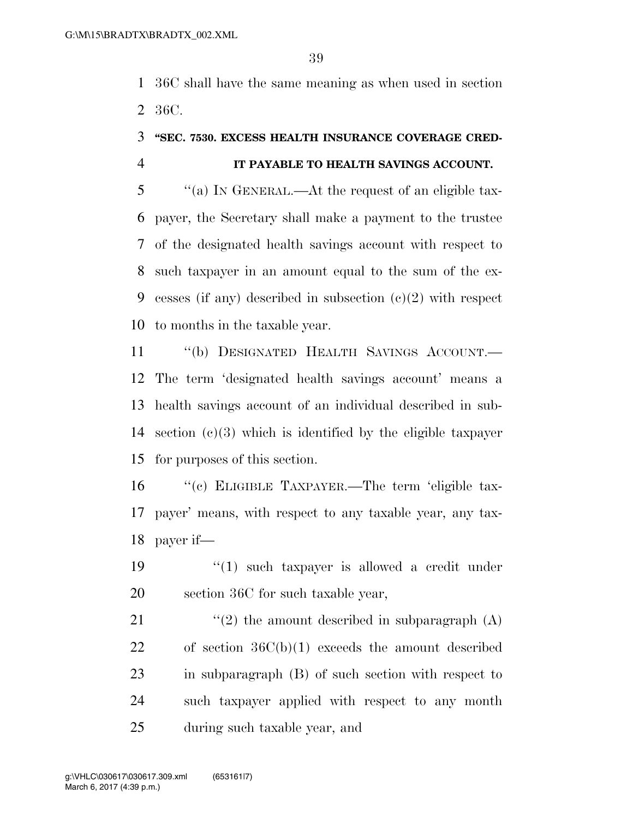36C shall have the same meaning as when used in section 36C.

# **''SEC. 7530. EXCESS HEALTH INSURANCE COVERAGE CRED-**

#### **IT PAYABLE TO HEALTH SAVINGS ACCOUNT.**

 ''(a) IN GENERAL.—At the request of an eligible tax- payer, the Secretary shall make a payment to the trustee of the designated health savings account with respect to such taxpayer in an amount equal to the sum of the ex- cesses (if any) described in subsection (c)(2) with respect to months in the taxable year.

 ''(b) DESIGNATED HEALTH SAVINGS ACCOUNT.— The term 'designated health savings account' means a health savings account of an individual described in sub- section (c)(3) which is identified by the eligible taxpayer for purposes of this section.

16 "(c) ELIGIBLE TAXPAYER.—The term 'eligible tax- payer' means, with respect to any taxable year, any tax-payer if—

19  $(1)$  such taxpayer is allowed a credit under 20 section 36C for such taxable year,

 $\langle \langle 2 \rangle$  the amount described in subparagraph  $(A)$  of section 36C(b)(1) exceeds the amount described in subparagraph (B) of such section with respect to such taxpayer applied with respect to any month during such taxable year, and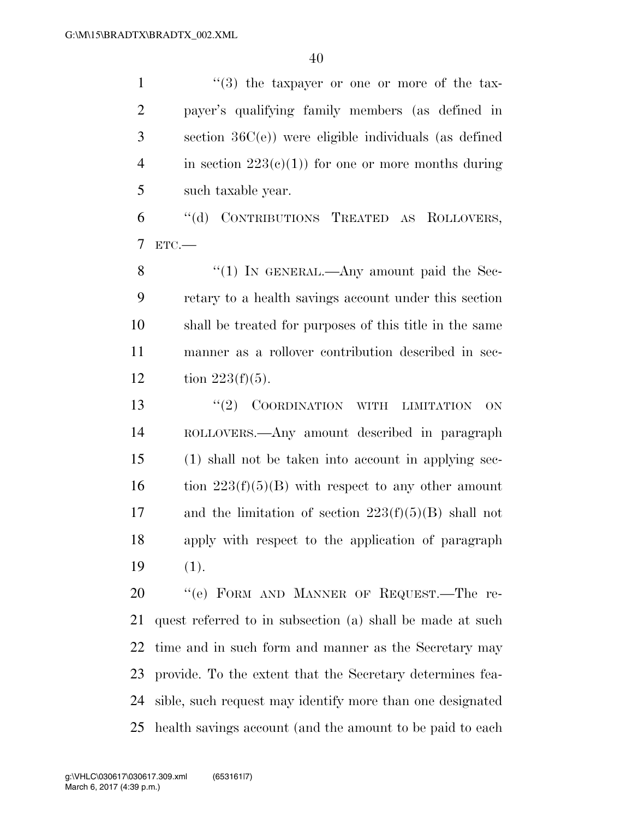$\frac{1}{1}$  ''(3) the taxpayer or one or more of the tax- payer's qualifying family members (as defined in section 36C(e)) were eligible individuals (as defined 4 in section  $223(e)(1)$  for one or more months during such taxable year. ''(d) CONTRIBUTIONS TREATED AS ROLLOVERS, ETC.— 8 "(1) In GENERAL.—Any amount paid the Sec- retary to a health savings account under this section shall be treated for purposes of this title in the same manner as a rollover contribution described in sec-12 tion  $223(f)(5)$ . 13 "(2) COORDINATION WITH LIMITATION ON ROLLOVERS.—Any amount described in paragraph (1) shall not be taken into account in applying sec-16 tion  $223(f)(5)(B)$  with respect to any other amount 17 and the limitation of section  $223(f)(5)(B)$  shall not apply with respect to the application of paragraph (1). 20 "(e) FORM AND MANNER OF REQUEST.—The re- quest referred to in subsection (a) shall be made at such time and in such form and manner as the Secretary may provide. To the extent that the Secretary determines fea- sible, such request may identify more than one designated health savings account (and the amount to be paid to each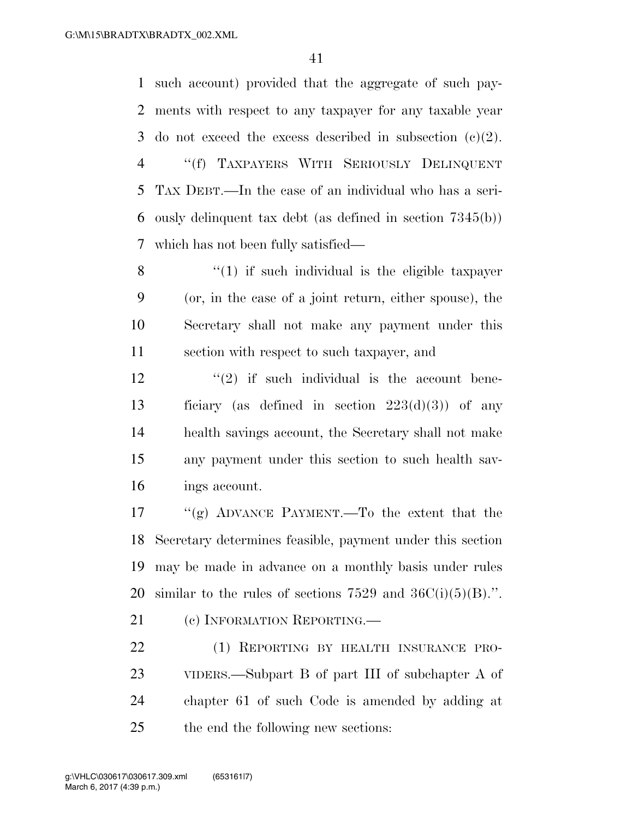such account) provided that the aggregate of such pay- ments with respect to any taxpayer for any taxable year 3 do not exceed the excess described in subsection  $(c)(2)$ . ''(f) TAXPAYERS WITH SERIOUSLY DELINQUENT TAX DEBT.—In the case of an individual who has a seri- ously delinquent tax debt (as defined in section 7345(b)) which has not been fully satisfied—

 ''(1) if such individual is the eligible taxpayer (or, in the case of a joint return, either spouse), the Secretary shall not make any payment under this section with respect to such taxpayer, and

 $\frac{12}{2}$  ''(2) if such individual is the account bene-13 ficiary (as defined in section  $223(d)(3)$ ) of any health savings account, the Secretary shall not make any payment under this section to such health sav-ings account.

 ''(g) ADVANCE PAYMENT.—To the extent that the Secretary determines feasible, payment under this section may be made in advance on a monthly basis under rules 20 similar to the rules of sections and  $36C(i)(5)(B)$ .".

21 (c) INFORMATION REPORTING.

 (1) REPORTING BY HEALTH INSURANCE PRO- VIDERS.—Subpart B of part III of subchapter A of chapter 61 of such Code is amended by adding at the end the following new sections: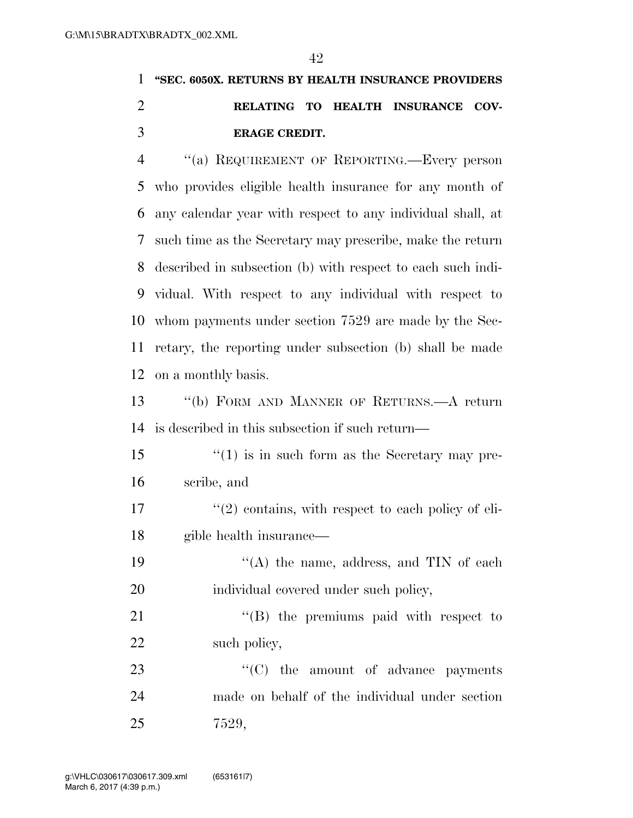### **''SEC. 6050X. RETURNS BY HEALTH INSURANCE PROVIDERS RELATING TO HEALTH INSURANCE COV-ERAGE CREDIT.**

 ''(a) REQUIREMENT OF REPORTING.—Every person who provides eligible health insurance for any month of any calendar year with respect to any individual shall, at such time as the Secretary may prescribe, make the return described in subsection (b) with respect to each such indi- vidual. With respect to any individual with respect to whom payments under section 7529 are made by the Sec- retary, the reporting under subsection (b) shall be made on a monthly basis.

 ''(b) FORM AND MANNER OF RETURNS.—A return is described in this subsection if such return—

 ''(1) is in such form as the Secretary may pre-scribe, and

 $\frac{17}{2}$  ''(2) contains, with respect to each policy of eli-gible health insurance—

19 "(A) the name, address, and TIN of each individual covered under such policy,

21 "'(B) the premiums paid with respect to 22 such policy,

23 "'(C) the amount of advance payments made on behalf of the individual under section 7529,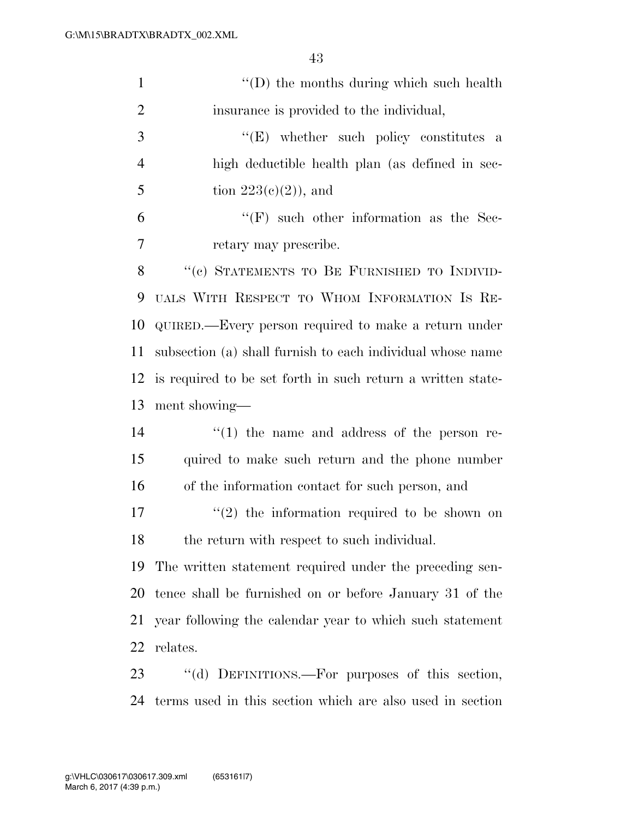| $\mathbf{1}$   | $\lq\lq$ the months during which such health                |  |  |  |  |  |  |
|----------------|-------------------------------------------------------------|--|--|--|--|--|--|
| $\overline{2}$ | insurance is provided to the individual,                    |  |  |  |  |  |  |
| 3              | "(E) whether such policy constitutes a                      |  |  |  |  |  |  |
| $\overline{4}$ | high deductible health plan (as defined in sec-             |  |  |  |  |  |  |
| 5              | tion $223(e)(2)$ , and                                      |  |  |  |  |  |  |
| 6              | $\lq\lq(F)$ such other information as the Sec-              |  |  |  |  |  |  |
| $\overline{7}$ | retary may prescribe.                                       |  |  |  |  |  |  |
| 8              | "(c) STATEMENTS TO BE FURNISHED TO INDIVID-                 |  |  |  |  |  |  |
| 9              | UALS WITH RESPECT TO WHOM INFORMATION IS RE-                |  |  |  |  |  |  |
| 10             | QUIRED.—Every person required to make a return under        |  |  |  |  |  |  |
| 11             | subsection (a) shall furnish to each individual whose name  |  |  |  |  |  |  |
| 12             | is required to be set forth in such return a written state- |  |  |  |  |  |  |
| 13             | ment showing—                                               |  |  |  |  |  |  |
| 14             | $\lq(1)$ the name and address of the person re-             |  |  |  |  |  |  |
| 15             | quired to make such return and the phone number             |  |  |  |  |  |  |
| 16             | of the information contact for such person, and             |  |  |  |  |  |  |
| 17             | $(2)$ the information required to be shown on               |  |  |  |  |  |  |
| 18             | the return with respect to such individual.                 |  |  |  |  |  |  |
| 19             | The written statement required under the preceding sen-     |  |  |  |  |  |  |
| 20             | tence shall be furnished on or before January 31 of the     |  |  |  |  |  |  |
| 21             | year following the calendar year to which such statement    |  |  |  |  |  |  |
| 22             | relates.                                                    |  |  |  |  |  |  |
| 23             | "(d) DEFINITIONS.—For purposes of this section,             |  |  |  |  |  |  |
| 24             | terms used in this section which are also used in section   |  |  |  |  |  |  |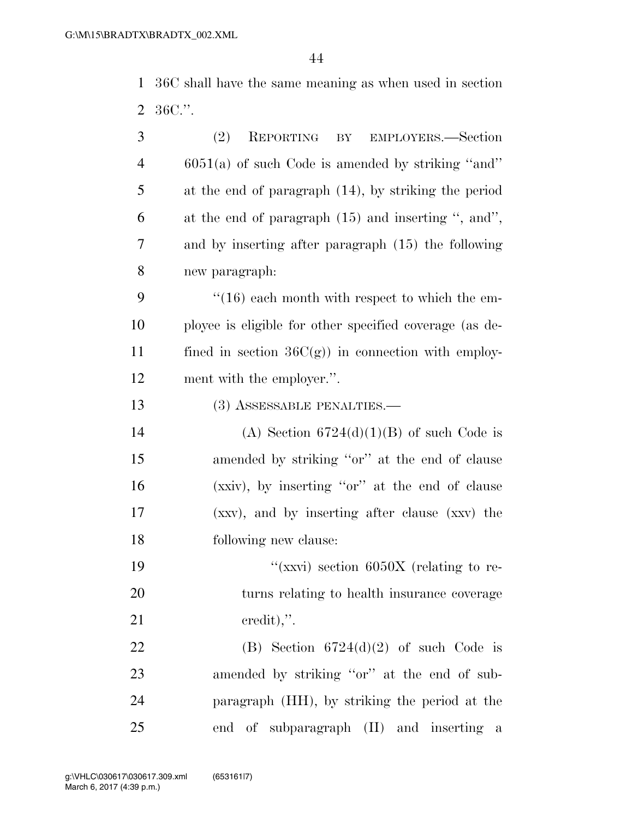36C shall have the same meaning as when used in section 36C.''.

| 3              | (2)<br>REPORTING BY<br>EMPLOYERS.—Section               |  |  |  |  |  |  |
|----------------|---------------------------------------------------------|--|--|--|--|--|--|
| $\overline{4}$ | $6051(a)$ of such Code is amended by striking "and"     |  |  |  |  |  |  |
| 5              | at the end of paragraph (14), by striking the period    |  |  |  |  |  |  |
| 6              | at the end of paragraph $(15)$ and inserting ", and",   |  |  |  |  |  |  |
| 7              | and by inserting after paragraph (15) the following     |  |  |  |  |  |  |
| 8              | new paragraph:                                          |  |  |  |  |  |  |
| 9              | $\cdot$ (16) each month with respect to which the em-   |  |  |  |  |  |  |
| 10             | ployee is eligible for other specified coverage (as de- |  |  |  |  |  |  |
| 11             | fined in section $36C(g)$ in connection with employ-    |  |  |  |  |  |  |
| 12             | ment with the employer.".                               |  |  |  |  |  |  |
| 13             | (3) ASSESSABLE PENALTIES.—                              |  |  |  |  |  |  |
| 14             | (A) Section $6724(d)(1)(B)$ of such Code is             |  |  |  |  |  |  |
| 15             | amended by striking "or" at the end of clause           |  |  |  |  |  |  |
| 16             | (xxiv), by inserting "or" at the end of clause          |  |  |  |  |  |  |
| 17             | (xxv), and by inserting after clause (xxv) the          |  |  |  |  |  |  |
| 18             | following new clause:                                   |  |  |  |  |  |  |
| 19             | "(xxvi) section $6050X$ (relating to re-                |  |  |  |  |  |  |
| 20             | turns relating to health insurance coverage             |  |  |  |  |  |  |
| 21             | $\alpha$ eredit),".                                     |  |  |  |  |  |  |
| 22             | (B) Section $6724(d)(2)$ of such Code is                |  |  |  |  |  |  |
| 23             | amended by striking "or" at the end of sub-             |  |  |  |  |  |  |
| 24             | paragraph (HH), by striking the period at the           |  |  |  |  |  |  |
| 25             | end of subparagraph (II) and inserting a                |  |  |  |  |  |  |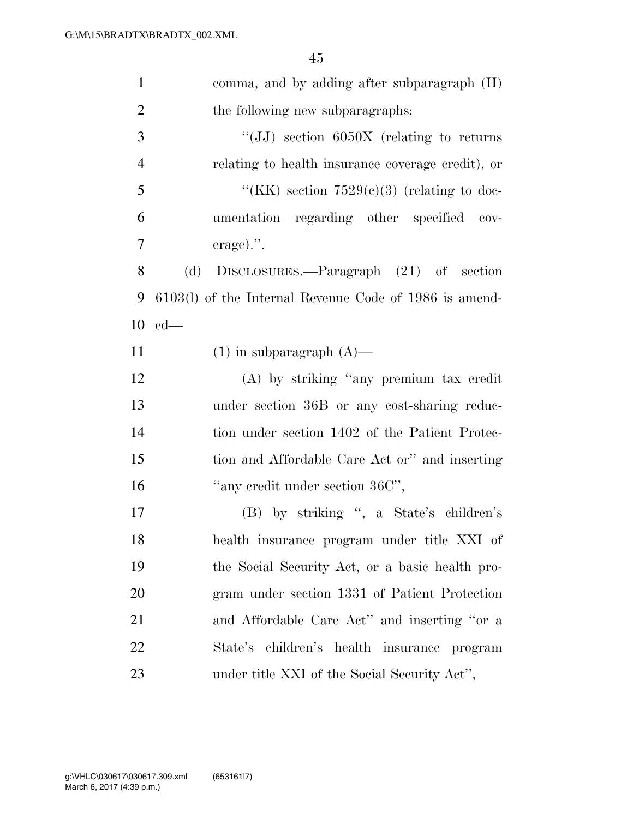| $\mathbf{1}$   | comma, and by adding after subparagraph $(II)$           |
|----------------|----------------------------------------------------------|
| $\overline{2}$ | the following new subparagraphs:                         |
| 3              | "(JJ) section $6050X$ (relating to returns               |
| $\overline{4}$ | relating to health insurance coverage credit), or        |
| 5              | "(KK) section $7529(c)(3)$ (relating to doc-             |
| 6              | umentation regarding other specified cov-                |
| 7              | $\alpha$ erage).".                                       |
| 8              | (d)<br>DISCLOSURES.—Paragraph (21) of section            |
| 9              | $6103(l)$ of the Internal Revenue Code of 1986 is amend- |
| 10             | $ed$ —                                                   |
| 11             | $(1)$ in subparagraph $(A)$ —                            |
| 12             | (A) by striking "any premium tax credit                  |
| 13             | under section 36B or any cost-sharing reduc-             |
| 14             | tion under section 1402 of the Patient Protec-           |
| 15             | tion and Affordable Care Act or" and inserting           |
| 16             | "any credit under section 36C",                          |
| 17             | (B) by striking ", a State's children's                  |
| 18             | health insurance program under title XXI of              |
| 19             | the Social Security Act, or a basic health pro-          |
| 20             | gram under section 1331 of Patient Protection            |
| 21             | and Affordable Care Act" and inserting "or a             |
| 22             | State's children's health insurance program              |
| 23             | under title XXI of the Social Security Act",             |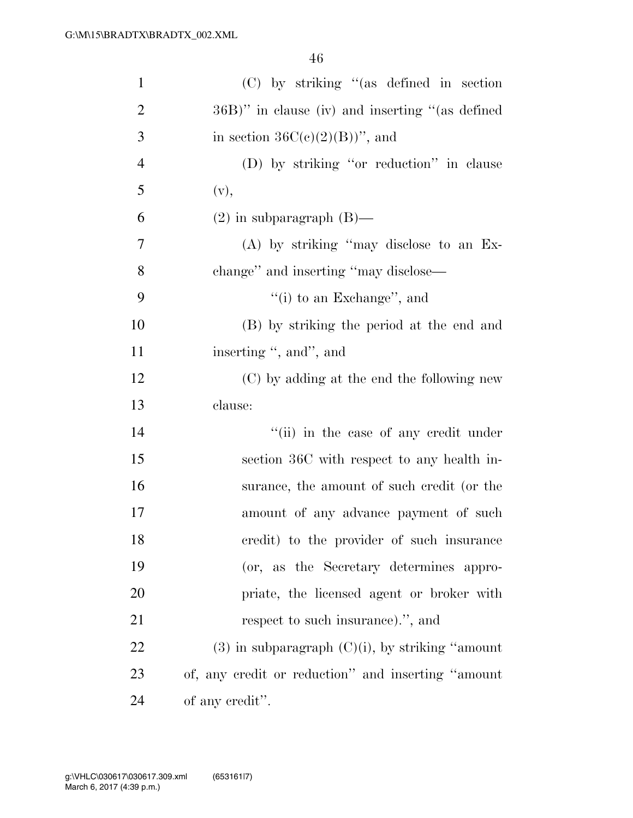| $\mathbf{1}$   | $(C)$ by striking "(as defined in section             |
|----------------|-------------------------------------------------------|
| $\overline{2}$ | 36B)" in clause (iv) and inserting "(as defined       |
| 3              | in section $36C(c)(2)(B)$ ", and                      |
| $\overline{4}$ | (D) by striking "or reduction" in clause              |
| 5              | (v),                                                  |
| 6              | $(2)$ in subparagraph $(B)$ —                         |
| 7              | (A) by striking "may disclose to an Ex-               |
| 8              | change" and inserting "may disclose—                  |
| 9              | "(i) to an Exchange", and                             |
| 10             | (B) by striking the period at the end and             |
| 11             | inserting ", and", and                                |
| 12             | (C) by adding at the end the following new            |
| 13             | clause:                                               |
| 14             | "(ii) in the case of any credit under                 |
| 15             | section 36C with respect to any health in-            |
| 16             | surance, the amount of such credit (or the            |
| 17             | amount of any advance payment of such                 |
| 18             | credit) to the provider of such insurance             |
| 19             | (or, as the Secretary determines appro-               |
| 20             | priate, the licensed agent or broker with             |
| 21             | respect to such insurance).", and                     |
| 22             | $(3)$ in subparagraph $(C)(i)$ , by striking "amount" |
| 23             | of, any credit or reduction" and inserting "amount"   |
| 24             | of any credit".                                       |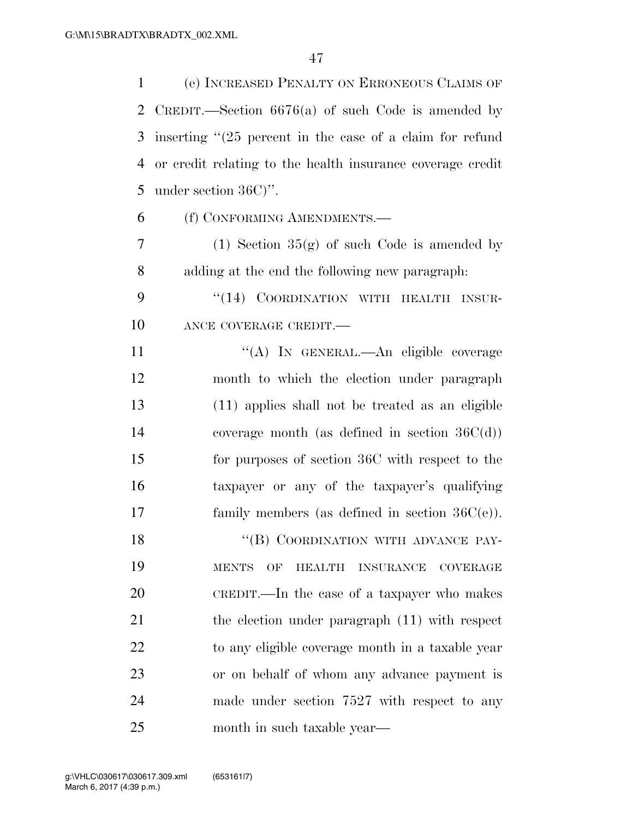(e) INCREASED PENALTY ON ERRONEOUS CLAIMS OF CREDIT.—Section 6676(a) of such Code is amended by inserting ''(25 percent in the case of a claim for refund or credit relating to the health insurance coverage credit under section 36C)''.

(f) CONFORMING AMENDMENTS.—

7 (1) Section  $35(g)$  of such Code is amended by adding at the end the following new paragraph:

9 "(14) COORDINATION WITH HEALTH INSUR-10 ANCE COVERAGE CREDIT.—

11 ""(A) In GENERAL.—An eligible coverage month to which the election under paragraph (11) applies shall not be treated as an eligible coverage month (as defined in section 36C(d)) for purposes of section 36C with respect to the taxpayer or any of the taxpayer's qualifying family members (as defined in section 36C(e)).

18 "(B) COORDINATION WITH ADVANCE PAY- MENTS OF HEALTH INSURANCE COVERAGE CREDIT.—In the case of a taxpayer who makes 21 the election under paragraph (11) with respect to any eligible coverage month in a taxable year or on behalf of whom any advance payment is made under section 7527 with respect to any month in such taxable year—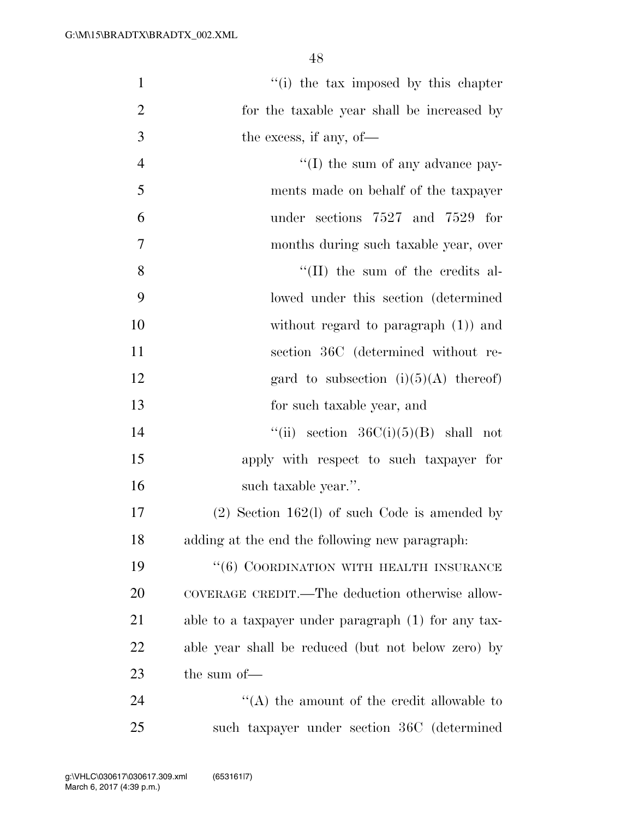| $\mathbf{1}$   | "(i) the tax imposed by this chapter                |
|----------------|-----------------------------------------------------|
| $\overline{2}$ | for the taxable year shall be increased by          |
| 3              | the excess, if any, of-                             |
| $\overline{4}$ | $\lq\lq$ (I) the sum of any advance pay-            |
| 5              | ments made on behalf of the taxpayer                |
| 6              | under sections 7527 and 7529 for                    |
| 7              | months during such taxable year, over               |
| 8              | $\lq\lq$ (II) the sum of the credits al-            |
| 9              | lowed under this section (determined                |
| 10             | without regard to paragraph $(1)$ and               |
| <sup>11</sup>  | section 36C (determined without re-                 |
| 12             | gard to subsection $(i)(5)(A)$ thereof)             |
| 13             | for such taxable year, and                          |
| 14             | "(ii) section $36C(i)(5)(B)$ shall not              |
| 15             | apply with respect to such taxpayer for             |
| 16             | such taxable year.".                                |
| 17             | $(2)$ Section 162(1) of such Code is amended by     |
| 18             | adding at the end the following new paragraph.      |
| 19             | "(6) COORDINATION WITH HEALTH INSURANCE             |
| 20             | COVERAGE CREDIT.—The deduction otherwise allow-     |
| 21             | able to a taxpayer under paragraph (1) for any tax- |
| 22             | able year shall be reduced (but not below zero) by  |
| 23             | the sum of-                                         |
| 24             | $\lq\lq$ the amount of the credit allowable to      |
| 25             | such taxpayer under section 36C (determined         |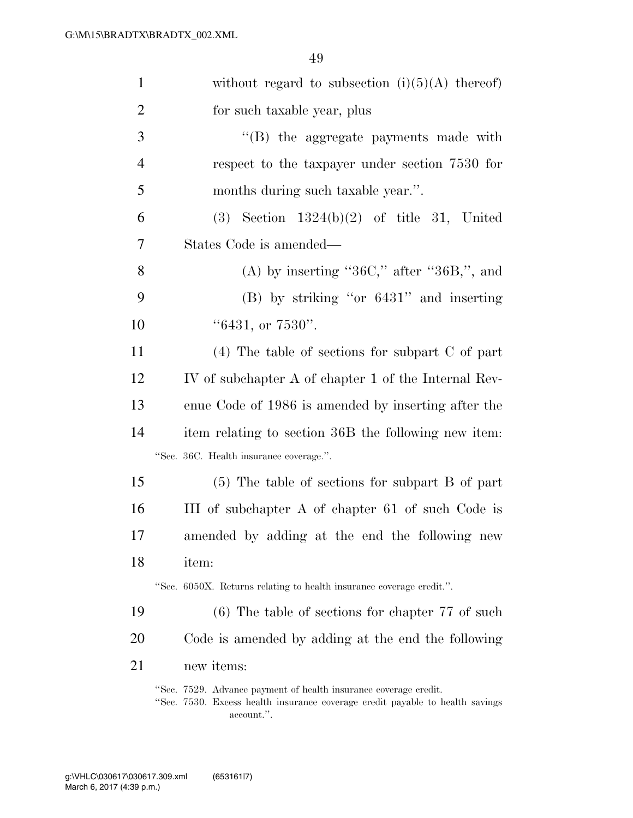| $\mathbf{1}$   | without regard to subsection $(i)(5)(A)$ thereof)                    |  |  |  |  |  |  |
|----------------|----------------------------------------------------------------------|--|--|--|--|--|--|
| $\overline{2}$ | for such taxable year, plus                                          |  |  |  |  |  |  |
| $\mathfrak{Z}$ | "(B) the aggregate payments made with                                |  |  |  |  |  |  |
| $\overline{4}$ | respect to the taxpayer under section 7530 for                       |  |  |  |  |  |  |
| 5              | months during such taxable year.".                                   |  |  |  |  |  |  |
| 6              | $(3)$ Section 1324(b)(2) of title 31, United                         |  |  |  |  |  |  |
| 7              | States Code is amended—                                              |  |  |  |  |  |  |
| 8              | (A) by inserting "36C," after "36B,", and                            |  |  |  |  |  |  |
| 9              | $(B)$ by striking "or $6431$ " and inserting                         |  |  |  |  |  |  |
| 10             | " $6431$ , or $7530$ ".                                              |  |  |  |  |  |  |
| 11             | $(4)$ The table of sections for subpart C of part                    |  |  |  |  |  |  |
| 12             | IV of subchapter A of chapter 1 of the Internal Rev-                 |  |  |  |  |  |  |
| 13             | enue Code of 1986 is amended by inserting after the                  |  |  |  |  |  |  |
| 14             | item relating to section 36B the following new item:                 |  |  |  |  |  |  |
|                | "Sec. 36C. Health insurance coverage.".                              |  |  |  |  |  |  |
| 15             | (5) The table of sections for subpart B of part                      |  |  |  |  |  |  |
| 16             | III of subchapter A of chapter 61 of such Code is                    |  |  |  |  |  |  |
| 17             | amended by adding at the end the following new                       |  |  |  |  |  |  |
| 18             | item:                                                                |  |  |  |  |  |  |
|                | "Sec. 6050X. Returns relating to health insurance coverage credit.". |  |  |  |  |  |  |
| 19             | $(6)$ The table of sections for chapter 77 of such                   |  |  |  |  |  |  |
| 20             | Code is amended by adding at the end the following                   |  |  |  |  |  |  |
| 21             | new items:                                                           |  |  |  |  |  |  |
|                | "Sec. 7529. Advance payment of health insurance coverage credit.     |  |  |  |  |  |  |

''Sec. 7530. Excess health insurance coverage credit payable to health savings account.''.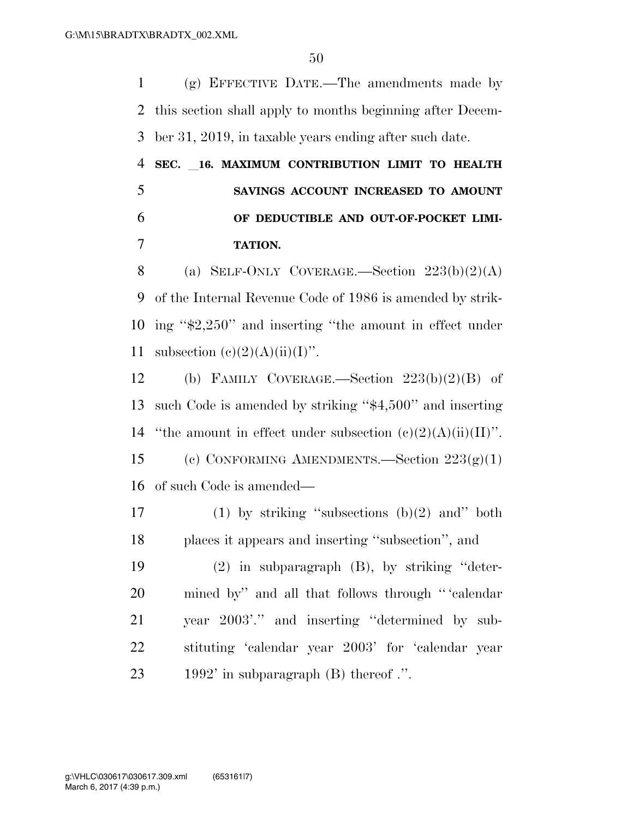(g) EFFECTIVE DATE.—The amendments made by this section shall apply to months beginning after Decem-ber 31, 2019, in taxable years ending after such date.

## **SEC.** l**16. MAXIMUM CONTRIBUTION LIMIT TO HEALTH SAVINGS ACCOUNT INCREASED TO AMOUNT OF DEDUCTIBLE AND OUT-OF-POCKET LIMI-TATION.**

8 (a) SELF-ONLY COVERAGE.—Section  $223(b)(2)(A)$  of the Internal Revenue Code of 1986 is amended by strik- ing ''\$2,250'' and inserting ''the amount in effect under 11 subsection  $(c)(2)(A)(ii)(I)$ ".

 (b) FAMILY COVERAGE.—Section 223(b)(2)(B) of such Code is amended by striking ''\$4,500'' and inserting 14 "the amount in effect under subsection  $(c)(2)(A)(ii)(II)$ ". (c) CONFORMING AMENDMENTS.—Section 223(g)(1) of such Code is amended—

17 (1) by striking "subsections  $(b)(2)$  and" both places it appears and inserting ''subsection'', and

 (2) in subparagraph (B), by striking ''deter- mined by'' and all that follows through '' 'calendar year 2003'.'' and inserting ''determined by sub- stituting 'calendar year 2003' for 'calendar year 1992' in subparagraph (B) thereof .''.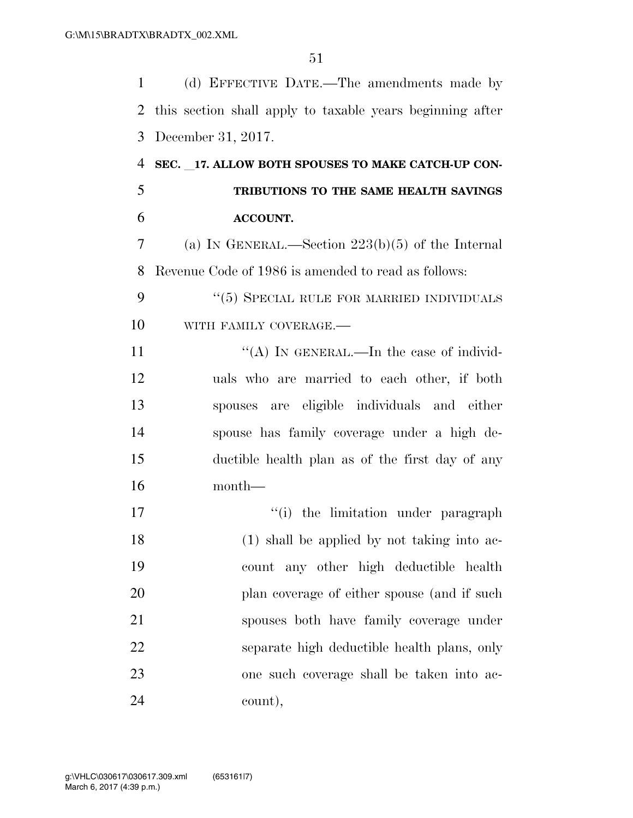(d) EFFECTIVE DATE.—The amendments made by this section shall apply to taxable years beginning after December 31, 2017.

 **SEC.** l**17. ALLOW BOTH SPOUSES TO MAKE CATCH-UP CON- TRIBUTIONS TO THE SAME HEALTH SAVINGS ACCOUNT.**  (a) IN GENERAL.—Section 223(b)(5) of the Internal Revenue Code of 1986 is amended to read as follows: 9 "(5) SPECIAL RULE FOR MARRIED INDIVIDUALS 10 WITH FAMILY COVERAGE.  $((A)$  In GENERAL.—In the case of individ- uals who are married to each other, if both spouses are eligible individuals and either spouse has family coverage under a high de- ductible health plan as of the first day of any month—  $\frac{1}{10}$  the limitation under paragraph (1) shall be applied by not taking into ac-

 count any other high deductible health 20 plan coverage of either spouse (and if such spouses both have family coverage under separate high deductible health plans, only one such coverage shall be taken into ac-count),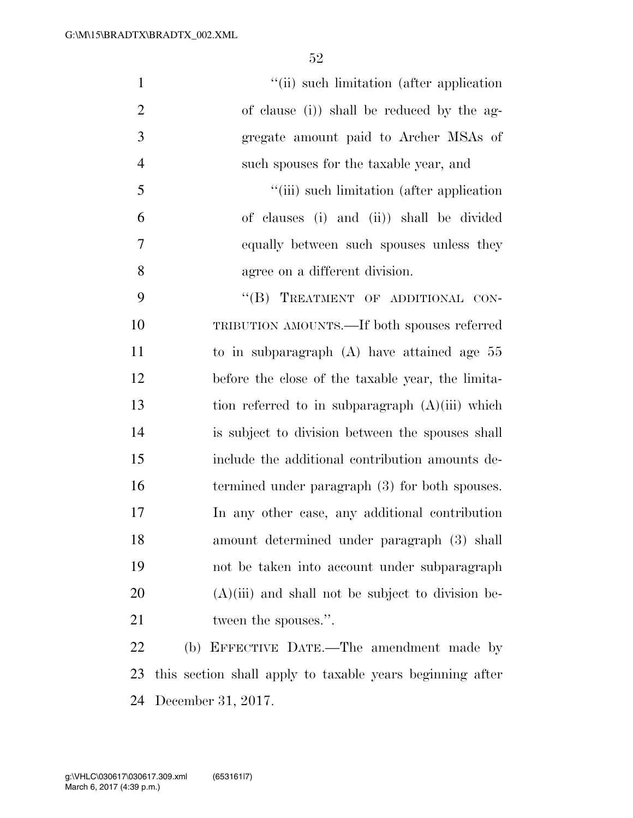| $\mathbf{1}$   | "(ii) such limitation (after application)                 |
|----------------|-----------------------------------------------------------|
| $\overline{2}$ | of clause (i)) shall be reduced by the ag-                |
| 3              | gregate amount paid to Archer MSAs of                     |
| $\overline{4}$ | such spouses for the taxable year, and                    |
| 5              | "(iii) such limitation (after application)                |
| 6              | of clauses (i) and (ii)) shall be divided                 |
| $\tau$         | equally between such spouses unless they                  |
| 8              | agree on a different division.                            |
| 9              | "(B) TREATMENT OF ADDITIONAL CON-                         |
| 10             | TRIBUTION AMOUNTS.—If both spouses referred               |
| 11             | to in subparagraph $(A)$ have attained age $55$           |
| 12             | before the close of the taxable year, the limita-         |
| 13             | tion referred to in subparagraph $(A)(iii)$ which         |
| 14             | is subject to division between the spouses shall          |
| 15             | include the additional contribution amounts de-           |
| 16             | termined under paragraph (3) for both spouses.            |
| 17             | In any other case, any additional contribution            |
| 18             | amount determined under paragraph (3) shall               |
| 19             | not be taken into account under subparagraph              |
| 20             | $(A)(iii)$ and shall not be subject to division be-       |
| 21             | tween the spouses.".                                      |
| 22             | (b) EFFECTIVE DATE.—The amendment made by                 |
| 23             | this section shall apply to taxable years beginning after |

December 31, 2017.